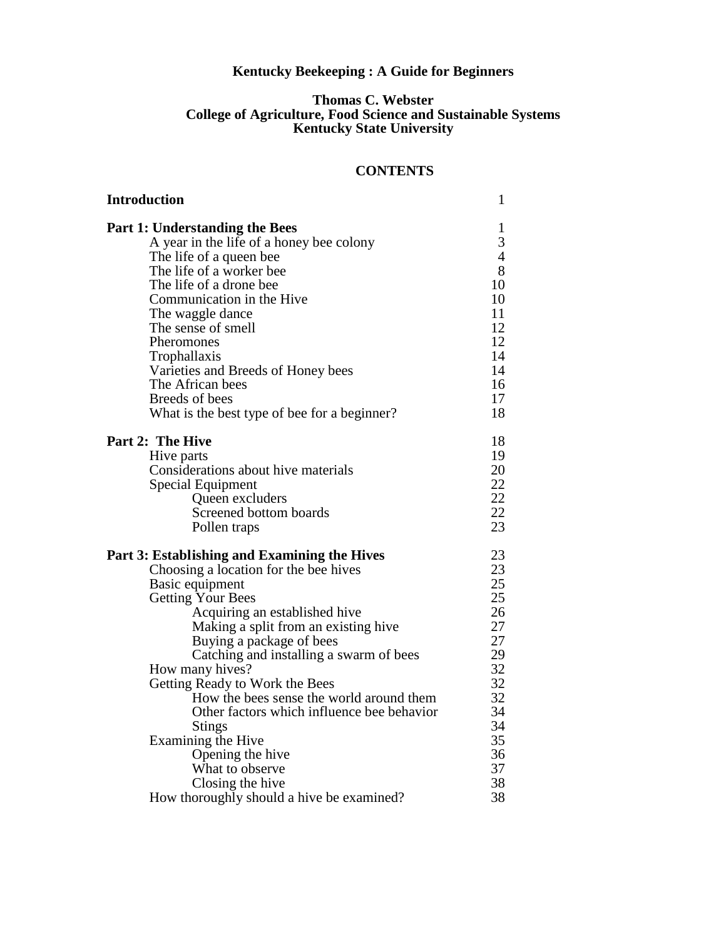## **Kentucky Beekeeping : A Guide for Beginners**

### **Thomas C. Webster College of Agriculture, Food Science and Sustainable Systems Kentucky State University**

### **CONTENTS**

| <b>Introduction</b>                          | $\mathbf{1}$   |
|----------------------------------------------|----------------|
| <b>Part 1: Understanding the Bees</b>        | 1              |
| A year in the life of a honey bee colony     | 3              |
| The life of a queen bee                      | $\overline{4}$ |
| The life of a worker bee                     | 8              |
| The life of a drone bee                      | 10             |
| Communication in the Hive                    | 10             |
| The waggle dance                             | 11             |
| The sense of smell                           | 12             |
| Pheromones                                   | 12             |
| Trophallaxis                                 | 14             |
| Varieties and Breeds of Honey bees           | 14             |
| The African bees                             | 16             |
| Breeds of bees                               | 17             |
| What is the best type of bee for a beginner? | 18             |
| Part 2: The Hive                             | 18             |
| Hive parts                                   | 19             |
| Considerations about hive materials          | 20             |
| Special Equipment                            | 22             |
| Queen excluders                              | 22             |
| Screened bottom boards                       | 22             |
| Pollen traps                                 | 23             |
| Part 3: Establishing and Examining the Hives | 23             |
| Choosing a location for the bee hives        | 23             |
| Basic equipment                              | 25             |
| <b>Getting Your Bees</b>                     | 25             |
| Acquiring an established hive                | 26             |
| Making a split from an existing hive         | 27             |
| Buying a package of bees                     | 27             |
| Catching and installing a swarm of bees      | 29             |
| How many hives?                              | 32             |
| Getting Ready to Work the Bees               | 32             |
| How the bees sense the world around them     | 32             |
| Other factors which influence bee behavior   | 34             |
| <b>Stings</b>                                | 34             |
| Examining the Hive                           | 35             |
| Opening the hive                             | 36             |
| What to observe                              | 37             |
| Closing the hive                             | 38             |
| How thoroughly should a hive be examined?    | 38             |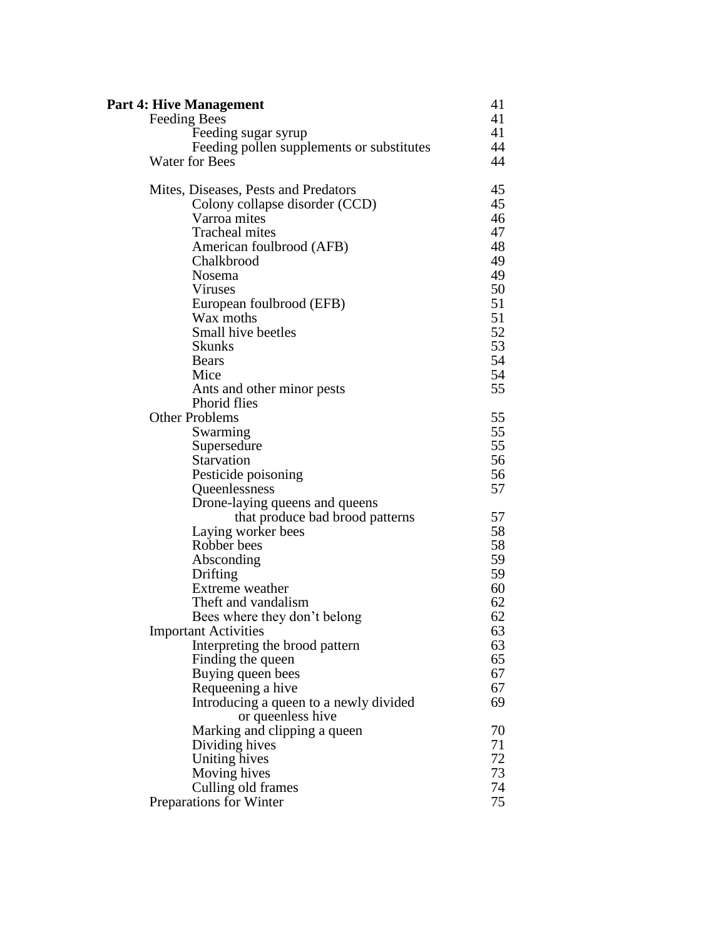| Part 4: Hive Management                   | 41 |
|-------------------------------------------|----|
| Feeding Bees                              | 41 |
| Feeding sugar syrup                       | 41 |
| Feeding pollen supplements or substitutes | 44 |
| <b>Water for Bees</b>                     | 44 |
| Mites, Diseases, Pests and Predators      | 45 |
| Colony collapse disorder (CCD)            | 45 |
| Varroa mites                              | 46 |
| <b>Tracheal mites</b>                     | 47 |
| American foulbrood (AFB)                  | 48 |
| Chalkbrood                                | 49 |
| Nosema                                    | 49 |
| <b>Viruses</b>                            | 50 |
| European foulbrood (EFB)                  | 51 |
| Wax moths                                 | 51 |
| Small hive beetles                        | 52 |
| <b>Skunks</b>                             | 53 |
| <b>Bears</b>                              | 54 |
| Mice                                      | 54 |
| Ants and other minor pests                | 55 |
| Phorid flies                              |    |
| <b>Other Problems</b>                     | 55 |
| Swarming                                  | 55 |
| Supersedure                               | 55 |
| Starvation                                | 56 |
| Pesticide poisoning                       | 56 |
| Queenlessness                             | 57 |
| Drone-laying queens and queens            |    |
| that produce bad brood patterns           | 57 |
| Laying worker bees                        | 58 |
| Robber bees                               | 58 |
| Absconding                                | 59 |
| Drifting                                  | 59 |
| Extreme weather                           | 60 |
| Theft and vandalism                       | 62 |
| Bees where they don't belong              | 62 |
| <b>Important Activities</b>               | 63 |
| Interpreting the brood pattern            | 63 |
| Finding the queen                         | 65 |
| Buying queen bees                         | 67 |
| Requeening a hive                         | 67 |
| Introducing a queen to a newly divided    | 69 |
| or queenless hive                         |    |
| Marking and clipping a queen              | 70 |
| Dividing hives                            | 71 |
| Uniting hives                             | 72 |
| Moving hives                              | 73 |
| Culling old frames                        | 74 |
| Preparations for Winter                   | 75 |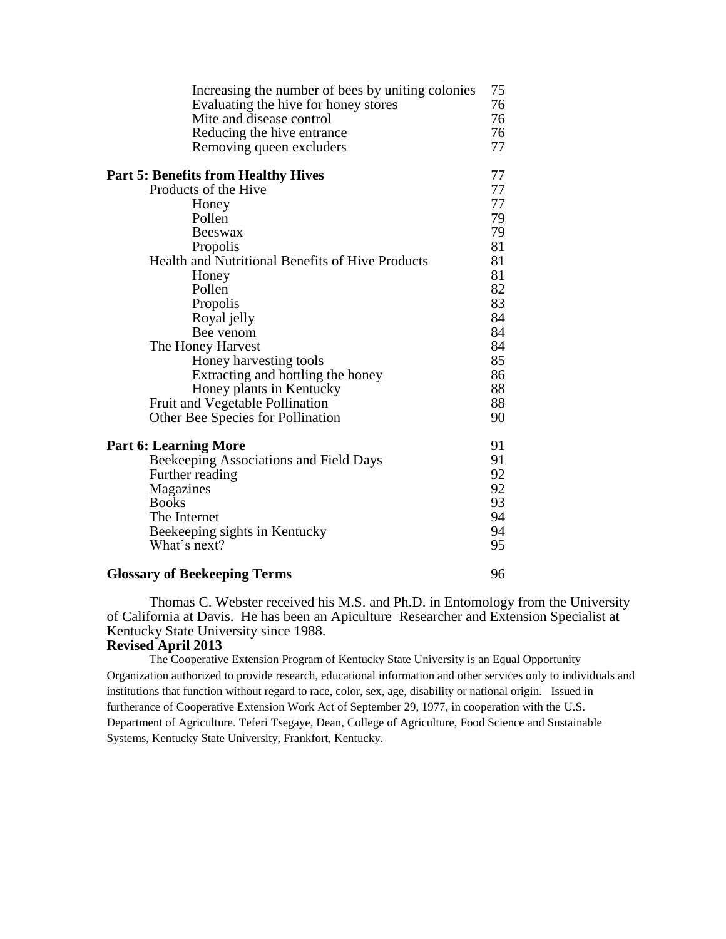| Increasing the number of bees by uniting colonies | 75 |
|---------------------------------------------------|----|
| Evaluating the hive for honey stores              | 76 |
| Mite and disease control                          | 76 |
| Reducing the hive entrance                        | 76 |
| Removing queen excluders                          | 77 |
| <b>Part 5: Benefits from Healthy Hives</b>        | 77 |
| Products of the Hive                              | 77 |
| Honey                                             | 77 |
| Pollen                                            | 79 |
| Beeswax                                           | 79 |
| Propolis                                          | 81 |
| Health and Nutritional Benefits of Hive Products  | 81 |
| Honey                                             | 81 |
| Pollen                                            | 82 |
| Propolis                                          | 83 |
| Royal jelly                                       | 84 |
| Bee venom                                         | 84 |
| The Honey Harvest                                 | 84 |
| Honey harvesting tools                            | 85 |
| Extracting and bottling the honey                 | 86 |
| Honey plants in Kentucky                          | 88 |
| Fruit and Vegetable Pollination                   | 88 |
| Other Bee Species for Pollination                 | 90 |
| <b>Part 6: Learning More</b>                      | 91 |
| Beekeeping Associations and Field Days            | 91 |
| Further reading                                   | 92 |
| Magazines                                         | 92 |
| <b>Books</b>                                      | 93 |
| The Internet                                      | 94 |
| Beekeeping sights in Kentucky                     | 94 |
| What's next?                                      | 95 |
| <b>Glossary of Beekeeping Terms</b>               | 96 |

Thomas C. Webster received his M.S. and Ph.D. in Entomology from the University of California at Davis. He has been an Apiculture Researcher and Extension Specialist at Kentucky State University since 1988.

### **Revised April 2013**

The Cooperative Extension Program of Kentucky State University is an Equal Opportunity Organization authorized to provide research, educational information and other services only to individuals and institutions that function without regard to race, color, sex, age, disability or national origin. Issued in furtherance of Cooperative Extension Work Act of September 29, 1977, in cooperation with the U.S. Department of Agriculture. Teferi Tsegaye, Dean, College of Agriculture, Food Science and Sustainable Systems, Kentucky State University, Frankfort, Kentucky.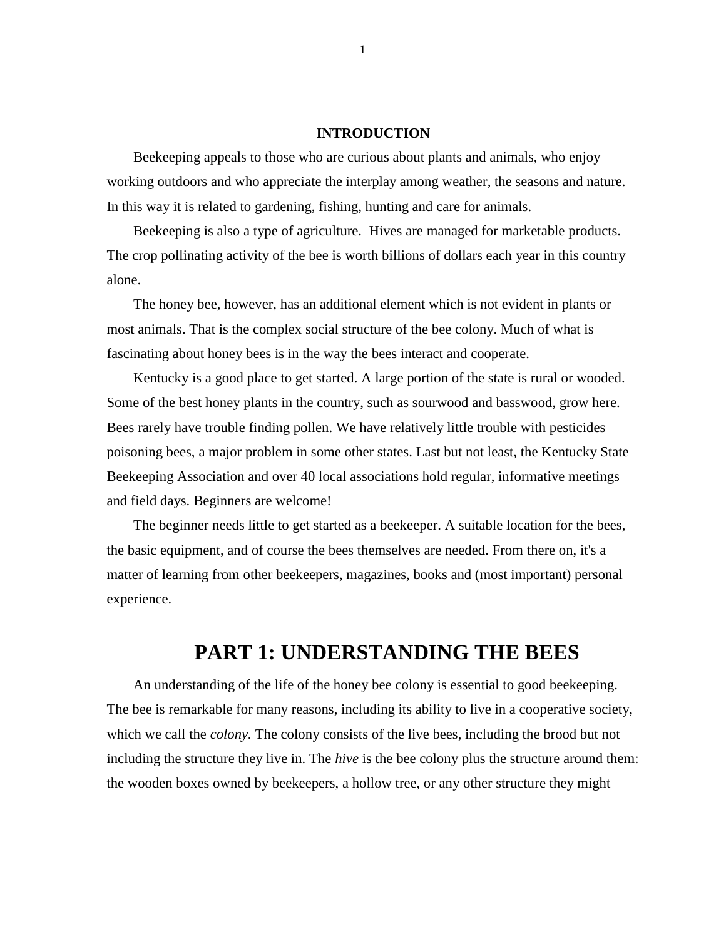### **INTRODUCTION**

Beekeeping appeals to those who are curious about plants and animals, who enjoy working outdoors and who appreciate the interplay among weather, the seasons and nature. In this way it is related to gardening, fishing, hunting and care for animals.

Beekeeping is also a type of agriculture. Hives are managed for marketable products. The crop pollinating activity of the bee is worth billions of dollars each year in this country alone.

The honey bee, however, has an additional element which is not evident in plants or most animals. That is the complex social structure of the bee colony. Much of what is fascinating about honey bees is in the way the bees interact and cooperate.

Kentucky is a good place to get started. A large portion of the state is rural or wooded. Some of the best honey plants in the country, such as sourwood and basswood, grow here. Bees rarely have trouble finding pollen. We have relatively little trouble with pesticides poisoning bees, a major problem in some other states. Last but not least, the Kentucky State Beekeeping Association and over 40 local associations hold regular, informative meetings and field days. Beginners are welcome!

The beginner needs little to get started as a beekeeper. A suitable location for the bees, the basic equipment, and of course the bees themselves are needed. From there on, it's a matter of learning from other beekeepers, magazines, books and (most important) personal experience.

# **PART 1: UNDERSTANDING THE BEES**

An understanding of the life of the honey bee colony is essential to good beekeeping. The bee is remarkable for many reasons, including its ability to live in a cooperative society, which we call the *colony*. The colony consists of the live bees, including the brood but not including the structure they live in. The *hive* is the bee colony plus the structure around them: the wooden boxes owned by beekeepers, a hollow tree, or any other structure they might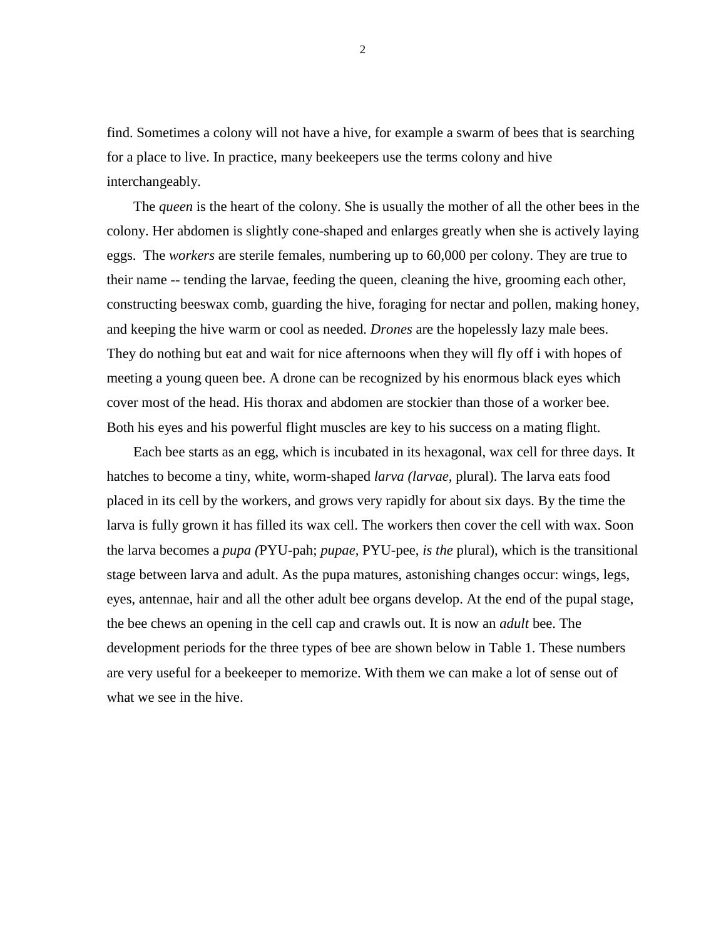find. Sometimes a colony will not have a hive, for example a swarm of bees that is searching for a place to live. In practice, many beekeepers use the terms colony and hive interchangeably.

The *queen* is the heart of the colony. She is usually the mother of all the other bees in the colony. Her abdomen is slightly cone-shaped and enlarges greatly when she is actively laying eggs. The *workers* are sterile females, numbering up to 60,000 per colony. They are true to their name -- tending the larvae, feeding the queen, cleaning the hive, grooming each other, constructing beeswax comb, guarding the hive, foraging for nectar and pollen, making honey, and keeping the hive warm or cool as needed. *Drones* are the hopelessly lazy male bees. They do nothing but eat and wait for nice afternoons when they will fly off i with hopes of meeting a young queen bee. A drone can be recognized by his enormous black eyes which cover most of the head. His thorax and abdomen are stockier than those of a worker bee. Both his eyes and his powerful flight muscles are key to his success on a mating flight.

Each bee starts as an egg, which is incubated in its hexagonal, wax cell for three days. It hatches to become a tiny, white, worm-shaped *larva (larvae,* plural). The larva eats food placed in its cell by the workers, and grows very rapidly for about six days. By the time the larva is fully grown it has filled its wax cell. The workers then cover the cell with wax. Soon the larva becomes a *pupa (*PYU-pah; *pupae,* PYU-pee, *is the* plural), which is the transitional stage between larva and adult. As the pupa matures, astonishing changes occur: wings, legs, eyes, antennae, hair and all the other adult bee organs develop. At the end of the pupal stage, the bee chews an opening in the cell cap and crawls out. It is now an *adult* bee. The development periods for the three types of bee are shown below in Table 1. These numbers are very useful for a beekeeper to memorize. With them we can make a lot of sense out of what we see in the hive.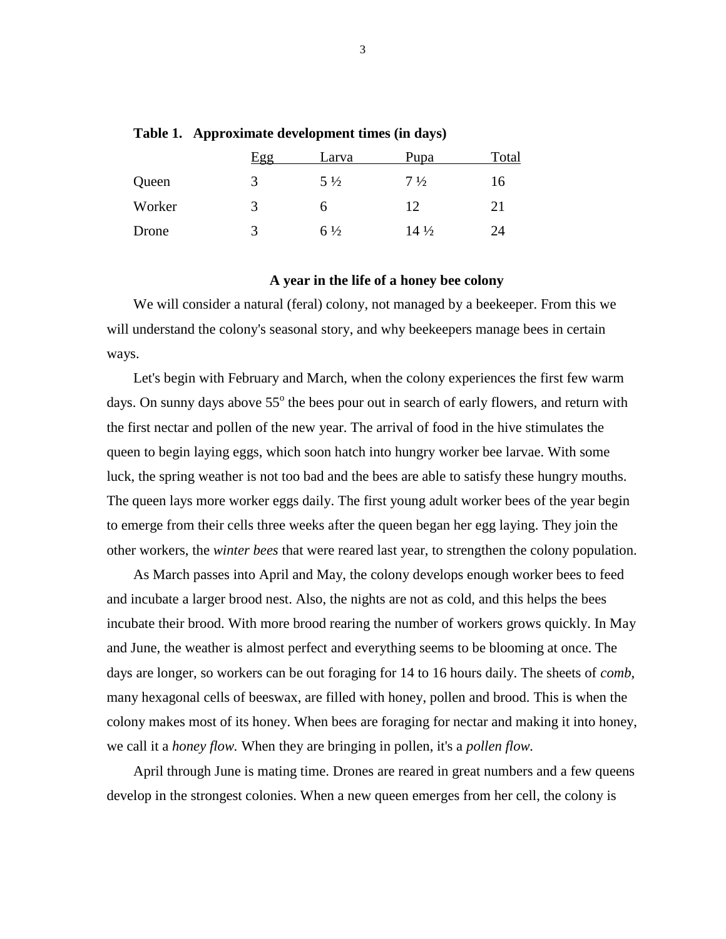|        | Egg | Larva          | Pupa            | Total |
|--------|-----|----------------|-----------------|-------|
| Queen  | 3   | $5\frac{1}{2}$ | $7\frac{1}{2}$  | 16    |
| Worker | 3   | h              | 12              | 21    |
| Drone  | 3   | $6\frac{1}{2}$ | $14\frac{1}{2}$ | 24    |

### **Table 1. Approximate development times (in days)**

### **A year in the life of a honey bee colony**

We will consider a natural (feral) colony, not managed by a beekeeper. From this we will understand the colony's seasonal story, and why beekeepers manage bees in certain ways.

Let's begin with February and March, when the colony experiences the first few warm days. On sunny days above 55<sup>°</sup> the bees pour out in search of early flowers, and return with the first nectar and pollen of the new year. The arrival of food in the hive stimulates the queen to begin laying eggs, which soon hatch into hungry worker bee larvae. With some luck, the spring weather is not too bad and the bees are able to satisfy these hungry mouths. The queen lays more worker eggs daily. The first young adult worker bees of the year begin to emerge from their cells three weeks after the queen began her egg laying. They join the other workers, the *winter bees* that were reared last year, to strengthen the colony population.

As March passes into April and May, the colony develops enough worker bees to feed and incubate a larger brood nest. Also, the nights are not as cold, and this helps the bees incubate their brood. With more brood rearing the number of workers grows quickly. In May and June, the weather is almost perfect and everything seems to be blooming at once. The days are longer, so workers can be out foraging for 14 to 16 hours daily. The sheets of *comb,*  many hexagonal cells of beeswax, are filled with honey, pollen and brood. This is when the colony makes most of its honey. When bees are foraging for nectar and making it into honey, we call it a *honey flow.* When they are bringing in pollen, it's a *pollen flow.*

April through June is mating time. Drones are reared in great numbers and a few queens develop in the strongest colonies. When a new queen emerges from her cell, the colony is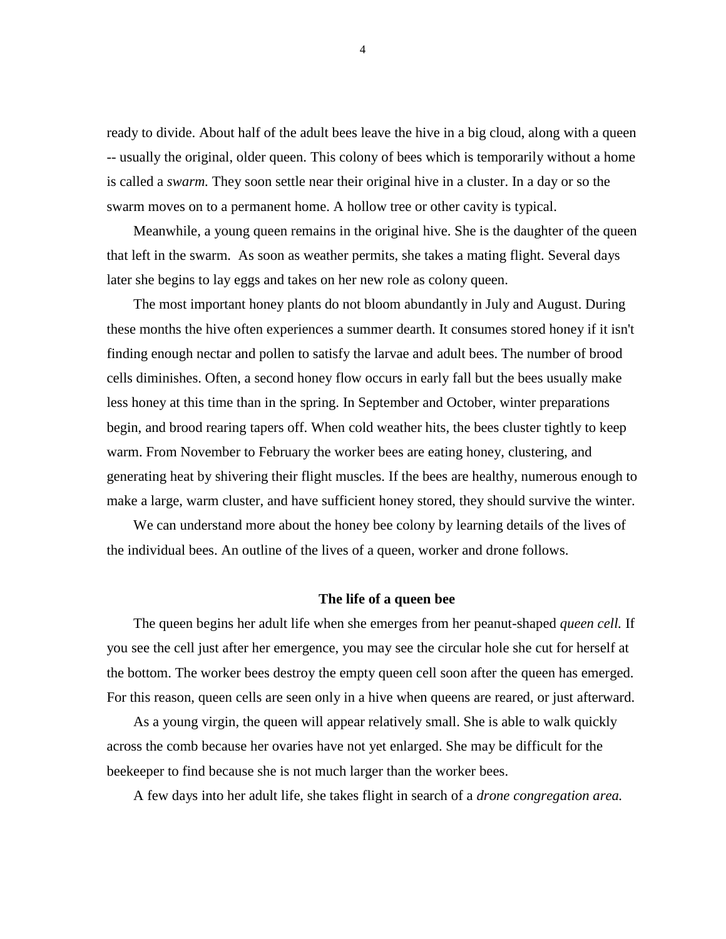ready to divide. About half of the adult bees leave the hive in a big cloud, along with a queen -- usually the original, older queen. This colony of bees which is temporarily without a home is called a *swarm.* They soon settle near their original hive in a cluster. In a day or so the swarm moves on to a permanent home. A hollow tree or other cavity is typical.

Meanwhile, a young queen remains in the original hive. She is the daughter of the queen that left in the swarm. As soon as weather permits, she takes a mating flight. Several days later she begins to lay eggs and takes on her new role as colony queen.

The most important honey plants do not bloom abundantly in July and August. During these months the hive often experiences a summer dearth. It consumes stored honey if it isn't finding enough nectar and pollen to satisfy the larvae and adult bees. The number of brood cells diminishes. Often, a second honey flow occurs in early fall but the bees usually make less honey at this time than in the spring. In September and October, winter preparations begin, and brood rearing tapers off. When cold weather hits, the bees cluster tightly to keep warm. From November to February the worker bees are eating honey, clustering, and generating heat by shivering their flight muscles. If the bees are healthy, numerous enough to make a large, warm cluster, and have sufficient honey stored, they should survive the winter.

We can understand more about the honey bee colony by learning details of the lives of the individual bees. An outline of the lives of a queen, worker and drone follows.

### **The life of a queen bee**

The queen begins her adult life when she emerges from her peanut-shaped *queen cell.* If you see the cell just after her emergence, you may see the circular hole she cut for herself at the bottom. The worker bees destroy the empty queen cell soon after the queen has emerged. For this reason, queen cells are seen only in a hive when queens are reared, or just afterward.

As a young virgin, the queen will appear relatively small. She is able to walk quickly across the comb because her ovaries have not yet enlarged. She may be difficult for the beekeeper to find because she is not much larger than the worker bees.

A few days into her adult life, she takes flight in search of a *drone congregation area.*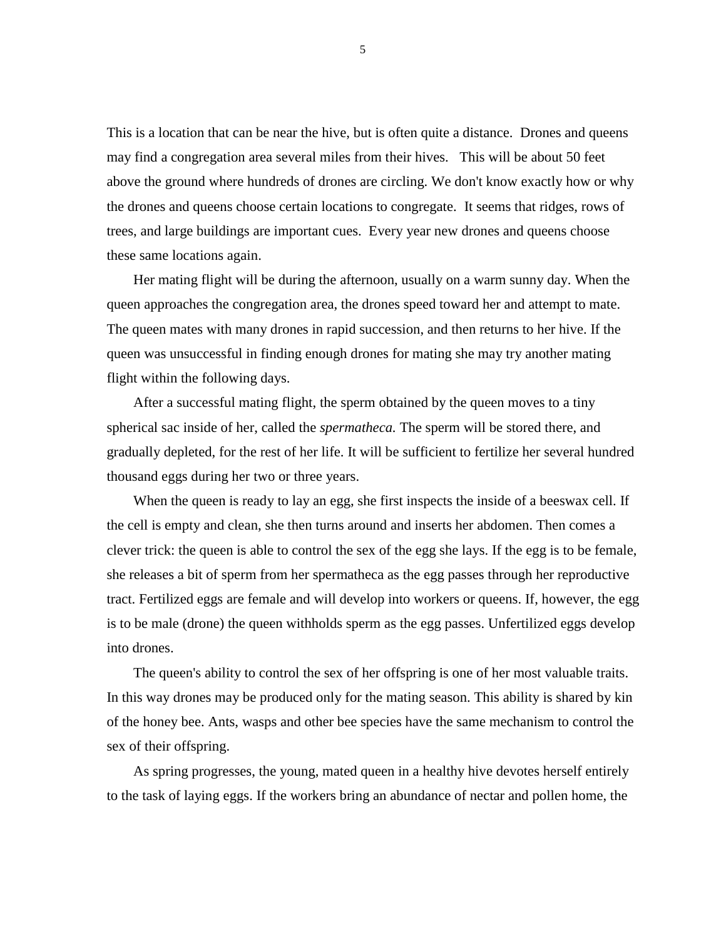This is a location that can be near the hive, but is often quite a distance. Drones and queens may find a congregation area several miles from their hives. This will be about 50 feet above the ground where hundreds of drones are circling. We don't know exactly how or why the drones and queens choose certain locations to congregate. It seems that ridges, rows of trees, and large buildings are important cues. Every year new drones and queens choose these same locations again.

Her mating flight will be during the afternoon, usually on a warm sunny day. When the queen approaches the congregation area, the drones speed toward her and attempt to mate. The queen mates with many drones in rapid succession, and then returns to her hive. If the queen was unsuccessful in finding enough drones for mating she may try another mating flight within the following days.

After a successful mating flight, the sperm obtained by the queen moves to a tiny spherical sac inside of her, called the *spermatheca.* The sperm will be stored there, and gradually depleted, for the rest of her life. It will be sufficient to fertilize her several hundred thousand eggs during her two or three years.

When the queen is ready to lay an egg, she first inspects the inside of a beeswax cell. If the cell is empty and clean, she then turns around and inserts her abdomen. Then comes a clever trick: the queen is able to control the sex of the egg she lays. If the egg is to be female, she releases a bit of sperm from her spermatheca as the egg passes through her reproductive tract. Fertilized eggs are female and will develop into workers or queens. If, however, the egg is to be male (drone) the queen withholds sperm as the egg passes. Unfertilized eggs develop into drones.

The queen's ability to control the sex of her offspring is one of her most valuable traits. In this way drones may be produced only for the mating season. This ability is shared by kin of the honey bee. Ants, wasps and other bee species have the same mechanism to control the sex of their offspring.

As spring progresses, the young, mated queen in a healthy hive devotes herself entirely to the task of laying eggs. If the workers bring an abundance of nectar and pollen home, the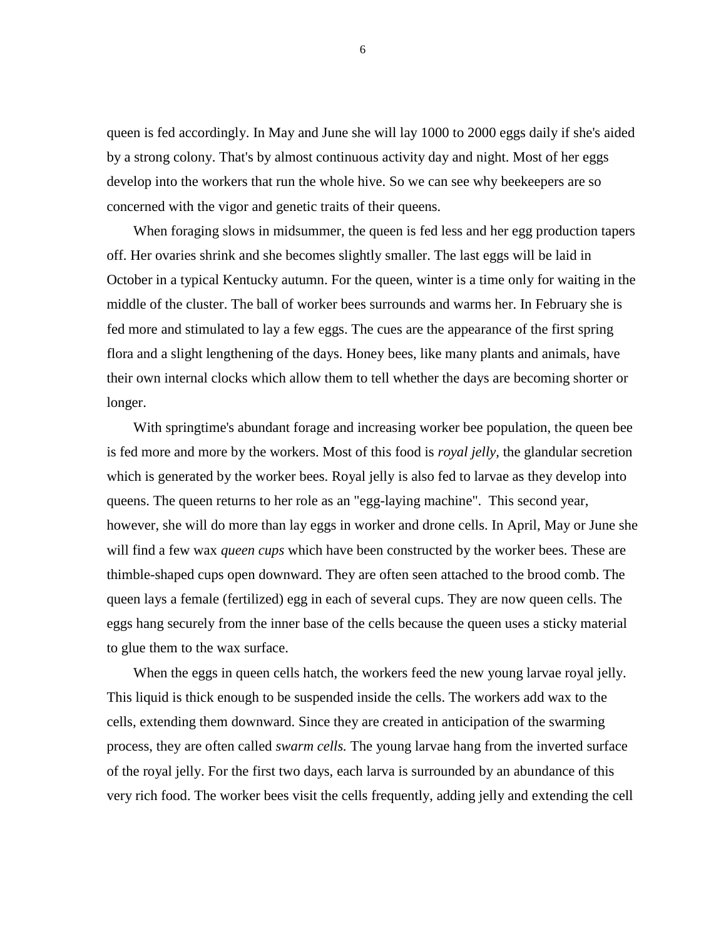queen is fed accordingly. In May and June she will lay 1000 to 2000 eggs daily if she's aided by a strong colony. That's by almost continuous activity day and night. Most of her eggs develop into the workers that run the whole hive. So we can see why beekeepers are so concerned with the vigor and genetic traits of their queens.

When foraging slows in midsummer, the queen is fed less and her egg production tapers off. Her ovaries shrink and she becomes slightly smaller. The last eggs will be laid in October in a typical Kentucky autumn. For the queen, winter is a time only for waiting in the middle of the cluster. The ball of worker bees surrounds and warms her. In February she is fed more and stimulated to lay a few eggs. The cues are the appearance of the first spring flora and a slight lengthening of the days. Honey bees, like many plants and animals, have their own internal clocks which allow them to tell whether the days are becoming shorter or longer.

With springtime's abundant forage and increasing worker bee population, the queen bee is fed more and more by the workers. Most of this food is *royal jelly,* the glandular secretion which is generated by the worker bees. Royal jelly is also fed to larvae as they develop into queens. The queen returns to her role as an "egg-laying machine". This second year, however, she will do more than lay eggs in worker and drone cells. In April, May or June she will find a few wax *queen cups* which have been constructed by the worker bees. These are thimble-shaped cups open downward. They are often seen attached to the brood comb. The queen lays a female (fertilized) egg in each of several cups. They are now queen cells. The eggs hang securely from the inner base of the cells because the queen uses a sticky material to glue them to the wax surface.

When the eggs in queen cells hatch, the workers feed the new young larvae royal jelly. This liquid is thick enough to be suspended inside the cells. The workers add wax to the cells, extending them downward. Since they are created in anticipation of the swarming process, they are often called *swarm cells.* The young larvae hang from the inverted surface of the royal jelly. For the first two days, each larva is surrounded by an abundance of this very rich food. The worker bees visit the cells frequently, adding jelly and extending the cell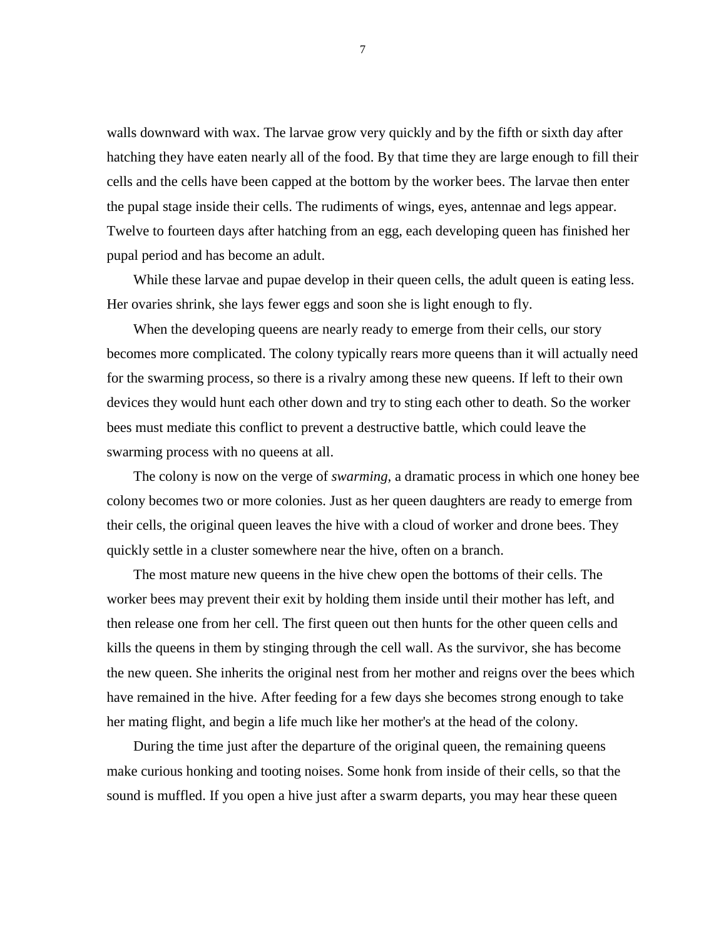walls downward with wax. The larvae grow very quickly and by the fifth or sixth day after hatching they have eaten nearly all of the food. By that time they are large enough to fill their cells and the cells have been capped at the bottom by the worker bees. The larvae then enter the pupal stage inside their cells. The rudiments of wings, eyes, antennae and legs appear. Twelve to fourteen days after hatching from an egg, each developing queen has finished her pupal period and has become an adult.

While these larvae and pupae develop in their queen cells, the adult queen is eating less. Her ovaries shrink, she lays fewer eggs and soon she is light enough to fly.

When the developing queens are nearly ready to emerge from their cells, our story becomes more complicated. The colony typically rears more queens than it will actually need for the swarming process, so there is a rivalry among these new queens. If left to their own devices they would hunt each other down and try to sting each other to death. So the worker bees must mediate this conflict to prevent a destructive battle, which could leave the swarming process with no queens at all.

The colony is now on the verge of *swarming,* a dramatic process in which one honey bee colony becomes two or more colonies. Just as her queen daughters are ready to emerge from their cells, the original queen leaves the hive with a cloud of worker and drone bees. They quickly settle in a cluster somewhere near the hive, often on a branch.

The most mature new queens in the hive chew open the bottoms of their cells. The worker bees may prevent their exit by holding them inside until their mother has left, and then release one from her cell. The first queen out then hunts for the other queen cells and kills the queens in them by stinging through the cell wall. As the survivor, she has become the new queen. She inherits the original nest from her mother and reigns over the bees which have remained in the hive. After feeding for a few days she becomes strong enough to take her mating flight, and begin a life much like her mother's at the head of the colony.

During the time just after the departure of the original queen, the remaining queens make curious honking and tooting noises. Some honk from inside of their cells, so that the sound is muffled. If you open a hive just after a swarm departs, you may hear these queen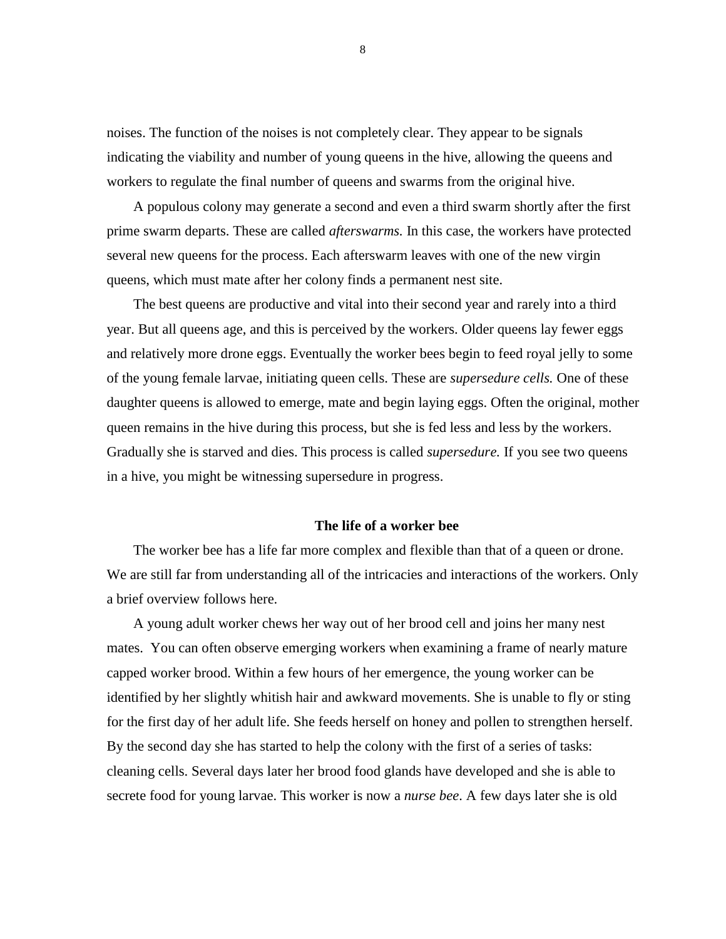noises. The function of the noises is not completely clear. They appear to be signals indicating the viability and number of young queens in the hive, allowing the queens and workers to regulate the final number of queens and swarms from the original hive.

A populous colony may generate a second and even a third swarm shortly after the first prime swarm departs. These are called *afterswarms.* In this case, the workers have protected several new queens for the process. Each afterswarm leaves with one of the new virgin queens, which must mate after her colony finds a permanent nest site.

The best queens are productive and vital into their second year and rarely into a third year. But all queens age, and this is perceived by the workers. Older queens lay fewer eggs and relatively more drone eggs. Eventually the worker bees begin to feed royal jelly to some of the young female larvae, initiating queen cells. These are *supersedure cells.* One of these daughter queens is allowed to emerge, mate and begin laying eggs. Often the original, mother queen remains in the hive during this process, but she is fed less and less by the workers. Gradually she is starved and dies. This process is called *supersedure.* If you see two queens in a hive, you might be witnessing supersedure in progress.

### **The life of a worker bee**

The worker bee has a life far more complex and flexible than that of a queen or drone. We are still far from understanding all of the intricacies and interactions of the workers. Only a brief overview follows here.

A young adult worker chews her way out of her brood cell and joins her many nest mates. You can often observe emerging workers when examining a frame of nearly mature capped worker brood. Within a few hours of her emergence, the young worker can be identified by her slightly whitish hair and awkward movements. She is unable to fly or sting for the first day of her adult life. She feeds herself on honey and pollen to strengthen herself. By the second day she has started to help the colony with the first of a series of tasks: cleaning cells. Several days later her brood food glands have developed and she is able to secrete food for young larvae. This worker is now a *nurse bee*. A few days later she is old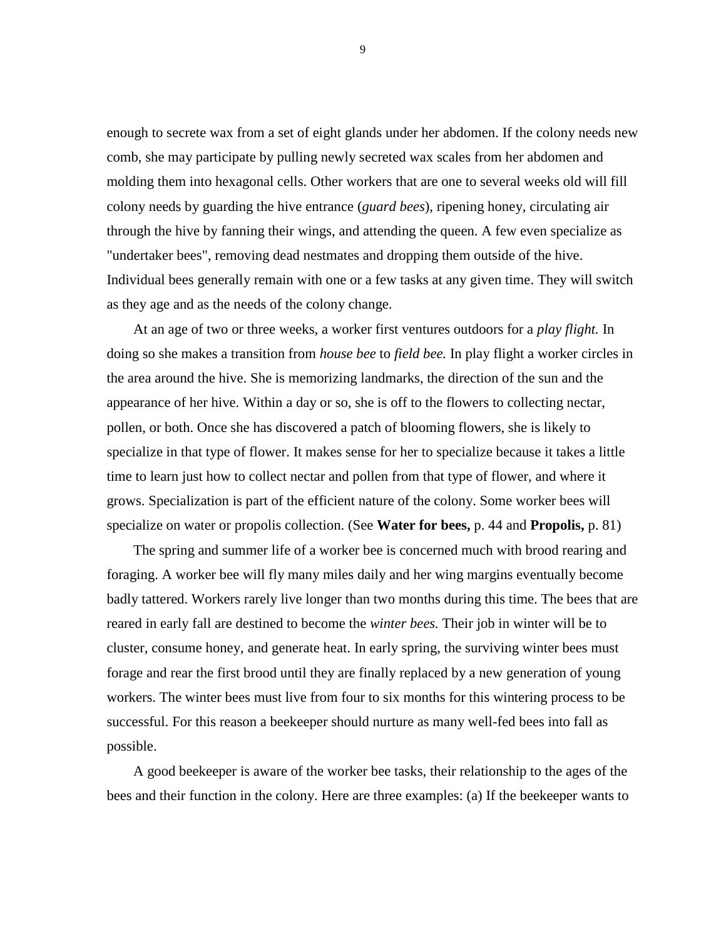enough to secrete wax from a set of eight glands under her abdomen. If the colony needs new comb, she may participate by pulling newly secreted wax scales from her abdomen and molding them into hexagonal cells. Other workers that are one to several weeks old will fill colony needs by guarding the hive entrance (*guard bees*), ripening honey, circulating air through the hive by fanning their wings, and attending the queen. A few even specialize as "undertaker bees", removing dead nestmates and dropping them outside of the hive. Individual bees generally remain with one or a few tasks at any given time. They will switch as they age and as the needs of the colony change.

At an age of two or three weeks, a worker first ventures outdoors for a *play flight.* In doing so she makes a transition from *house bee* to *field bee.* In play flight a worker circles in the area around the hive. She is memorizing landmarks, the direction of the sun and the appearance of her hive. Within a day or so, she is off to the flowers to collecting nectar, pollen, or both. Once she has discovered a patch of blooming flowers, she is likely to specialize in that type of flower. It makes sense for her to specialize because it takes a little time to learn just how to collect nectar and pollen from that type of flower, and where it grows. Specialization is part of the efficient nature of the colony. Some worker bees will specialize on water or propolis collection. (See **Water for bees,** p. 44 and **Propolis,** p. 81)

The spring and summer life of a worker bee is concerned much with brood rearing and foraging. A worker bee will fly many miles daily and her wing margins eventually become badly tattered. Workers rarely live longer than two months during this time. The bees that are reared in early fall are destined to become the *winter bees.* Their job in winter will be to cluster, consume honey, and generate heat. In early spring, the surviving winter bees must forage and rear the first brood until they are finally replaced by a new generation of young workers. The winter bees must live from four to six months for this wintering process to be successful. For this reason a beekeeper should nurture as many well-fed bees into fall as possible.

A good beekeeper is aware of the worker bee tasks, their relationship to the ages of the bees and their function in the colony. Here are three examples: (a) If the beekeeper wants to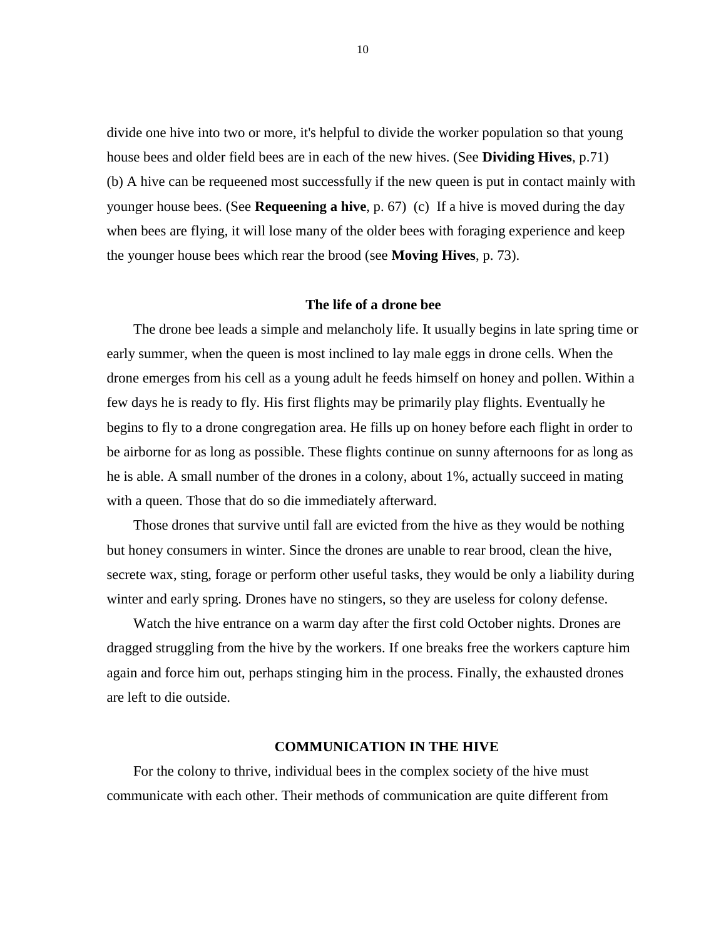divide one hive into two or more, it's helpful to divide the worker population so that young house bees and older field bees are in each of the new hives. (See **Dividing Hives**, p.71) (b) A hive can be requeened most successfully if the new queen is put in contact mainly with younger house bees. (See **Requeening a hive**, p. 67) (c) If a hive is moved during the day when bees are flying, it will lose many of the older bees with foraging experience and keep the younger house bees which rear the brood (see **Moving Hives**, p. 73).

### **The life of a drone bee**

The drone bee leads a simple and melancholy life. It usually begins in late spring time or early summer, when the queen is most inclined to lay male eggs in drone cells. When the drone emerges from his cell as a young adult he feeds himself on honey and pollen. Within a few days he is ready to fly. His first flights may be primarily play flights. Eventually he begins to fly to a drone congregation area. He fills up on honey before each flight in order to be airborne for as long as possible. These flights continue on sunny afternoons for as long as he is able. A small number of the drones in a colony, about 1%, actually succeed in mating with a queen. Those that do so die immediately afterward.

Those drones that survive until fall are evicted from the hive as they would be nothing but honey consumers in winter. Since the drones are unable to rear brood, clean the hive, secrete wax, sting, forage or perform other useful tasks, they would be only a liability during winter and early spring. Drones have no stingers, so they are useless for colony defense.

Watch the hive entrance on a warm day after the first cold October nights. Drones are dragged struggling from the hive by the workers. If one breaks free the workers capture him again and force him out, perhaps stinging him in the process. Finally, the exhausted drones are left to die outside.

### **COMMUNICATION IN THE HIVE**

For the colony to thrive, individual bees in the complex society of the hive must communicate with each other. Their methods of communication are quite different from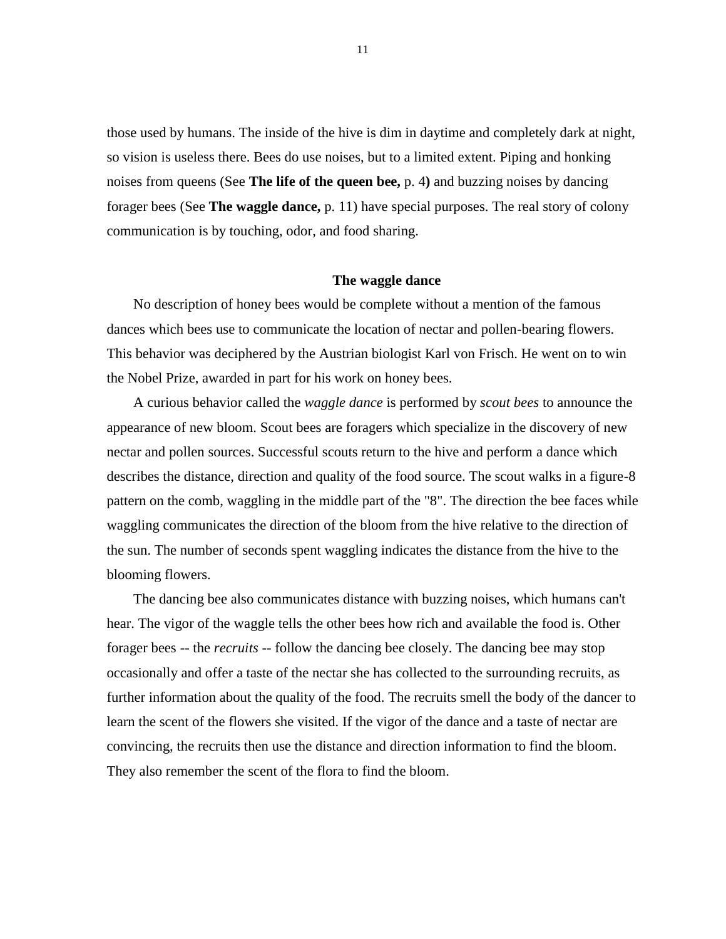those used by humans. The inside of the hive is dim in daytime and completely dark at night, so vision is useless there. Bees do use noises, but to a limited extent. Piping and honking noises from queens (See **The life of the queen bee,** p. 4**)** and buzzing noises by dancing forager bees (See **The waggle dance,** p. 11) have special purposes. The real story of colony communication is by touching, odor, and food sharing.

### **The waggle dance**

No description of honey bees would be complete without a mention of the famous dances which bees use to communicate the location of nectar and pollen-bearing flowers. This behavior was deciphered by the Austrian biologist Karl von Frisch. He went on to win the Nobel Prize, awarded in part for his work on honey bees.

A curious behavior called the *waggle dance* is performed by *scout bees* to announce the appearance of new bloom. Scout bees are foragers which specialize in the discovery of new nectar and pollen sources. Successful scouts return to the hive and perform a dance which describes the distance, direction and quality of the food source. The scout walks in a figure-8 pattern on the comb, waggling in the middle part of the "8". The direction the bee faces while waggling communicates the direction of the bloom from the hive relative to the direction of the sun. The number of seconds spent waggling indicates the distance from the hive to the blooming flowers.

The dancing bee also communicates distance with buzzing noises, which humans can't hear. The vigor of the waggle tells the other bees how rich and available the food is. Other forager bees -- the *recruits* -- follow the dancing bee closely. The dancing bee may stop occasionally and offer a taste of the nectar she has collected to the surrounding recruits, as further information about the quality of the food. The recruits smell the body of the dancer to learn the scent of the flowers she visited. If the vigor of the dance and a taste of nectar are convincing, the recruits then use the distance and direction information to find the bloom. They also remember the scent of the flora to find the bloom.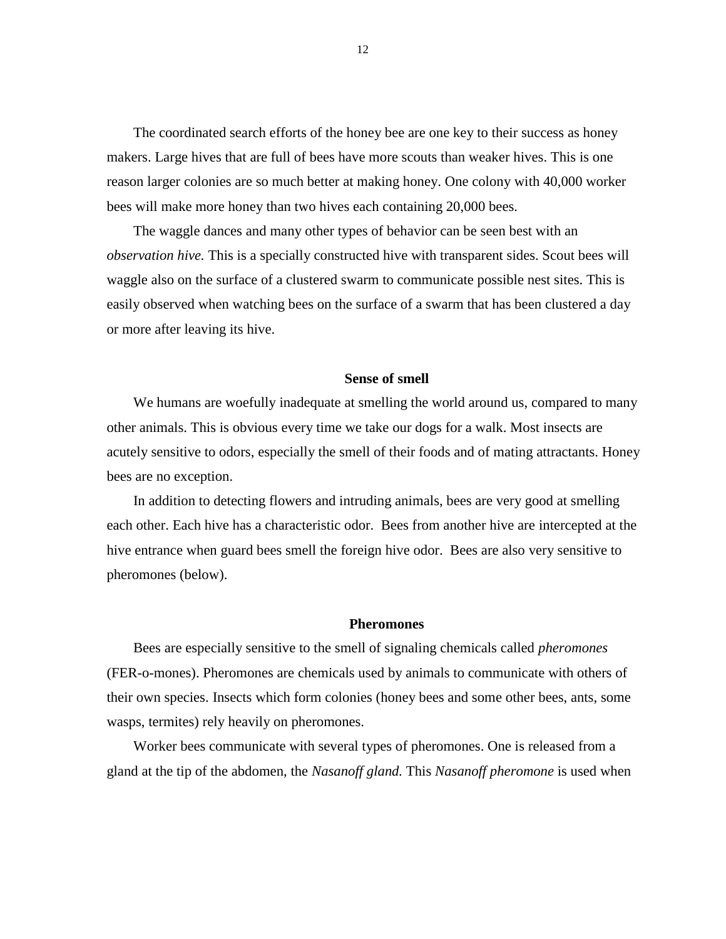The coordinated search efforts of the honey bee are one key to their success as honey makers. Large hives that are full of bees have more scouts than weaker hives. This is one reason larger colonies are so much better at making honey. One colony with 40,000 worker bees will make more honey than two hives each containing 20,000 bees.

The waggle dances and many other types of behavior can be seen best with an *observation hive.* This is a specially constructed hive with transparent sides. Scout bees will waggle also on the surface of a clustered swarm to communicate possible nest sites. This is easily observed when watching bees on the surface of a swarm that has been clustered a day or more after leaving its hive.

### **Sense of smell**

We humans are woefully inadequate at smelling the world around us, compared to many other animals. This is obvious every time we take our dogs for a walk. Most insects are acutely sensitive to odors, especially the smell of their foods and of mating attractants. Honey bees are no exception.

In addition to detecting flowers and intruding animals, bees are very good at smelling each other. Each hive has a characteristic odor. Bees from another hive are intercepted at the hive entrance when guard bees smell the foreign hive odor. Bees are also very sensitive to pheromones (below).

### **Pheromones**

Bees are especially sensitive to the smell of signaling chemicals called *pheromones*  (FER-o-mones). Pheromones are chemicals used by animals to communicate with others of their own species. Insects which form colonies (honey bees and some other bees, ants, some wasps, termites) rely heavily on pheromones.

Worker bees communicate with several types of pheromones. One is released from a gland at the tip of the abdomen, the *Nasanoff gland.* This *Nasanoff pheromone* is used when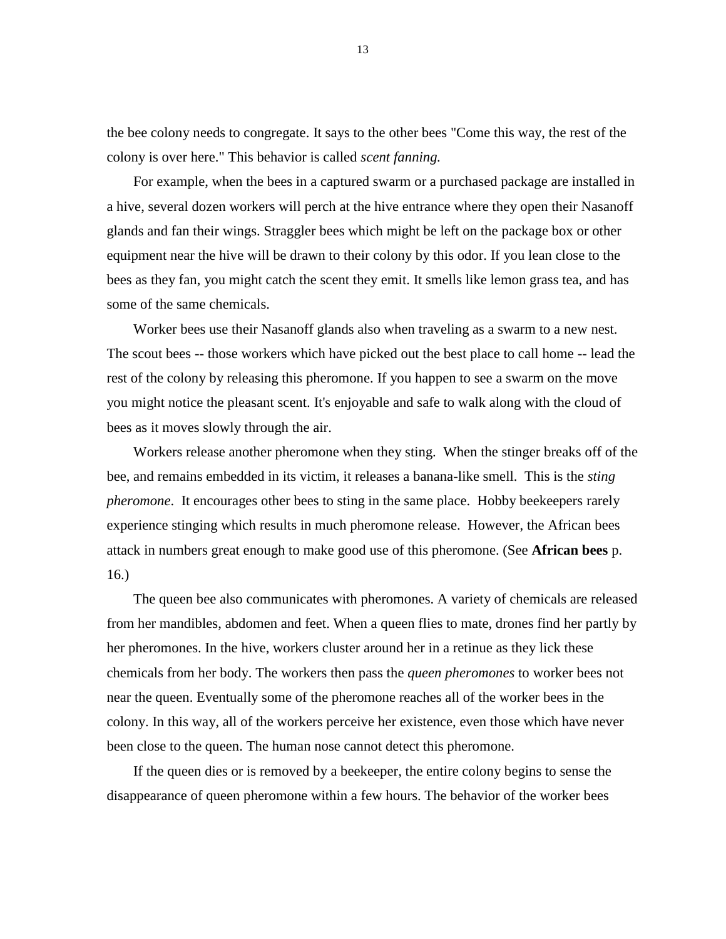the bee colony needs to congregate. It says to the other bees "Come this way, the rest of the colony is over here." This behavior is called *scent fanning.*

For example, when the bees in a captured swarm or a purchased package are installed in a hive, several dozen workers will perch at the hive entrance where they open their Nasanoff glands and fan their wings. Straggler bees which might be left on the package box or other equipment near the hive will be drawn to their colony by this odor. If you lean close to the bees as they fan, you might catch the scent they emit. It smells like lemon grass tea, and has some of the same chemicals.

Worker bees use their Nasanoff glands also when traveling as a swarm to a new nest. The scout bees -- those workers which have picked out the best place to call home -- lead the rest of the colony by releasing this pheromone. If you happen to see a swarm on the move you might notice the pleasant scent. It's enjoyable and safe to walk along with the cloud of bees as it moves slowly through the air.

Workers release another pheromone when they sting. When the stinger breaks off of the bee, and remains embedded in its victim, it releases a banana-like smell. This is the *sting pheromone*. It encourages other bees to sting in the same place. Hobby beekeepers rarely experience stinging which results in much pheromone release. However, the African bees attack in numbers great enough to make good use of this pheromone. (See **African bees** p. 16.)

The queen bee also communicates with pheromones. A variety of chemicals are released from her mandibles, abdomen and feet. When a queen flies to mate, drones find her partly by her pheromones. In the hive, workers cluster around her in a retinue as they lick these chemicals from her body. The workers then pass the *queen pheromones* to worker bees not near the queen. Eventually some of the pheromone reaches all of the worker bees in the colony. In this way, all of the workers perceive her existence, even those which have never been close to the queen. The human nose cannot detect this pheromone.

If the queen dies or is removed by a beekeeper, the entire colony begins to sense the disappearance of queen pheromone within a few hours. The behavior of the worker bees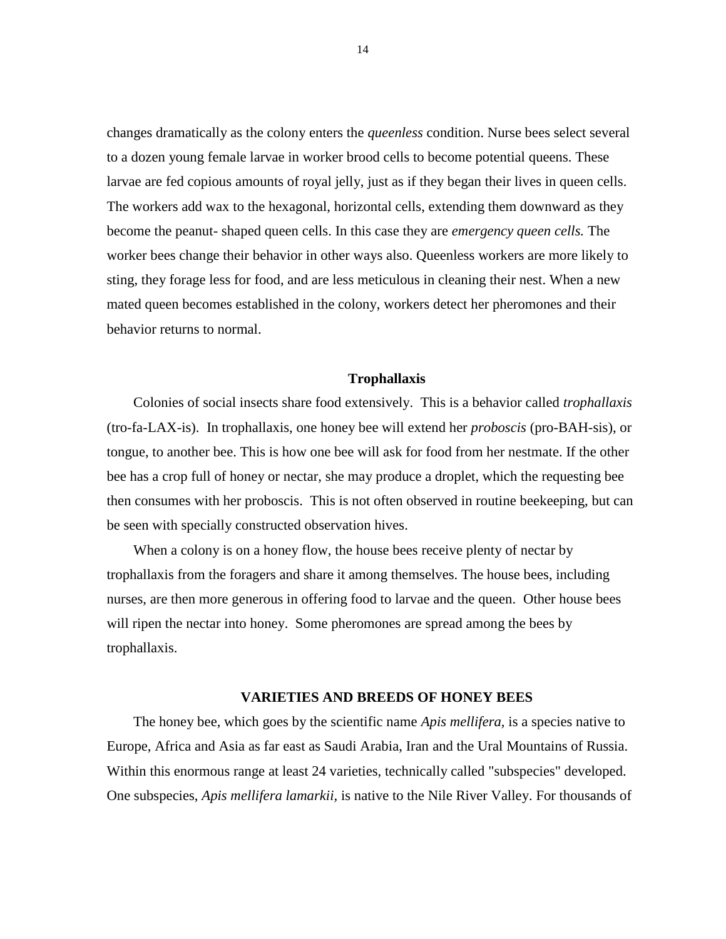changes dramatically as the colony enters the *queenless* condition. Nurse bees select several to a dozen young female larvae in worker brood cells to become potential queens. These larvae are fed copious amounts of royal jelly, just as if they began their lives in queen cells. The workers add wax to the hexagonal, horizontal cells, extending them downward as they become the peanut- shaped queen cells. In this case they are *emergency queen cells.* The worker bees change their behavior in other ways also. Queenless workers are more likely to sting, they forage less for food, and are less meticulous in cleaning their nest. When a new mated queen becomes established in the colony, workers detect her pheromones and their behavior returns to normal.

### **Trophallaxis**

Colonies of social insects share food extensively. This is a behavior called *trophallaxis* (tro-fa-LAX-is). In trophallaxis, one honey bee will extend her *proboscis* (pro-BAH-sis), or tongue, to another bee. This is how one bee will ask for food from her nestmate. If the other bee has a crop full of honey or nectar, she may produce a droplet, which the requesting bee then consumes with her proboscis. This is not often observed in routine beekeeping, but can be seen with specially constructed observation hives.

When a colony is on a honey flow, the house bees receive plenty of nectar by trophallaxis from the foragers and share it among themselves. The house bees, including nurses, are then more generous in offering food to larvae and the queen. Other house bees will ripen the nectar into honey. Some pheromones are spread among the bees by trophallaxis.

### **VARIETIES AND BREEDS OF HONEY BEES**

The honey bee, which goes by the scientific name *Apis mellifera,* is a species native to Europe, Africa and Asia as far east as Saudi Arabia, Iran and the Ural Mountains of Russia. Within this enormous range at least 24 varieties, technically called "subspecies" developed. One subspecies, *Apis mellifera lamarkii,* is native to the Nile River Valley. For thousands of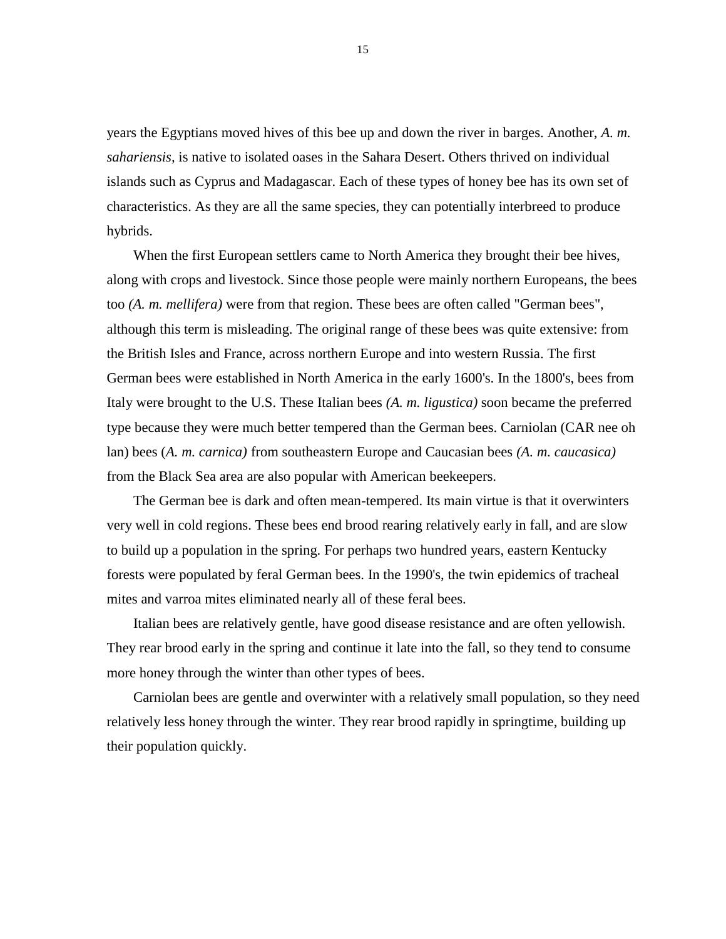years the Egyptians moved hives of this bee up and down the river in barges. Another, *A. m. sahariensis,* is native to isolated oases in the Sahara Desert. Others thrived on individual islands such as Cyprus and Madagascar. Each of these types of honey bee has its own set of characteristics. As they are all the same species, they can potentially interbreed to produce hybrids.

When the first European settlers came to North America they brought their bee hives, along with crops and livestock. Since those people were mainly northern Europeans, the bees too *(A. m. mellifera)* were from that region. These bees are often called "German bees", although this term is misleading. The original range of these bees was quite extensive: from the British Isles and France, across northern Europe and into western Russia. The first German bees were established in North America in the early 1600's. In the 1800's, bees from Italy were brought to the U.S. These Italian bees *(A. m. ligustica)* soon became the preferred type because they were much better tempered than the German bees. Carniolan (CAR nee oh lan) bees (*A. m. carnica)* from southeastern Europe and Caucasian bees *(A. m. caucasica)*  from the Black Sea area are also popular with American beekeepers.

The German bee is dark and often mean-tempered. Its main virtue is that it overwinters very well in cold regions. These bees end brood rearing relatively early in fall, and are slow to build up a population in the spring. For perhaps two hundred years, eastern Kentucky forests were populated by feral German bees. In the 1990's, the twin epidemics of tracheal mites and varroa mites eliminated nearly all of these feral bees.

Italian bees are relatively gentle, have good disease resistance and are often yellowish. They rear brood early in the spring and continue it late into the fall, so they tend to consume more honey through the winter than other types of bees.

Carniolan bees are gentle and overwinter with a relatively small population, so they need relatively less honey through the winter. They rear brood rapidly in springtime, building up their population quickly.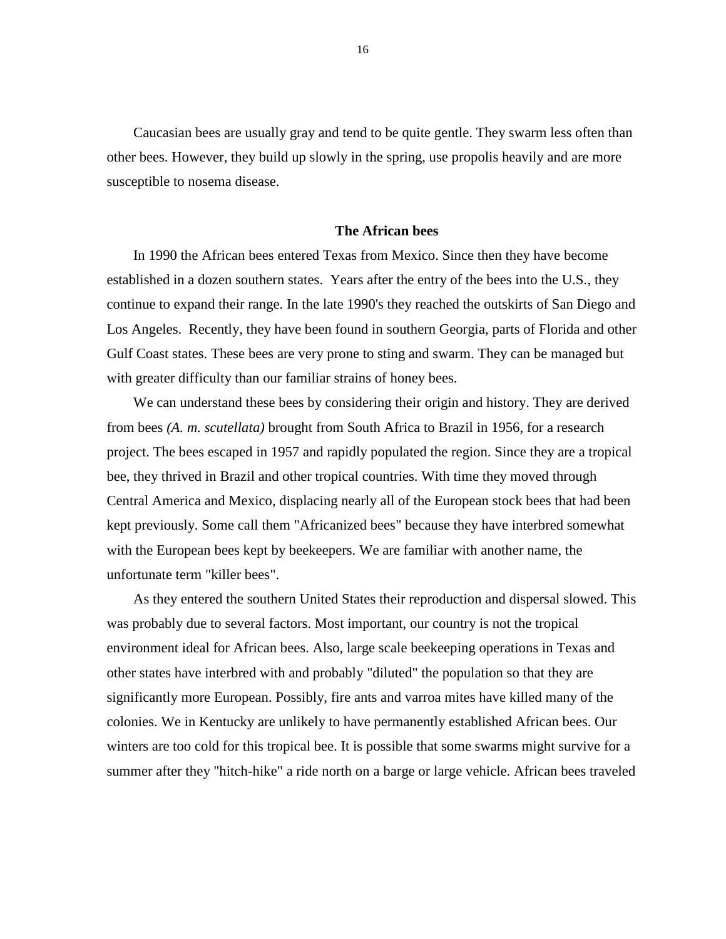Caucasian bees are usually gray and tend to be quite gentle. They swarm less often than other bees. However, they build up slowly in the spring, use propolis heavily and are more susceptible to nosema disease.

### **The African bees**

In 1990 the African bees entered Texas from Mexico. Since then they have become established in a dozen southern states. Years after the entry of the bees into the U.S., they continue to expand their range. In the late 1990's they reached the outskirts of San Diego and Los Angeles. Recently, they have been found in southern Georgia, parts of Florida and other Gulf Coast states. These bees are very prone to sting and swarm. They can be managed but with greater difficulty than our familiar strains of honey bees.

We can understand these bees by considering their origin and history. They are derived from bees *(A. m. scutellata)* brought from South Africa to Brazil in 1956, for a research project. The bees escaped in 1957 and rapidly populated the region. Since they are a tropical bee, they thrived in Brazil and other tropical countries. With time they moved through Central America and Mexico, displacing nearly all of the European stock bees that had been kept previously. Some call them "Africanized bees" because they have interbred somewhat with the European bees kept by beekeepers. We are familiar with another name, the unfortunate term "killer bees".

As they entered the southern United States their reproduction and dispersal slowed. This was probably due to several factors. Most important, our country is not the tropical environment ideal for African bees. Also, large scale beekeeping operations in Texas and other states have interbred with and probably "diluted" the population so that they are significantly more European. Possibly, fire ants and varroa mites have killed many of the colonies. We in Kentucky are unlikely to have permanently established African bees. Our winters are too cold for this tropical bee. It is possible that some swarms might survive for a summer after they "hitch-hike" a ride north on a barge or large vehicle. African bees traveled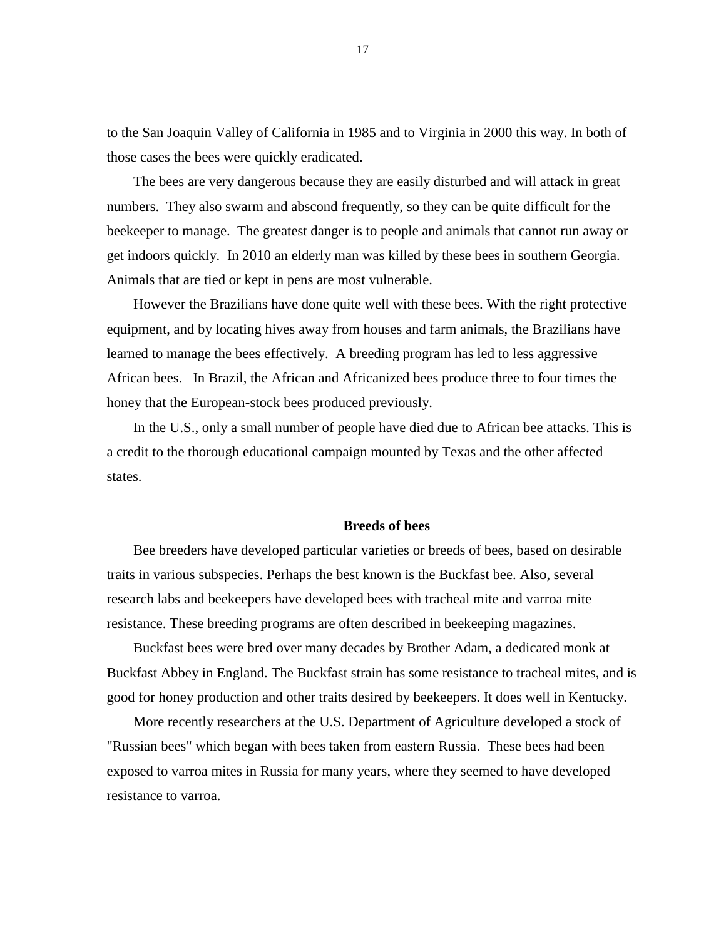to the San Joaquin Valley of California in 1985 and to Virginia in 2000 this way. In both of those cases the bees were quickly eradicated.

The bees are very dangerous because they are easily disturbed and will attack in great numbers. They also swarm and abscond frequently, so they can be quite difficult for the beekeeper to manage. The greatest danger is to people and animals that cannot run away or get indoors quickly. In 2010 an elderly man was killed by these bees in southern Georgia. Animals that are tied or kept in pens are most vulnerable.

However the Brazilians have done quite well with these bees. With the right protective equipment, and by locating hives away from houses and farm animals, the Brazilians have learned to manage the bees effectively. A breeding program has led to less aggressive African bees. In Brazil, the African and Africanized bees produce three to four times the honey that the European-stock bees produced previously.

In the U.S., only a small number of people have died due to African bee attacks. This is a credit to the thorough educational campaign mounted by Texas and the other affected states.

### **Breeds of bees**

Bee breeders have developed particular varieties or breeds of bees, based on desirable traits in various subspecies. Perhaps the best known is the Buckfast bee. Also, several research labs and beekeepers have developed bees with tracheal mite and varroa mite resistance. These breeding programs are often described in beekeeping magazines.

Buckfast bees were bred over many decades by Brother Adam, a dedicated monk at Buckfast Abbey in England. The Buckfast strain has some resistance to tracheal mites, and is good for honey production and other traits desired by beekeepers. It does well in Kentucky.

More recently researchers at the U.S. Department of Agriculture developed a stock of "Russian bees" which began with bees taken from eastern Russia. These bees had been exposed to varroa mites in Russia for many years, where they seemed to have developed resistance to varroa.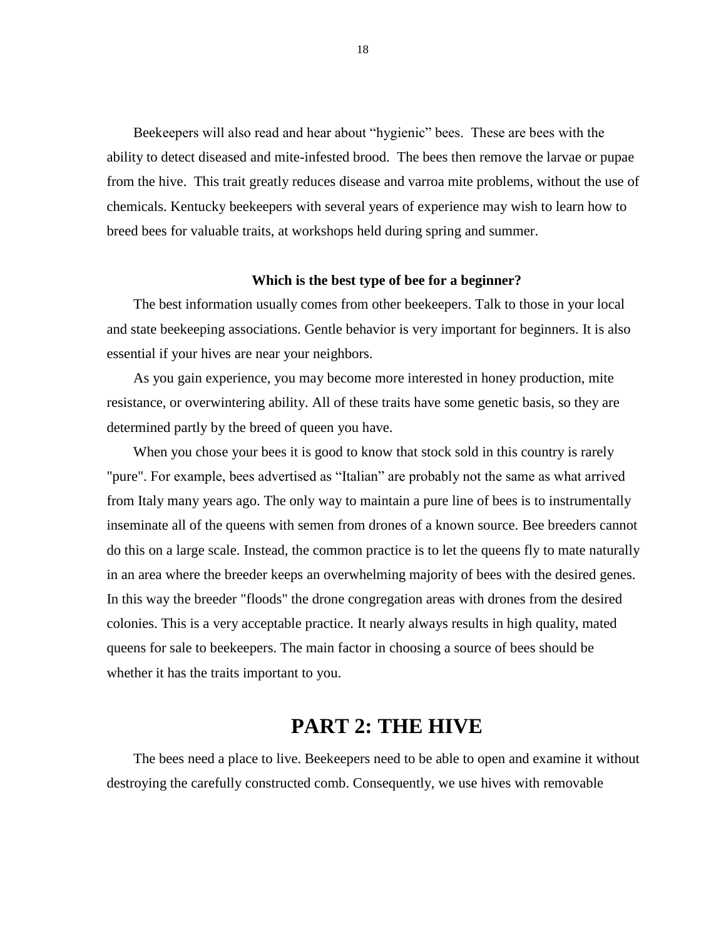Beekeepers will also read and hear about "hygienic" bees. These are bees with the ability to detect diseased and mite-infested brood. The bees then remove the larvae or pupae from the hive. This trait greatly reduces disease and varroa mite problems, without the use of chemicals. Kentucky beekeepers with several years of experience may wish to learn how to breed bees for valuable traits, at workshops held during spring and summer.

### **Which is the best type of bee for a beginner?**

The best information usually comes from other beekeepers. Talk to those in your local and state beekeeping associations. Gentle behavior is very important for beginners. It is also essential if your hives are near your neighbors.

As you gain experience, you may become more interested in honey production, mite resistance, or overwintering ability. All of these traits have some genetic basis, so they are determined partly by the breed of queen you have.

When you chose your bees it is good to know that stock sold in this country is rarely "pure". For example, bees advertised as "Italian" are probably not the same as what arrived from Italy many years ago. The only way to maintain a pure line of bees is to instrumentally inseminate all of the queens with semen from drones of a known source. Bee breeders cannot do this on a large scale. Instead, the common practice is to let the queens fly to mate naturally in an area where the breeder keeps an overwhelming majority of bees with the desired genes. In this way the breeder "floods" the drone congregation areas with drones from the desired colonies. This is a very acceptable practice. It nearly always results in high quality, mated queens for sale to beekeepers. The main factor in choosing a source of bees should be whether it has the traits important to you.

# **PART 2: THE HIVE**

The bees need a place to live. Beekeepers need to be able to open and examine it without destroying the carefully constructed comb. Consequently, we use hives with removable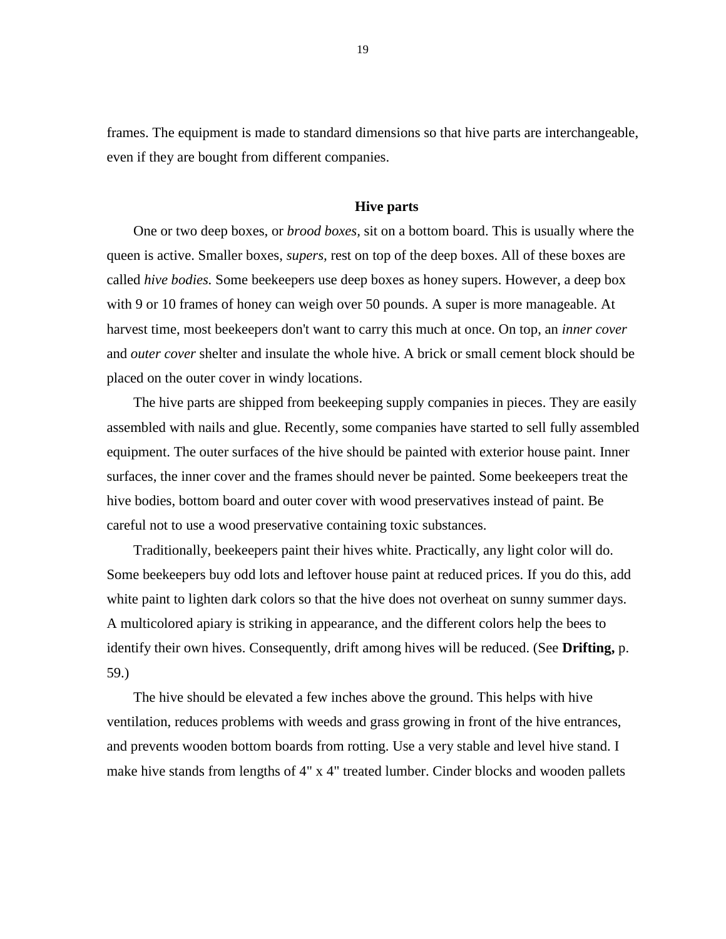frames. The equipment is made to standard dimensions so that hive parts are interchangeable, even if they are bought from different companies.

### **Hive parts**

One or two deep boxes, or *brood boxes,* sit on a bottom board. This is usually where the queen is active. Smaller boxes, *supers,* rest on top of the deep boxes. All of these boxes are called *hive bodies.* Some beekeepers use deep boxes as honey supers. However, a deep box with 9 or 10 frames of honey can weigh over 50 pounds. A super is more manageable. At harvest time, most beekeepers don't want to carry this much at once. On top, an *inner cover*  and *outer cover* shelter and insulate the whole hive. A brick or small cement block should be placed on the outer cover in windy locations.

The hive parts are shipped from beekeeping supply companies in pieces. They are easily assembled with nails and glue. Recently, some companies have started to sell fully assembled equipment. The outer surfaces of the hive should be painted with exterior house paint. Inner surfaces, the inner cover and the frames should never be painted. Some beekeepers treat the hive bodies, bottom board and outer cover with wood preservatives instead of paint. Be careful not to use a wood preservative containing toxic substances.

Traditionally, beekeepers paint their hives white. Practically, any light color will do. Some beekeepers buy odd lots and leftover house paint at reduced prices. If you do this, add white paint to lighten dark colors so that the hive does not overheat on sunny summer days. A multicolored apiary is striking in appearance, and the different colors help the bees to identify their own hives. Consequently, drift among hives will be reduced. (See **Drifting,** p. 59.)

The hive should be elevated a few inches above the ground. This helps with hive ventilation, reduces problems with weeds and grass growing in front of the hive entrances, and prevents wooden bottom boards from rotting. Use a very stable and level hive stand. I make hive stands from lengths of 4" x 4" treated lumber. Cinder blocks and wooden pallets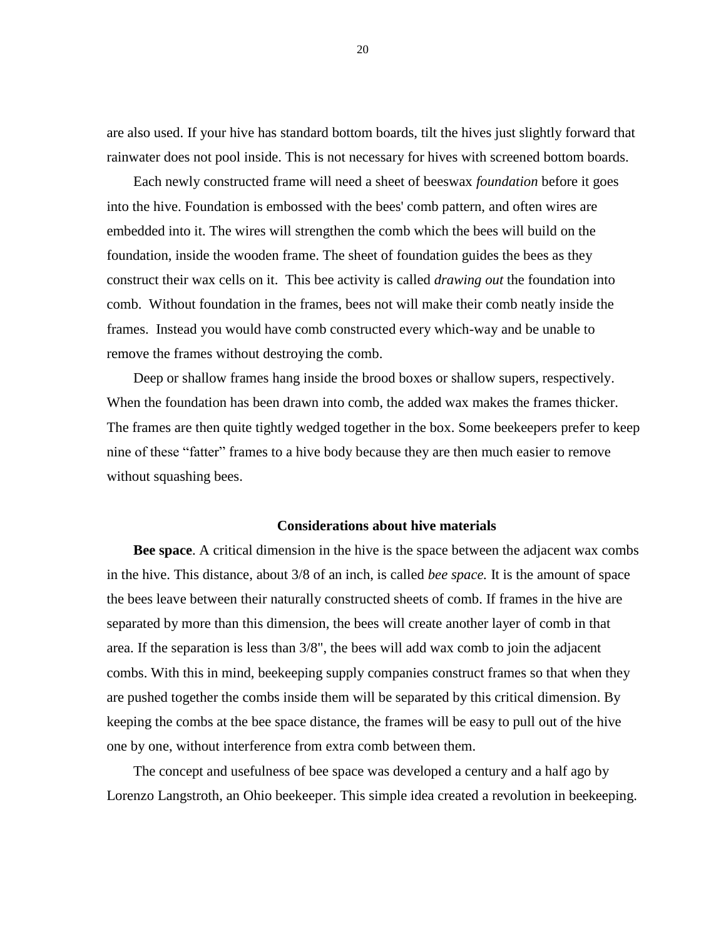are also used. If your hive has standard bottom boards, tilt the hives just slightly forward that rainwater does not pool inside. This is not necessary for hives with screened bottom boards.

Each newly constructed frame will need a sheet of beeswax *foundation* before it goes into the hive. Foundation is embossed with the bees' comb pattern, and often wires are embedded into it. The wires will strengthen the comb which the bees will build on the foundation, inside the wooden frame. The sheet of foundation guides the bees as they construct their wax cells on it. This bee activity is called *drawing out* the foundation into comb. Without foundation in the frames, bees not will make their comb neatly inside the frames. Instead you would have comb constructed every which-way and be unable to remove the frames without destroying the comb.

Deep or shallow frames hang inside the brood boxes or shallow supers, respectively. When the foundation has been drawn into comb, the added wax makes the frames thicker. The frames are then quite tightly wedged together in the box. Some beekeepers prefer to keep nine of these "fatter" frames to a hive body because they are then much easier to remove without squashing bees.

### **Considerations about hive materials**

**Bee space**. A critical dimension in the hive is the space between the adjacent wax combs in the hive. This distance, about 3/8 of an inch, is called *bee space.* It is the amount of space the bees leave between their naturally constructed sheets of comb. If frames in the hive are separated by more than this dimension, the bees will create another layer of comb in that area. If the separation is less than 3/8", the bees will add wax comb to join the adjacent combs. With this in mind, beekeeping supply companies construct frames so that when they are pushed together the combs inside them will be separated by this critical dimension. By keeping the combs at the bee space distance, the frames will be easy to pull out of the hive one by one, without interference from extra comb between them.

The concept and usefulness of bee space was developed a century and a half ago by Lorenzo Langstroth, an Ohio beekeeper. This simple idea created a revolution in beekeeping.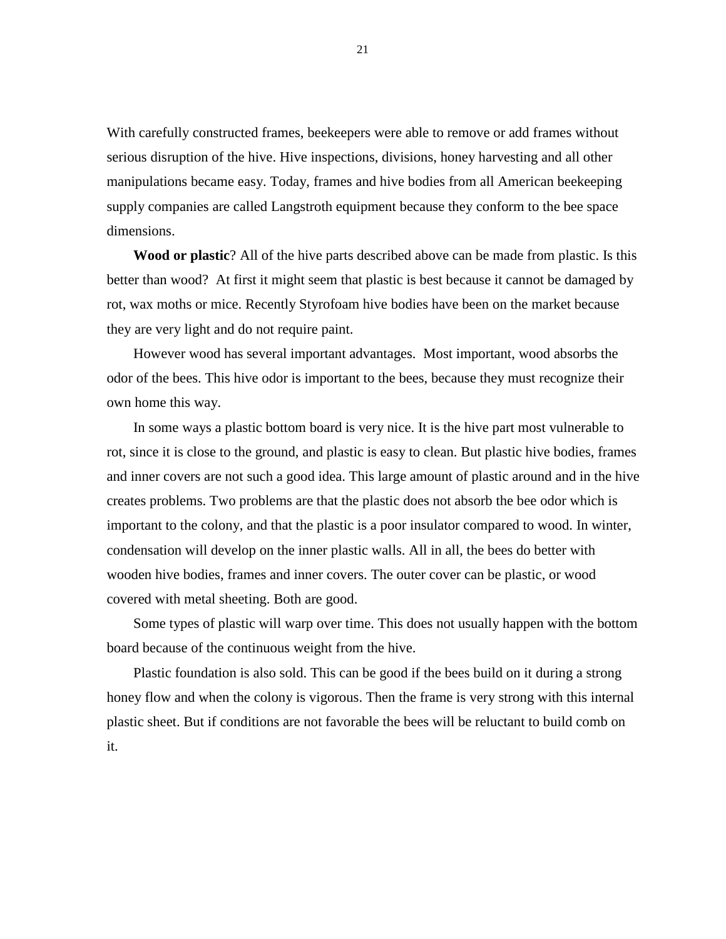With carefully constructed frames, beekeepers were able to remove or add frames without serious disruption of the hive. Hive inspections, divisions, honey harvesting and all other manipulations became easy. Today, frames and hive bodies from all American beekeeping supply companies are called Langstroth equipment because they conform to the bee space dimensions.

**Wood or plastic**? All of the hive parts described above can be made from plastic. Is this better than wood? At first it might seem that plastic is best because it cannot be damaged by rot, wax moths or mice. Recently Styrofoam hive bodies have been on the market because they are very light and do not require paint.

However wood has several important advantages. Most important, wood absorbs the odor of the bees. This hive odor is important to the bees, because they must recognize their own home this way.

In some ways a plastic bottom board is very nice. It is the hive part most vulnerable to rot, since it is close to the ground, and plastic is easy to clean. But plastic hive bodies, frames and inner covers are not such a good idea. This large amount of plastic around and in the hive creates problems. Two problems are that the plastic does not absorb the bee odor which is important to the colony, and that the plastic is a poor insulator compared to wood. In winter, condensation will develop on the inner plastic walls. All in all, the bees do better with wooden hive bodies, frames and inner covers. The outer cover can be plastic, or wood covered with metal sheeting. Both are good.

Some types of plastic will warp over time. This does not usually happen with the bottom board because of the continuous weight from the hive.

Plastic foundation is also sold. This can be good if the bees build on it during a strong honey flow and when the colony is vigorous. Then the frame is very strong with this internal plastic sheet. But if conditions are not favorable the bees will be reluctant to build comb on it.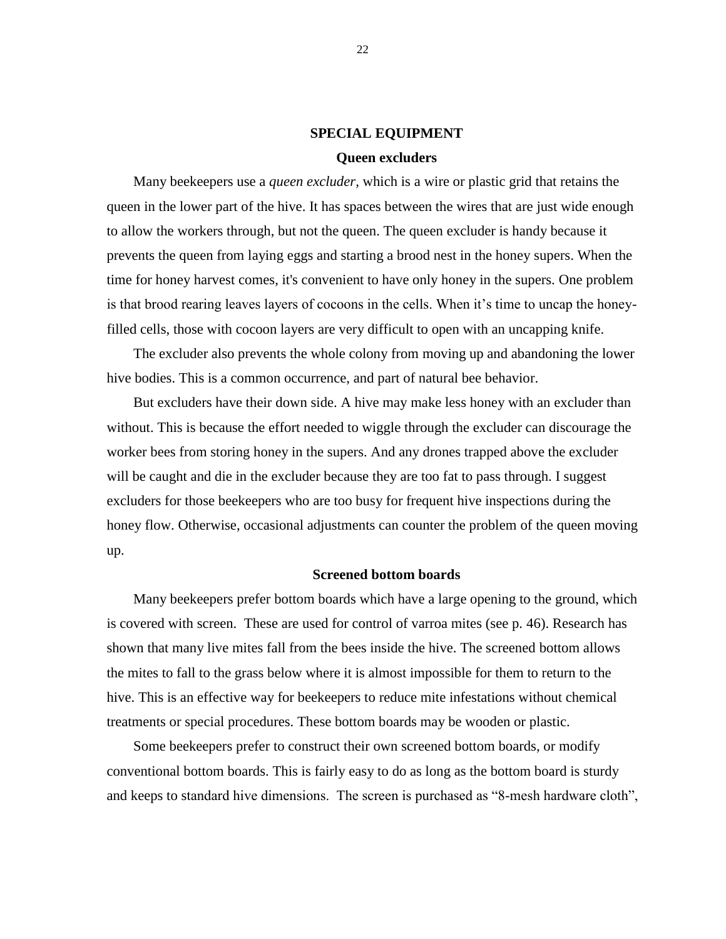# **SPECIAL EQUIPMENT Queen excluders**

Many beekeepers use a *queen excluder,* which is a wire or plastic grid that retains the queen in the lower part of the hive. It has spaces between the wires that are just wide enough to allow the workers through, but not the queen. The queen excluder is handy because it prevents the queen from laying eggs and starting a brood nest in the honey supers. When the time for honey harvest comes, it's convenient to have only honey in the supers. One problem is that brood rearing leaves layers of cocoons in the cells. When it's time to uncap the honeyfilled cells, those with cocoon layers are very difficult to open with an uncapping knife.

The excluder also prevents the whole colony from moving up and abandoning the lower hive bodies. This is a common occurrence, and part of natural bee behavior.

But excluders have their down side. A hive may make less honey with an excluder than without. This is because the effort needed to wiggle through the excluder can discourage the worker bees from storing honey in the supers. And any drones trapped above the excluder will be caught and die in the excluder because they are too fat to pass through. I suggest excluders for those beekeepers who are too busy for frequent hive inspections during the honey flow. Otherwise, occasional adjustments can counter the problem of the queen moving up.

### **Screened bottom boards**

Many beekeepers prefer bottom boards which have a large opening to the ground, which is covered with screen. These are used for control of varroa mites (see p. 46). Research has shown that many live mites fall from the bees inside the hive. The screened bottom allows the mites to fall to the grass below where it is almost impossible for them to return to the hive. This is an effective way for beekeepers to reduce mite infestations without chemical treatments or special procedures. These bottom boards may be wooden or plastic.

Some beekeepers prefer to construct their own screened bottom boards, or modify conventional bottom boards. This is fairly easy to do as long as the bottom board is sturdy and keeps to standard hive dimensions. The screen is purchased as "8-mesh hardware cloth",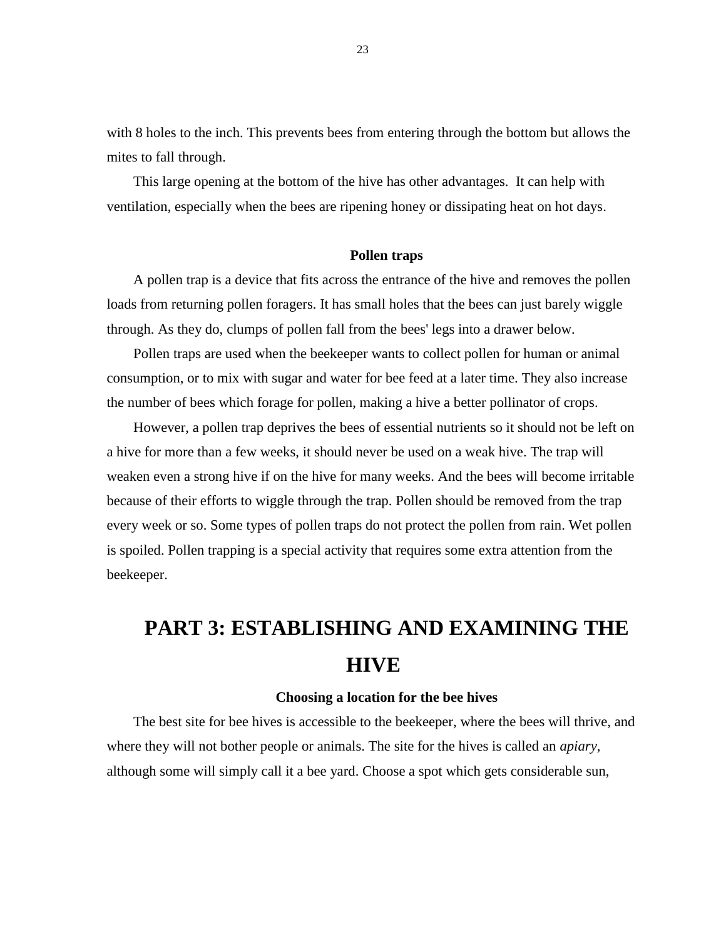with 8 holes to the inch. This prevents bees from entering through the bottom but allows the mites to fall through.

This large opening at the bottom of the hive has other advantages. It can help with ventilation, especially when the bees are ripening honey or dissipating heat on hot days.

### **Pollen traps**

A pollen trap is a device that fits across the entrance of the hive and removes the pollen loads from returning pollen foragers. It has small holes that the bees can just barely wiggle through. As they do, clumps of pollen fall from the bees' legs into a drawer below.

Pollen traps are used when the beekeeper wants to collect pollen for human or animal consumption, or to mix with sugar and water for bee feed at a later time. They also increase the number of bees which forage for pollen, making a hive a better pollinator of crops.

However, a pollen trap deprives the bees of essential nutrients so it should not be left on a hive for more than a few weeks, it should never be used on a weak hive. The trap will weaken even a strong hive if on the hive for many weeks. And the bees will become irritable because of their efforts to wiggle through the trap. Pollen should be removed from the trap every week or so. Some types of pollen traps do not protect the pollen from rain. Wet pollen is spoiled. Pollen trapping is a special activity that requires some extra attention from the beekeeper.

# **PART 3: ESTABLISHING AND EXAMINING THE HIVE**

### **Choosing a location for the bee hives**

The best site for bee hives is accessible to the beekeeper, where the bees will thrive, and where they will not bother people or animals. The site for the hives is called an *apiary,*  although some will simply call it a bee yard. Choose a spot which gets considerable sun,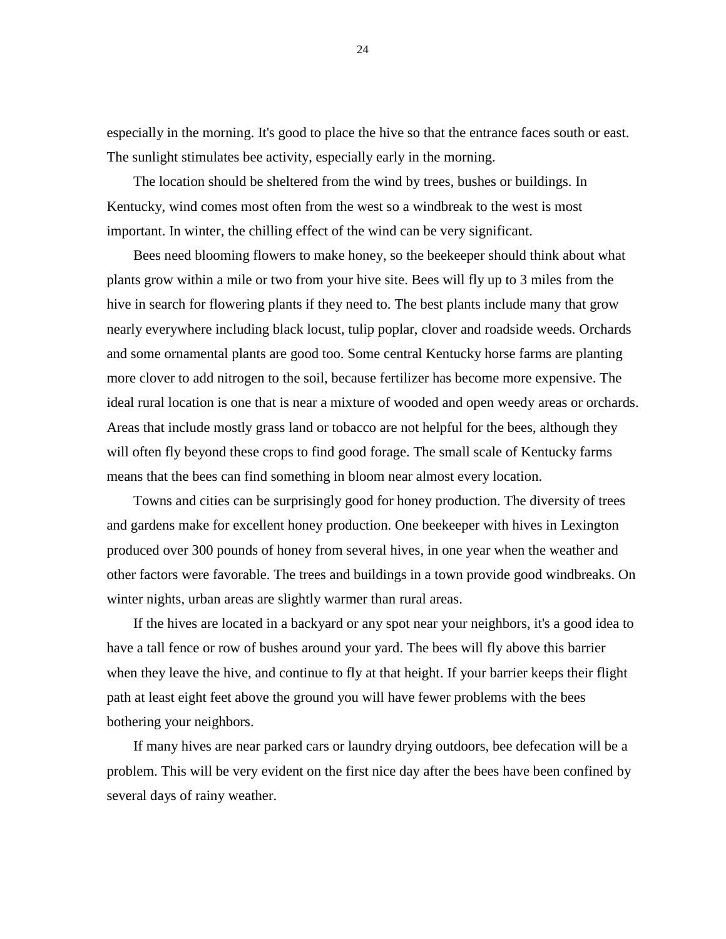especially in the morning. It's good to place the hive so that the entrance faces south or east. The sunlight stimulates bee activity, especially early in the morning.

The location should be sheltered from the wind by trees, bushes or buildings. In Kentucky, wind comes most often from the west so a windbreak to the west is most important. In winter, the chilling effect of the wind can be very significant.

Bees need blooming flowers to make honey, so the beekeeper should think about what plants grow within a mile or two from your hive site. Bees will fly up to 3 miles from the hive in search for flowering plants if they need to. The best plants include many that grow nearly everywhere including black locust, tulip poplar, clover and roadside weeds. Orchards and some ornamental plants are good too. Some central Kentucky horse farms are planting more clover to add nitrogen to the soil, because fertilizer has become more expensive. The ideal rural location is one that is near a mixture of wooded and open weedy areas or orchards. Areas that include mostly grass land or tobacco are not helpful for the bees, although they will often fly beyond these crops to find good forage. The small scale of Kentucky farms means that the bees can find something in bloom near almost every location.

Towns and cities can be surprisingly good for honey production. The diversity of trees and gardens make for excellent honey production. One beekeeper with hives in Lexington produced over 300 pounds of honey from several hives, in one year when the weather and other factors were favorable. The trees and buildings in a town provide good windbreaks. On winter nights, urban areas are slightly warmer than rural areas.

If the hives are located in a backyard or any spot near your neighbors, it's a good idea to have a tall fence or row of bushes around your yard. The bees will fly above this barrier when they leave the hive, and continue to fly at that height. If your barrier keeps their flight path at least eight feet above the ground you will have fewer problems with the bees bothering your neighbors.

If many hives are near parked cars or laundry drying outdoors, bee defecation will be a problem. This will be very evident on the first nice day after the bees have been confined by several days of rainy weather.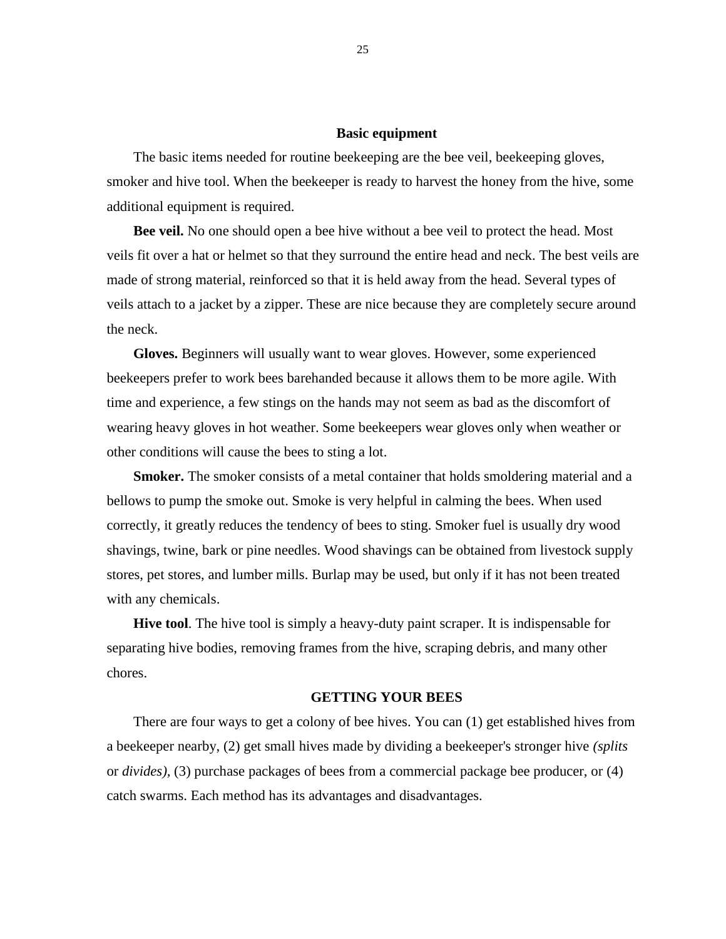### **Basic equipment**

The basic items needed for routine beekeeping are the bee veil, beekeeping gloves, smoker and hive tool. When the beekeeper is ready to harvest the honey from the hive, some additional equipment is required.

**Bee veil.** No one should open a bee hive without a bee veil to protect the head. Most veils fit over a hat or helmet so that they surround the entire head and neck. The best veils are made of strong material, reinforced so that it is held away from the head. Several types of veils attach to a jacket by a zipper. These are nice because they are completely secure around the neck.

**Gloves.** Beginners will usually want to wear gloves. However, some experienced beekeepers prefer to work bees barehanded because it allows them to be more agile. With time and experience, a few stings on the hands may not seem as bad as the discomfort of wearing heavy gloves in hot weather. Some beekeepers wear gloves only when weather or other conditions will cause the bees to sting a lot.

**Smoker.** The smoker consists of a metal container that holds smoldering material and a bellows to pump the smoke out. Smoke is very helpful in calming the bees. When used correctly, it greatly reduces the tendency of bees to sting. Smoker fuel is usually dry wood shavings, twine, bark or pine needles. Wood shavings can be obtained from livestock supply stores, pet stores, and lumber mills. Burlap may be used, but only if it has not been treated with any chemicals.

**Hive tool**. The hive tool is simply a heavy-duty paint scraper. It is indispensable for separating hive bodies, removing frames from the hive, scraping debris, and many other chores.

### **GETTING YOUR BEES**

There are four ways to get a colony of bee hives. You can (1) get established hives from a beekeeper nearby, (2) get small hives made by dividing a beekeeper's stronger hive *(splits*  or *divides),* (3) purchase packages of bees from a commercial package bee producer, or (4) catch swarms. Each method has its advantages and disadvantages.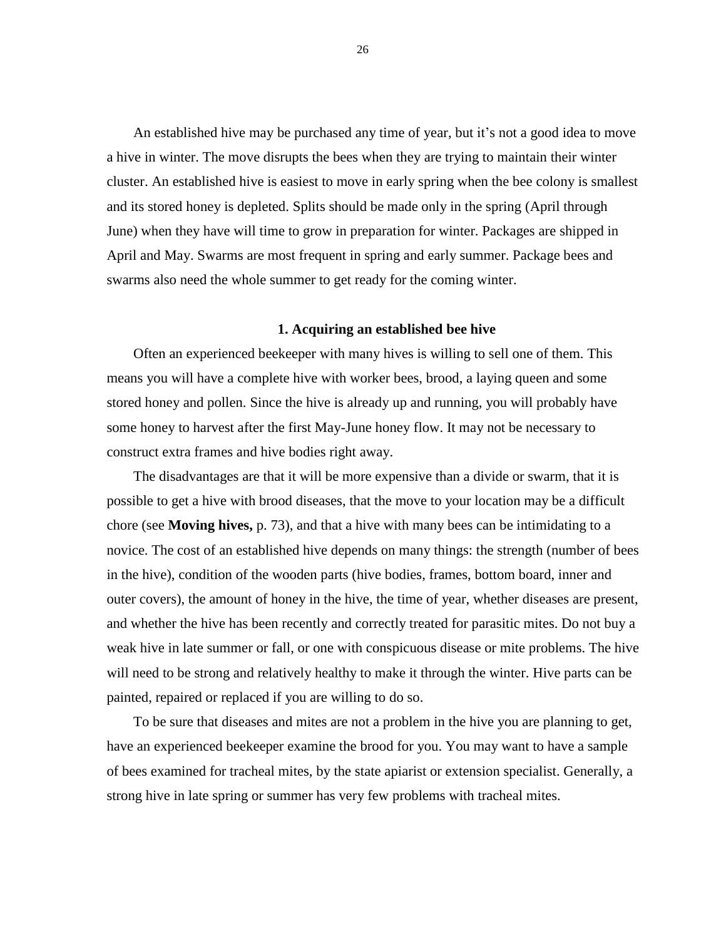An established hive may be purchased any time of year, but it's not a good idea to move a hive in winter. The move disrupts the bees when they are trying to maintain their winter cluster. An established hive is easiest to move in early spring when the bee colony is smallest and its stored honey is depleted. Splits should be made only in the spring (April through June) when they have will time to grow in preparation for winter. Packages are shipped in April and May. Swarms are most frequent in spring and early summer. Package bees and swarms also need the whole summer to get ready for the coming winter.

### **1. Acquiring an established bee hive**

Often an experienced beekeeper with many hives is willing to sell one of them. This means you will have a complete hive with worker bees, brood, a laying queen and some stored honey and pollen. Since the hive is already up and running, you will probably have some honey to harvest after the first May-June honey flow. It may not be necessary to construct extra frames and hive bodies right away.

The disadvantages are that it will be more expensive than a divide or swarm, that it is possible to get a hive with brood diseases, that the move to your location may be a difficult chore (see **Moving hives,** p. 73), and that a hive with many bees can be intimidating to a novice. The cost of an established hive depends on many things: the strength (number of bees in the hive), condition of the wooden parts (hive bodies, frames, bottom board, inner and outer covers), the amount of honey in the hive, the time of year, whether diseases are present, and whether the hive has been recently and correctly treated for parasitic mites. Do not buy a weak hive in late summer or fall, or one with conspicuous disease or mite problems. The hive will need to be strong and relatively healthy to make it through the winter. Hive parts can be painted, repaired or replaced if you are willing to do so.

To be sure that diseases and mites are not a problem in the hive you are planning to get, have an experienced beekeeper examine the brood for you. You may want to have a sample of bees examined for tracheal mites, by the state apiarist or extension specialist. Generally, a strong hive in late spring or summer has very few problems with tracheal mites.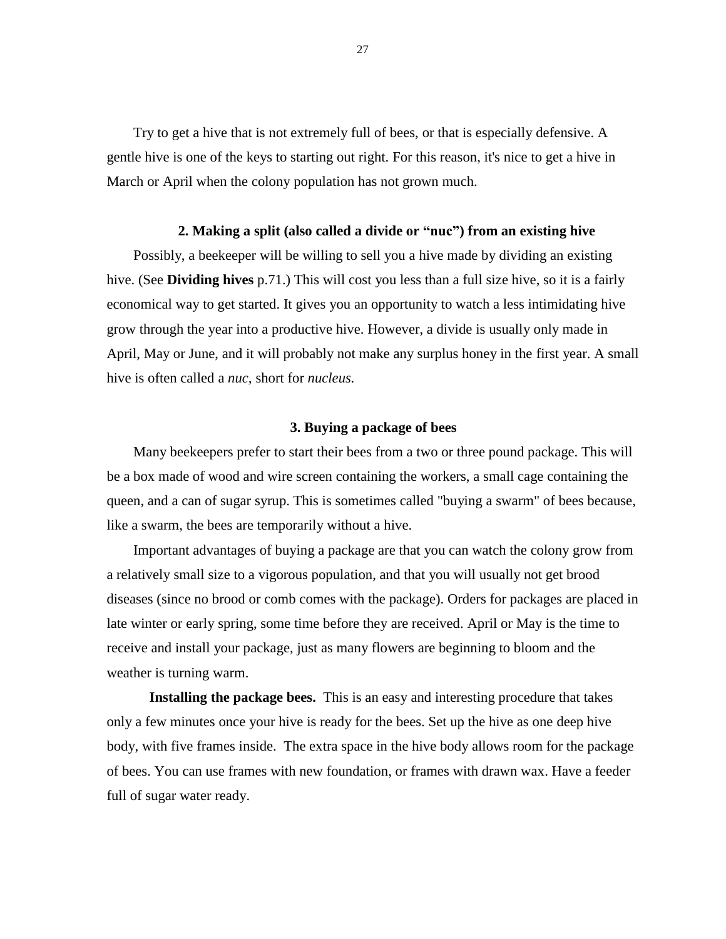Try to get a hive that is not extremely full of bees, or that is especially defensive. A gentle hive is one of the keys to starting out right. For this reason, it's nice to get a hive in March or April when the colony population has not grown much.

### **2. Making a split (also called a divide or "nuc") from an existing hive**

Possibly, a beekeeper will be willing to sell you a hive made by dividing an existing hive. (See **Dividing hives** p.71.) This will cost you less than a full size hive, so it is a fairly economical way to get started. It gives you an opportunity to watch a less intimidating hive grow through the year into a productive hive. However, a divide is usually only made in April, May or June, and it will probably not make any surplus honey in the first year. A small hive is often called a *nuc,* short for *nucleus.*

### **3. Buying a package of bees**

Many beekeepers prefer to start their bees from a two or three pound package. This will be a box made of wood and wire screen containing the workers, a small cage containing the queen, and a can of sugar syrup. This is sometimes called "buying a swarm" of bees because, like a swarm, the bees are temporarily without a hive.

Important advantages of buying a package are that you can watch the colony grow from a relatively small size to a vigorous population, and that you will usually not get brood diseases (since no brood or comb comes with the package). Orders for packages are placed in late winter or early spring, some time before they are received. April or May is the time to receive and install your package, just as many flowers are beginning to bloom and the weather is turning warm.

**Installing the package bees.** This is an easy and interesting procedure that takes only a few minutes once your hive is ready for the bees. Set up the hive as one deep hive body, with five frames inside. The extra space in the hive body allows room for the package of bees. You can use frames with new foundation, or frames with drawn wax. Have a feeder full of sugar water ready.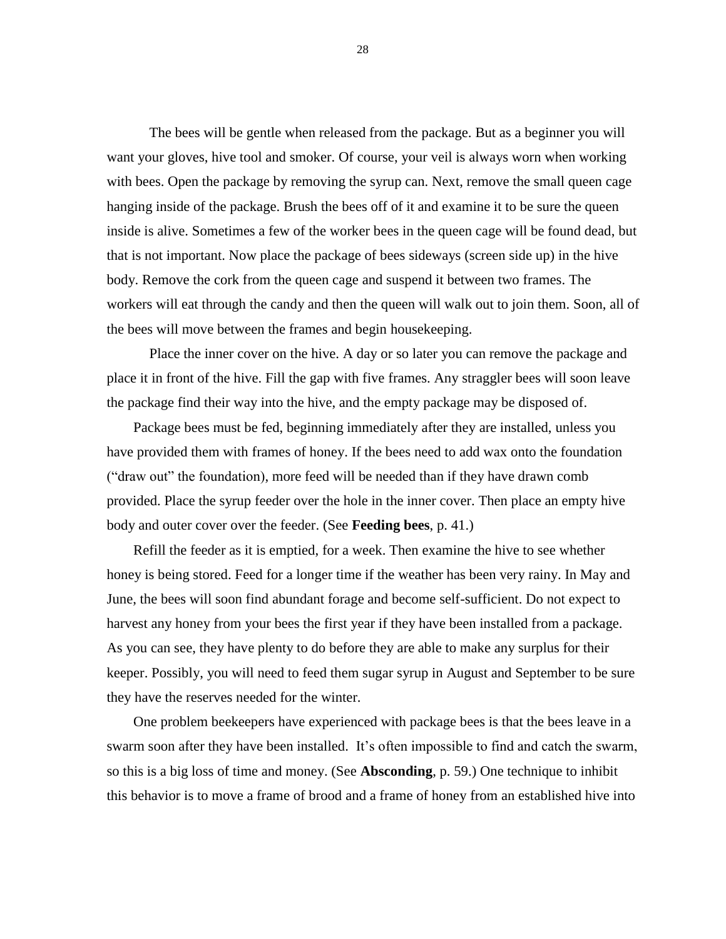The bees will be gentle when released from the package. But as a beginner you will want your gloves, hive tool and smoker. Of course, your veil is always worn when working with bees. Open the package by removing the syrup can. Next, remove the small queen cage hanging inside of the package. Brush the bees off of it and examine it to be sure the queen inside is alive. Sometimes a few of the worker bees in the queen cage will be found dead, but that is not important. Now place the package of bees sideways (screen side up) in the hive body. Remove the cork from the queen cage and suspend it between two frames. The workers will eat through the candy and then the queen will walk out to join them. Soon, all of the bees will move between the frames and begin housekeeping.

Place the inner cover on the hive. A day or so later you can remove the package and place it in front of the hive. Fill the gap with five frames. Any straggler bees will soon leave the package find their way into the hive, and the empty package may be disposed of.

Package bees must be fed, beginning immediately after they are installed, unless you have provided them with frames of honey. If the bees need to add wax onto the foundation ("draw out" the foundation), more feed will be needed than if they have drawn comb provided. Place the syrup feeder over the hole in the inner cover. Then place an empty hive body and outer cover over the feeder. (See **Feeding bees**, p. 41.)

Refill the feeder as it is emptied, for a week. Then examine the hive to see whether honey is being stored. Feed for a longer time if the weather has been very rainy. In May and June, the bees will soon find abundant forage and become self-sufficient. Do not expect to harvest any honey from your bees the first year if they have been installed from a package. As you can see, they have plenty to do before they are able to make any surplus for their keeper. Possibly, you will need to feed them sugar syrup in August and September to be sure they have the reserves needed for the winter.

One problem beekeepers have experienced with package bees is that the bees leave in a swarm soon after they have been installed. It's often impossible to find and catch the swarm, so this is a big loss of time and money. (See **Absconding**, p. 59.) One technique to inhibit this behavior is to move a frame of brood and a frame of honey from an established hive into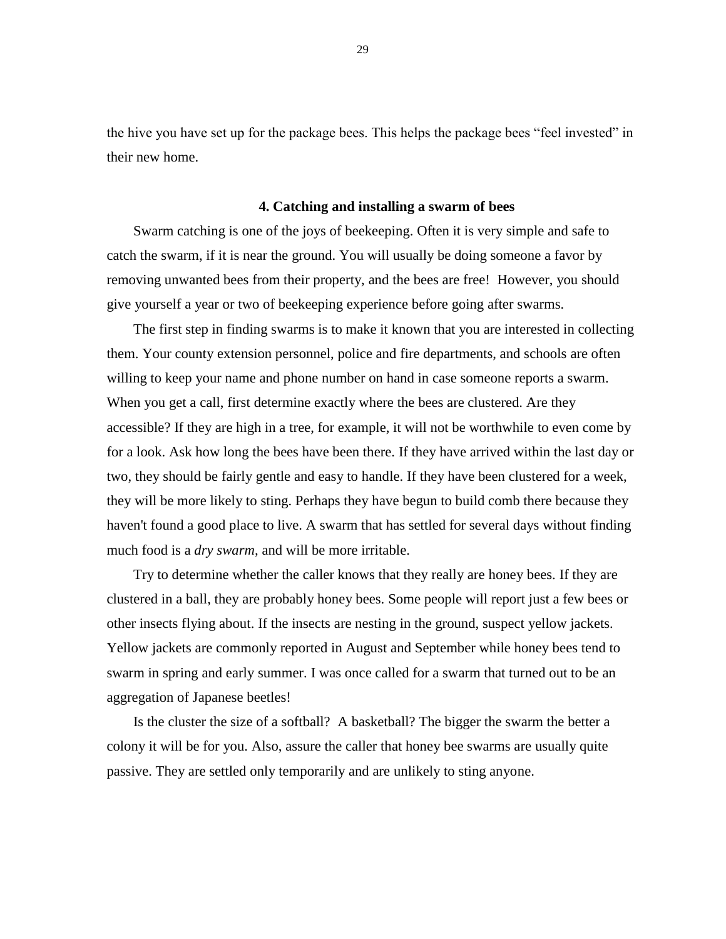the hive you have set up for the package bees. This helps the package bees "feel invested" in their new home.

#### **4. Catching and installing a swarm of bees**

Swarm catching is one of the joys of beekeeping. Often it is very simple and safe to catch the swarm, if it is near the ground. You will usually be doing someone a favor by removing unwanted bees from their property, and the bees are free! However, you should give yourself a year or two of beekeeping experience before going after swarms.

The first step in finding swarms is to make it known that you are interested in collecting them. Your county extension personnel, police and fire departments, and schools are often willing to keep your name and phone number on hand in case someone reports a swarm. When you get a call, first determine exactly where the bees are clustered. Are they accessible? If they are high in a tree, for example, it will not be worthwhile to even come by for a look. Ask how long the bees have been there. If they have arrived within the last day or two, they should be fairly gentle and easy to handle. If they have been clustered for a week, they will be more likely to sting. Perhaps they have begun to build comb there because they haven't found a good place to live. A swarm that has settled for several days without finding much food is a *dry swarm,* and will be more irritable.

Try to determine whether the caller knows that they really are honey bees. If they are clustered in a ball, they are probably honey bees. Some people will report just a few bees or other insects flying about. If the insects are nesting in the ground, suspect yellow jackets. Yellow jackets are commonly reported in August and September while honey bees tend to swarm in spring and early summer. I was once called for a swarm that turned out to be an aggregation of Japanese beetles!

Is the cluster the size of a softball? A basketball? The bigger the swarm the better a colony it will be for you. Also, assure the caller that honey bee swarms are usually quite passive. They are settled only temporarily and are unlikely to sting anyone.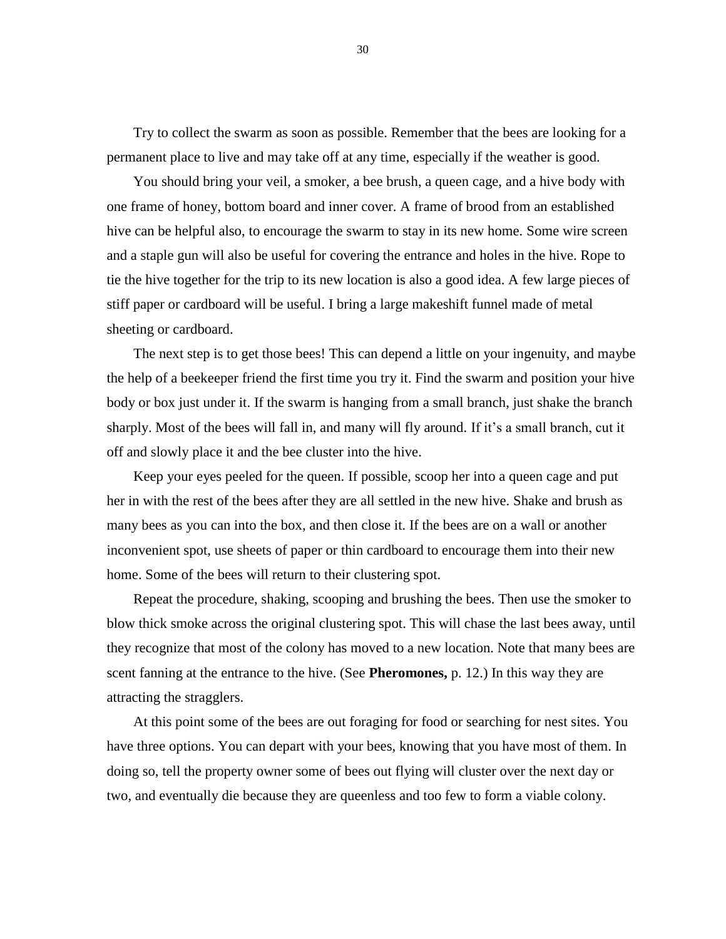Try to collect the swarm as soon as possible. Remember that the bees are looking for a permanent place to live and may take off at any time, especially if the weather is good.

You should bring your veil, a smoker, a bee brush, a queen cage, and a hive body with one frame of honey, bottom board and inner cover. A frame of brood from an established hive can be helpful also, to encourage the swarm to stay in its new home. Some wire screen and a staple gun will also be useful for covering the entrance and holes in the hive. Rope to tie the hive together for the trip to its new location is also a good idea. A few large pieces of stiff paper or cardboard will be useful. I bring a large makeshift funnel made of metal sheeting or cardboard.

The next step is to get those bees! This can depend a little on your ingenuity, and maybe the help of a beekeeper friend the first time you try it. Find the swarm and position your hive body or box just under it. If the swarm is hanging from a small branch, just shake the branch sharply. Most of the bees will fall in, and many will fly around. If it's a small branch, cut it off and slowly place it and the bee cluster into the hive.

Keep your eyes peeled for the queen. If possible, scoop her into a queen cage and put her in with the rest of the bees after they are all settled in the new hive. Shake and brush as many bees as you can into the box, and then close it. If the bees are on a wall or another inconvenient spot, use sheets of paper or thin cardboard to encourage them into their new home. Some of the bees will return to their clustering spot.

Repeat the procedure, shaking, scooping and brushing the bees. Then use the smoker to blow thick smoke across the original clustering spot. This will chase the last bees away, until they recognize that most of the colony has moved to a new location. Note that many bees are scent fanning at the entrance to the hive. (See **Pheromones,** p. 12.) In this way they are attracting the stragglers.

At this point some of the bees are out foraging for food or searching for nest sites. You have three options. You can depart with your bees, knowing that you have most of them. In doing so, tell the property owner some of bees out flying will cluster over the next day or two, and eventually die because they are queenless and too few to form a viable colony.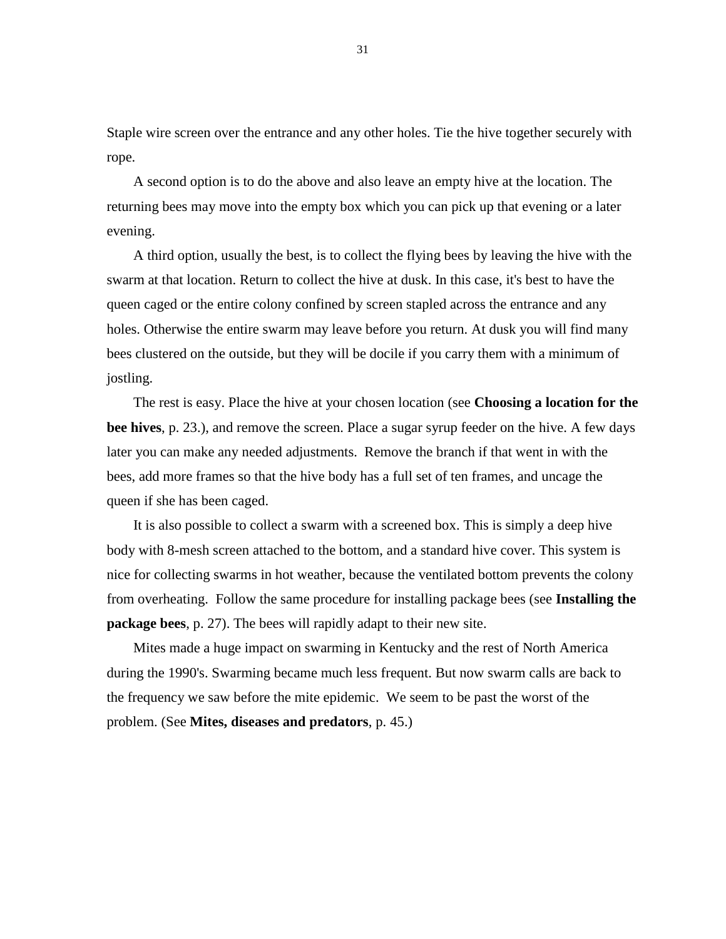Staple wire screen over the entrance and any other holes. Tie the hive together securely with rope.

A second option is to do the above and also leave an empty hive at the location. The returning bees may move into the empty box which you can pick up that evening or a later evening.

A third option, usually the best, is to collect the flying bees by leaving the hive with the swarm at that location. Return to collect the hive at dusk. In this case, it's best to have the queen caged or the entire colony confined by screen stapled across the entrance and any holes. Otherwise the entire swarm may leave before you return. At dusk you will find many bees clustered on the outside, but they will be docile if you carry them with a minimum of jostling.

The rest is easy. Place the hive at your chosen location (see **Choosing a location for the bee hives**, p. 23.), and remove the screen. Place a sugar syrup feeder on the hive. A few days later you can make any needed adjustments. Remove the branch if that went in with the bees, add more frames so that the hive body has a full set of ten frames, and uncage the queen if she has been caged.

It is also possible to collect a swarm with a screened box. This is simply a deep hive body with 8-mesh screen attached to the bottom, and a standard hive cover. This system is nice for collecting swarms in hot weather, because the ventilated bottom prevents the colony from overheating. Follow the same procedure for installing package bees (see **Installing the package bees**, p. 27). The bees will rapidly adapt to their new site.

Mites made a huge impact on swarming in Kentucky and the rest of North America during the 1990's. Swarming became much less frequent. But now swarm calls are back to the frequency we saw before the mite epidemic. We seem to be past the worst of the problem. (See **Mites, diseases and predators**, p. 45.)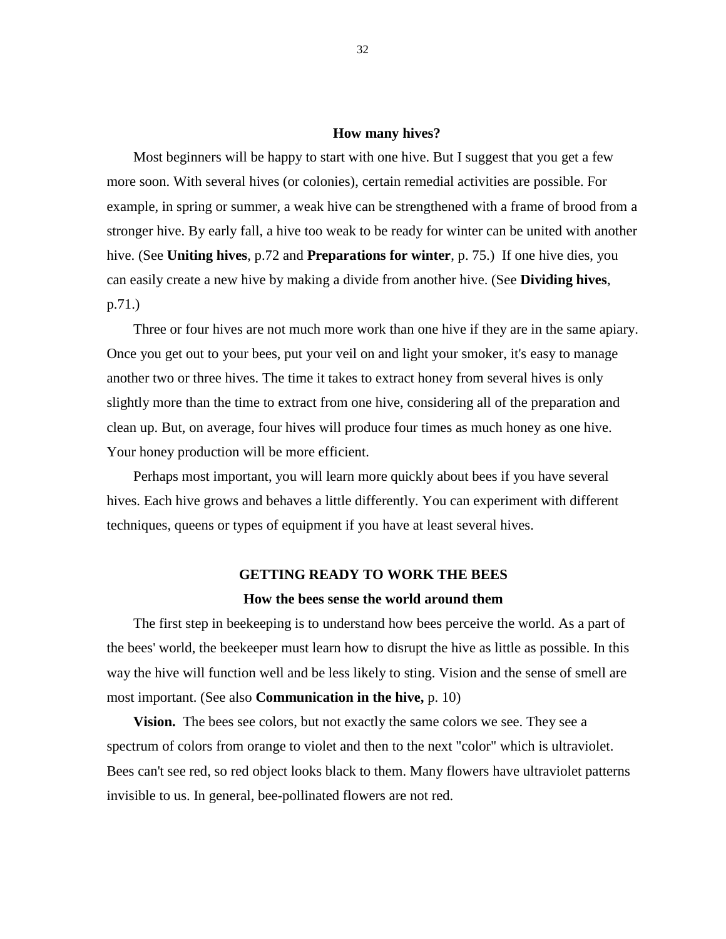### **How many hives?**

Most beginners will be happy to start with one hive. But I suggest that you get a few more soon. With several hives (or colonies), certain remedial activities are possible. For example, in spring or summer, a weak hive can be strengthened with a frame of brood from a stronger hive. By early fall, a hive too weak to be ready for winter can be united with another hive. (See **Uniting hives**, p.72 and **Preparations for winter**, p. 75.) If one hive dies, you can easily create a new hive by making a divide from another hive. (See **Dividing hives**, p.71.)

Three or four hives are not much more work than one hive if they are in the same apiary. Once you get out to your bees, put your veil on and light your smoker, it's easy to manage another two or three hives. The time it takes to extract honey from several hives is only slightly more than the time to extract from one hive, considering all of the preparation and clean up. But, on average, four hives will produce four times as much honey as one hive. Your honey production will be more efficient.

Perhaps most important, you will learn more quickly about bees if you have several hives. Each hive grows and behaves a little differently. You can experiment with different techniques, queens or types of equipment if you have at least several hives.

### **GETTING READY TO WORK THE BEES**

### **How the bees sense the world around them**

The first step in beekeeping is to understand how bees perceive the world. As a part of the bees' world, the beekeeper must learn how to disrupt the hive as little as possible. In this way the hive will function well and be less likely to sting. Vision and the sense of smell are most important. (See also **Communication in the hive,** p. 10)

**Vision.** The bees see colors, but not exactly the same colors we see. They see a spectrum of colors from orange to violet and then to the next "color" which is ultraviolet. Bees can't see red, so red object looks black to them. Many flowers have ultraviolet patterns invisible to us. In general, bee-pollinated flowers are not red.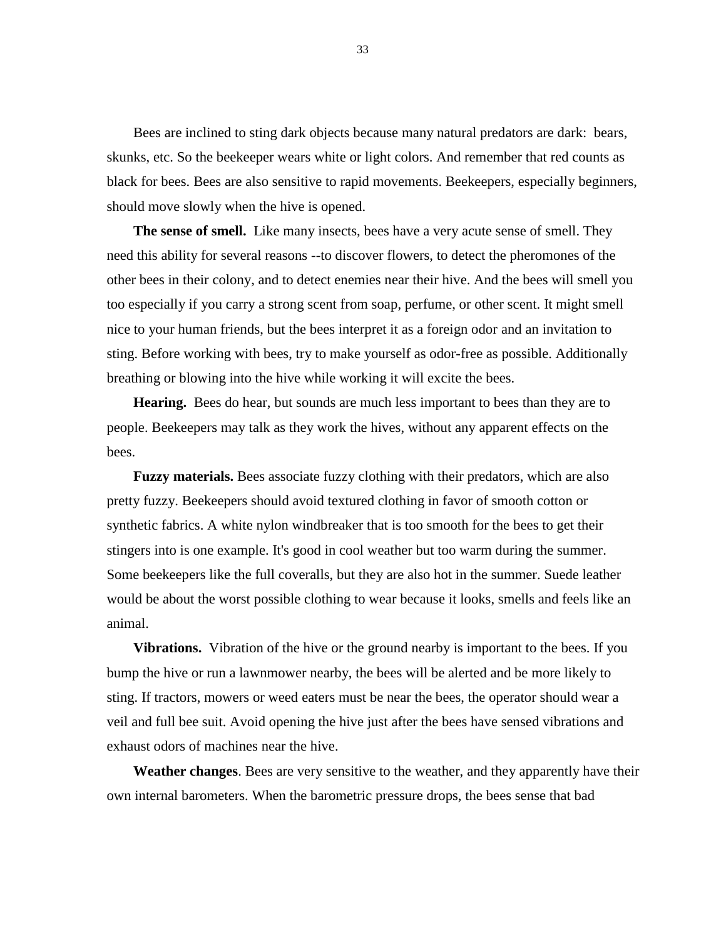Bees are inclined to sting dark objects because many natural predators are dark: bears, skunks, etc. So the beekeeper wears white or light colors. And remember that red counts as black for bees. Bees are also sensitive to rapid movements. Beekeepers, especially beginners, should move slowly when the hive is opened.

**The sense of smell.** Like many insects, bees have a very acute sense of smell. They need this ability for several reasons --to discover flowers, to detect the pheromones of the other bees in their colony, and to detect enemies near their hive. And the bees will smell you too especially if you carry a strong scent from soap, perfume, or other scent. It might smell nice to your human friends, but the bees interpret it as a foreign odor and an invitation to sting. Before working with bees, try to make yourself as odor-free as possible. Additionally breathing or blowing into the hive while working it will excite the bees.

**Hearing.** Bees do hear, but sounds are much less important to bees than they are to people. Beekeepers may talk as they work the hives, without any apparent effects on the bees.

**Fuzzy materials.** Bees associate fuzzy clothing with their predators, which are also pretty fuzzy. Beekeepers should avoid textured clothing in favor of smooth cotton or synthetic fabrics. A white nylon windbreaker that is too smooth for the bees to get their stingers into is one example. It's good in cool weather but too warm during the summer. Some beekeepers like the full coveralls, but they are also hot in the summer. Suede leather would be about the worst possible clothing to wear because it looks, smells and feels like an animal.

**Vibrations.** Vibration of the hive or the ground nearby is important to the bees. If you bump the hive or run a lawnmower nearby, the bees will be alerted and be more likely to sting. If tractors, mowers or weed eaters must be near the bees, the operator should wear a veil and full bee suit. Avoid opening the hive just after the bees have sensed vibrations and exhaust odors of machines near the hive.

**Weather changes**. Bees are very sensitive to the weather, and they apparently have their own internal barometers. When the barometric pressure drops, the bees sense that bad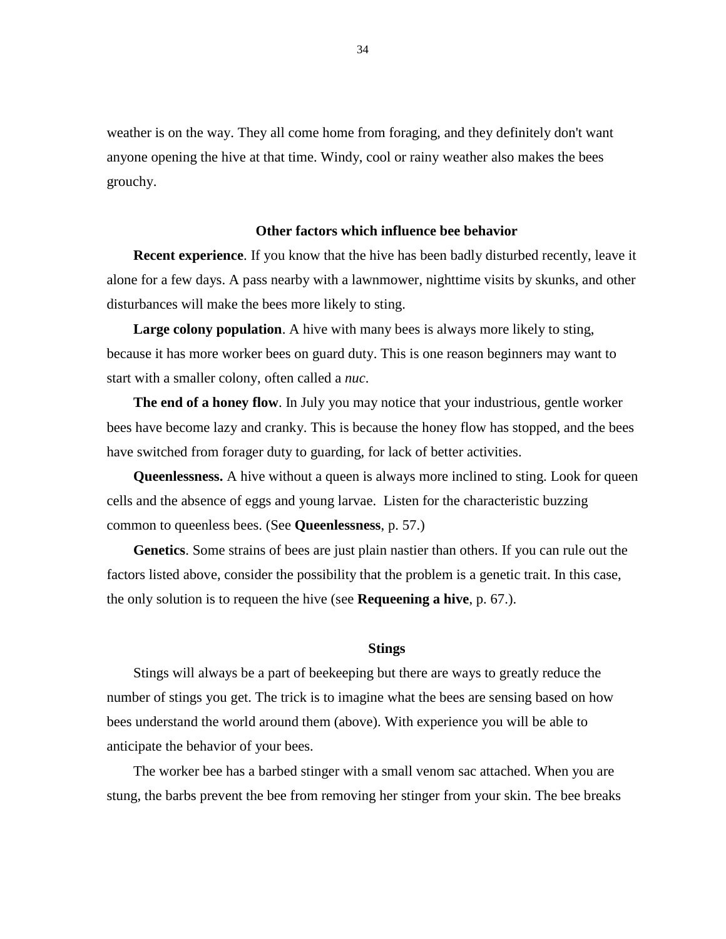weather is on the way. They all come home from foraging, and they definitely don't want anyone opening the hive at that time. Windy, cool or rainy weather also makes the bees grouchy.

# **Other factors which influence bee behavior**

**Recent experience**. If you know that the hive has been badly disturbed recently, leave it alone for a few days. A pass nearby with a lawnmower, nighttime visits by skunks, and other disturbances will make the bees more likely to sting.

**Large colony population**. A hive with many bees is always more likely to sting, because it has more worker bees on guard duty. This is one reason beginners may want to start with a smaller colony, often called a *nuc*.

**The end of a honey flow**. In July you may notice that your industrious, gentle worker bees have become lazy and cranky. This is because the honey flow has stopped, and the bees have switched from forager duty to guarding, for lack of better activities.

**Queenlessness.** A hive without a queen is always more inclined to sting. Look for queen cells and the absence of eggs and young larvae. Listen for the characteristic buzzing common to queenless bees. (See **Queenlessness**, p. 57.)

**Genetics**. Some strains of bees are just plain nastier than others. If you can rule out the factors listed above, consider the possibility that the problem is a genetic trait. In this case, the only solution is to requeen the hive (see **Requeening a hive**, p. 67.).

### **Stings**

Stings will always be a part of beekeeping but there are ways to greatly reduce the number of stings you get. The trick is to imagine what the bees are sensing based on how bees understand the world around them (above). With experience you will be able to anticipate the behavior of your bees.

The worker bee has a barbed stinger with a small venom sac attached. When you are stung, the barbs prevent the bee from removing her stinger from your skin. The bee breaks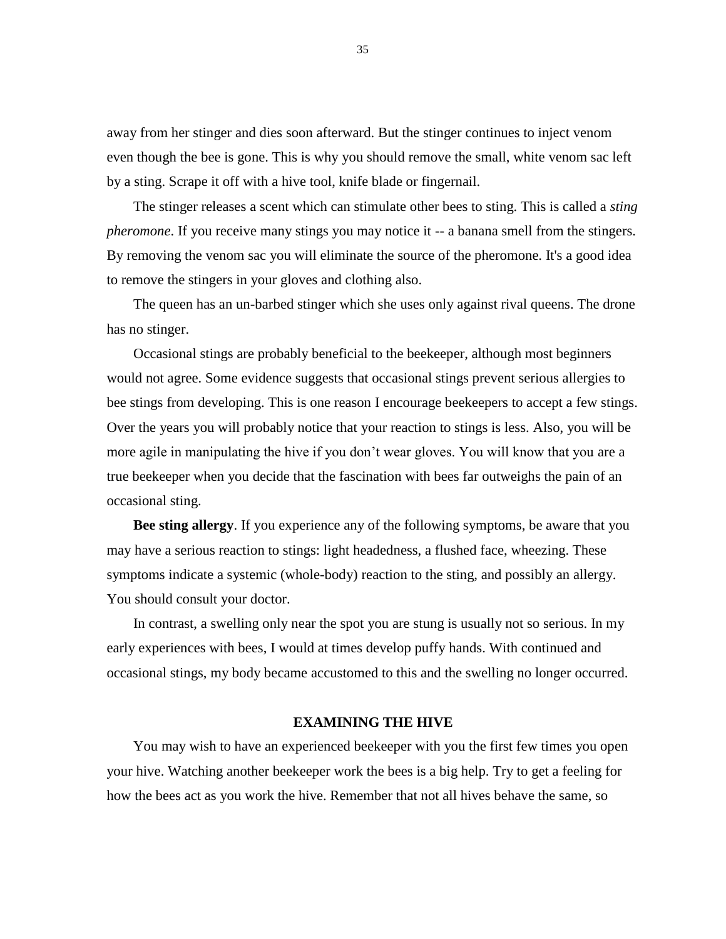away from her stinger and dies soon afterward. But the stinger continues to inject venom even though the bee is gone. This is why you should remove the small, white venom sac left by a sting. Scrape it off with a hive tool, knife blade or fingernail.

The stinger releases a scent which can stimulate other bees to sting. This is called a *sting pheromone*. If you receive many stings you may notice it -- a banana smell from the stingers. By removing the venom sac you will eliminate the source of the pheromone. It's a good idea to remove the stingers in your gloves and clothing also.

The queen has an un-barbed stinger which she uses only against rival queens. The drone has no stinger.

Occasional stings are probably beneficial to the beekeeper, although most beginners would not agree. Some evidence suggests that occasional stings prevent serious allergies to bee stings from developing. This is one reason I encourage beekeepers to accept a few stings. Over the years you will probably notice that your reaction to stings is less. Also, you will be more agile in manipulating the hive if you don't wear gloves. You will know that you are a true beekeeper when you decide that the fascination with bees far outweighs the pain of an occasional sting.

**Bee sting allergy**. If you experience any of the following symptoms, be aware that you may have a serious reaction to stings: light headedness, a flushed face, wheezing. These symptoms indicate a systemic (whole-body) reaction to the sting, and possibly an allergy. You should consult your doctor.

In contrast, a swelling only near the spot you are stung is usually not so serious. In my early experiences with bees, I would at times develop puffy hands. With continued and occasional stings, my body became accustomed to this and the swelling no longer occurred.

# **EXAMINING THE HIVE**

You may wish to have an experienced beekeeper with you the first few times you open your hive. Watching another beekeeper work the bees is a big help. Try to get a feeling for how the bees act as you work the hive. Remember that not all hives behave the same, so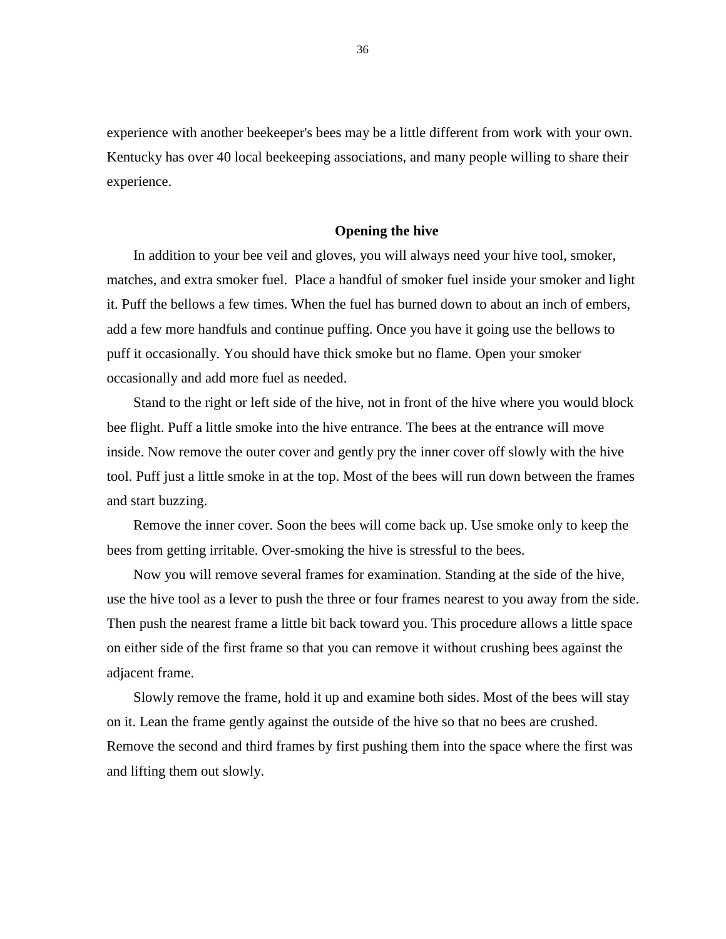experience with another beekeeper's bees may be a little different from work with your own. Kentucky has over 40 local beekeeping associations, and many people willing to share their experience.

# **Opening the hive**

In addition to your bee veil and gloves, you will always need your hive tool, smoker, matches, and extra smoker fuel. Place a handful of smoker fuel inside your smoker and light it. Puff the bellows a few times. When the fuel has burned down to about an inch of embers, add a few more handfuls and continue puffing. Once you have it going use the bellows to puff it occasionally. You should have thick smoke but no flame. Open your smoker occasionally and add more fuel as needed.

Stand to the right or left side of the hive, not in front of the hive where you would block bee flight. Puff a little smoke into the hive entrance. The bees at the entrance will move inside. Now remove the outer cover and gently pry the inner cover off slowly with the hive tool. Puff just a little smoke in at the top. Most of the bees will run down between the frames and start buzzing.

Remove the inner cover. Soon the bees will come back up. Use smoke only to keep the bees from getting irritable. Over-smoking the hive is stressful to the bees.

Now you will remove several frames for examination. Standing at the side of the hive, use the hive tool as a lever to push the three or four frames nearest to you away from the side. Then push the nearest frame a little bit back toward you. This procedure allows a little space on either side of the first frame so that you can remove it without crushing bees against the adjacent frame.

Slowly remove the frame, hold it up and examine both sides. Most of the bees will stay on it. Lean the frame gently against the outside of the hive so that no bees are crushed. Remove the second and third frames by first pushing them into the space where the first was and lifting them out slowly.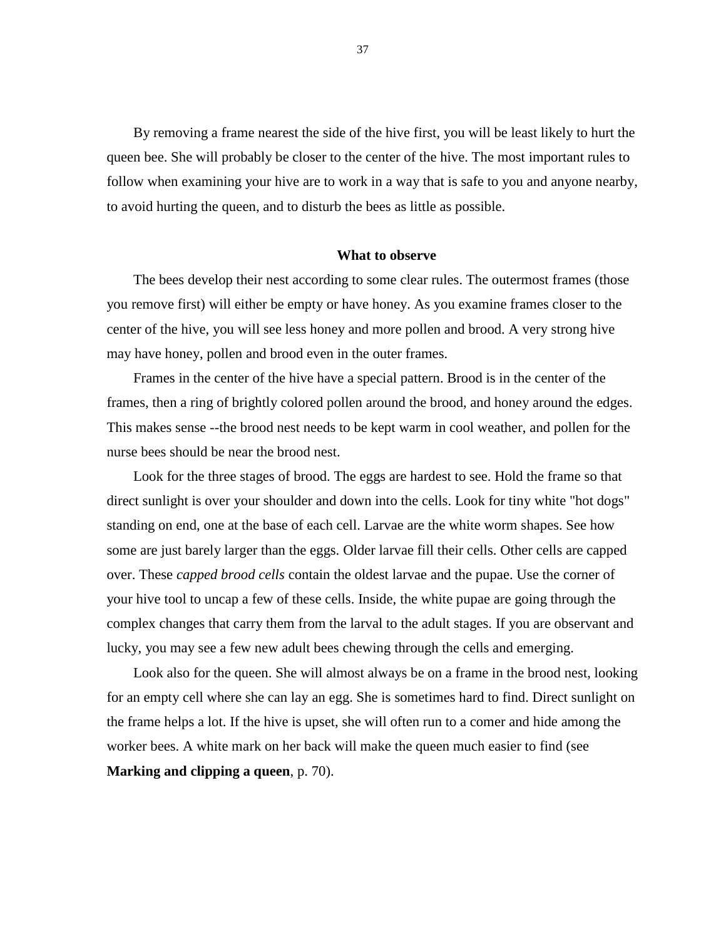By removing a frame nearest the side of the hive first, you will be least likely to hurt the queen bee. She will probably be closer to the center of the hive. The most important rules to follow when examining your hive are to work in a way that is safe to you and anyone nearby, to avoid hurting the queen, and to disturb the bees as little as possible.

### **What to observe**

The bees develop their nest according to some clear rules. The outermost frames (those you remove first) will either be empty or have honey. As you examine frames closer to the center of the hive, you will see less honey and more pollen and brood. A very strong hive may have honey, pollen and brood even in the outer frames.

Frames in the center of the hive have a special pattern. Brood is in the center of the frames, then a ring of brightly colored pollen around the brood, and honey around the edges. This makes sense --the brood nest needs to be kept warm in cool weather, and pollen for the nurse bees should be near the brood nest.

Look for the three stages of brood. The eggs are hardest to see. Hold the frame so that direct sunlight is over your shoulder and down into the cells. Look for tiny white "hot dogs" standing on end, one at the base of each cell. Larvae are the white worm shapes. See how some are just barely larger than the eggs. Older larvae fill their cells. Other cells are capped over. These *capped brood cells* contain the oldest larvae and the pupae. Use the corner of your hive tool to uncap a few of these cells. Inside, the white pupae are going through the complex changes that carry them from the larval to the adult stages. If you are observant and lucky, you may see a few new adult bees chewing through the cells and emerging.

Look also for the queen. She will almost always be on a frame in the brood nest, looking for an empty cell where she can lay an egg. She is sometimes hard to find. Direct sunlight on the frame helps a lot. If the hive is upset, she will often run to a comer and hide among the worker bees. A white mark on her back will make the queen much easier to find (see **Marking and clipping a queen**, p. 70).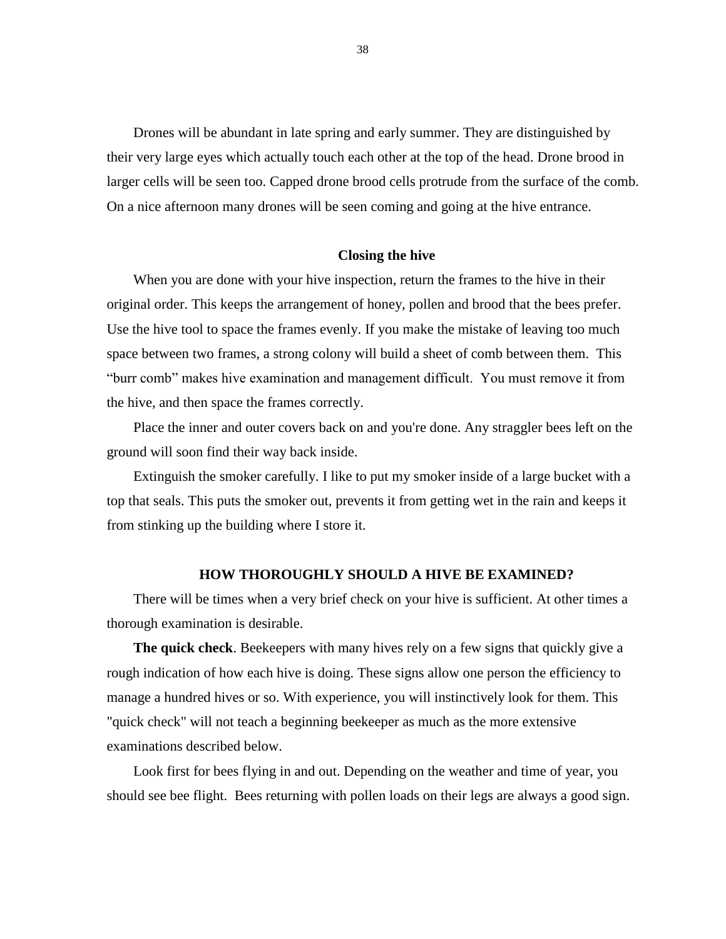Drones will be abundant in late spring and early summer. They are distinguished by their very large eyes which actually touch each other at the top of the head. Drone brood in larger cells will be seen too. Capped drone brood cells protrude from the surface of the comb. On a nice afternoon many drones will be seen coming and going at the hive entrance.

# **Closing the hive**

When you are done with your hive inspection, return the frames to the hive in their original order. This keeps the arrangement of honey, pollen and brood that the bees prefer. Use the hive tool to space the frames evenly. If you make the mistake of leaving too much space between two frames, a strong colony will build a sheet of comb between them. This "burr comb" makes hive examination and management difficult. You must remove it from the hive, and then space the frames correctly.

Place the inner and outer covers back on and you're done. Any straggler bees left on the ground will soon find their way back inside.

Extinguish the smoker carefully. I like to put my smoker inside of a large bucket with a top that seals. This puts the smoker out, prevents it from getting wet in the rain and keeps it from stinking up the building where I store it.

# **HOW THOROUGHLY SHOULD A HIVE BE EXAMINED?**

There will be times when a very brief check on your hive is sufficient. At other times a thorough examination is desirable.

**The quick check**. Beekeepers with many hives rely on a few signs that quickly give a rough indication of how each hive is doing. These signs allow one person the efficiency to manage a hundred hives or so. With experience, you will instinctively look for them. This "quick check" will not teach a beginning beekeeper as much as the more extensive examinations described below.

Look first for bees flying in and out. Depending on the weather and time of year, you should see bee flight. Bees returning with pollen loads on their legs are always a good sign.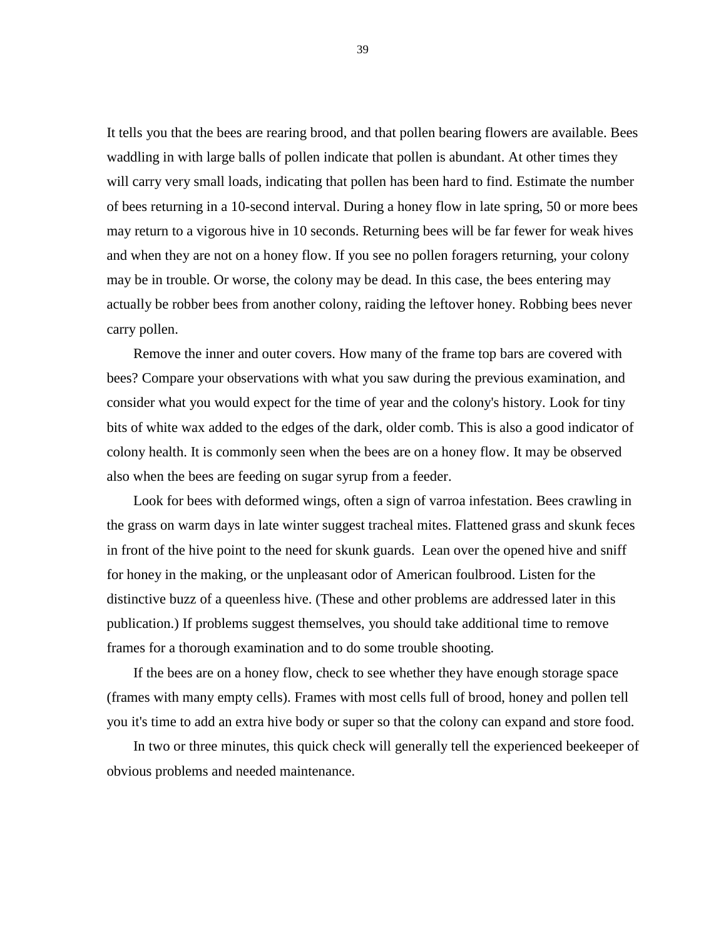It tells you that the bees are rearing brood, and that pollen bearing flowers are available. Bees waddling in with large balls of pollen indicate that pollen is abundant. At other times they will carry very small loads, indicating that pollen has been hard to find. Estimate the number of bees returning in a 10-second interval. During a honey flow in late spring, 50 or more bees may return to a vigorous hive in 10 seconds. Returning bees will be far fewer for weak hives and when they are not on a honey flow. If you see no pollen foragers returning, your colony may be in trouble. Or worse, the colony may be dead. In this case, the bees entering may actually be robber bees from another colony, raiding the leftover honey. Robbing bees never carry pollen.

Remove the inner and outer covers. How many of the frame top bars are covered with bees? Compare your observations with what you saw during the previous examination, and consider what you would expect for the time of year and the colony's history. Look for tiny bits of white wax added to the edges of the dark, older comb. This is also a good indicator of colony health. It is commonly seen when the bees are on a honey flow. It may be observed also when the bees are feeding on sugar syrup from a feeder.

Look for bees with deformed wings, often a sign of varroa infestation. Bees crawling in the grass on warm days in late winter suggest tracheal mites. Flattened grass and skunk feces in front of the hive point to the need for skunk guards. Lean over the opened hive and sniff for honey in the making, or the unpleasant odor of American foulbrood. Listen for the distinctive buzz of a queenless hive. (These and other problems are addressed later in this publication.) If problems suggest themselves, you should take additional time to remove frames for a thorough examination and to do some trouble shooting.

If the bees are on a honey flow, check to see whether they have enough storage space (frames with many empty cells). Frames with most cells full of brood, honey and pollen tell you it's time to add an extra hive body or super so that the colony can expand and store food.

In two or three minutes, this quick check will generally tell the experienced beekeeper of obvious problems and needed maintenance.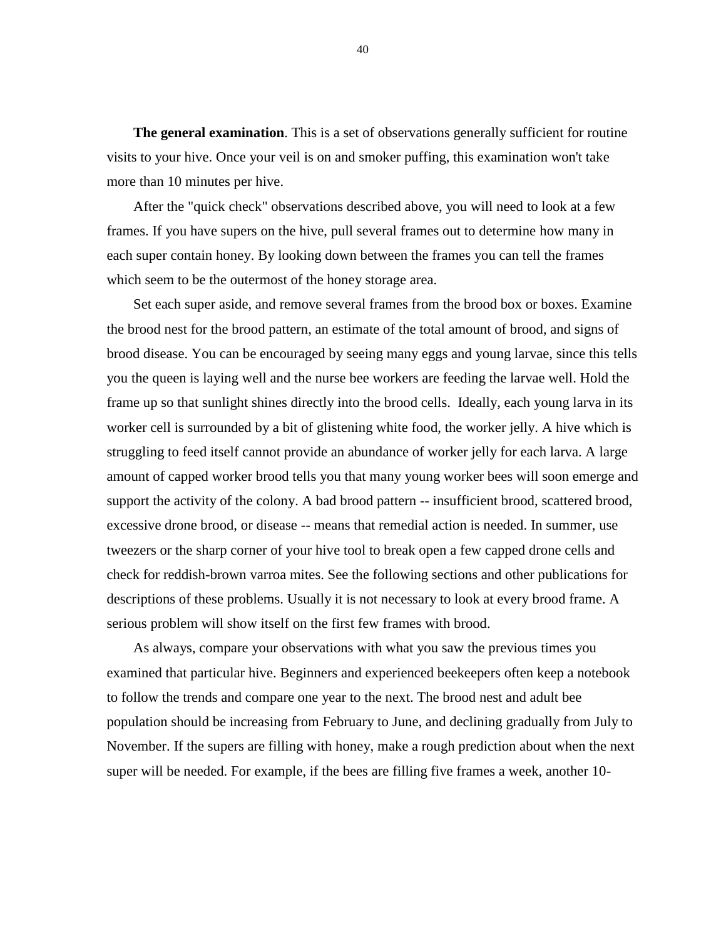**The general examination.** This is a set of observations generally sufficient for routine visits to your hive. Once your veil is on and smoker puffing, this examination won't take more than 10 minutes per hive.

After the "quick check" observations described above, you will need to look at a few frames. If you have supers on the hive, pull several frames out to determine how many in each super contain honey. By looking down between the frames you can tell the frames which seem to be the outermost of the honey storage area.

Set each super aside, and remove several frames from the brood box or boxes. Examine the brood nest for the brood pattern, an estimate of the total amount of brood, and signs of brood disease. You can be encouraged by seeing many eggs and young larvae, since this tells you the queen is laying well and the nurse bee workers are feeding the larvae well. Hold the frame up so that sunlight shines directly into the brood cells. Ideally, each young larva in its worker cell is surrounded by a bit of glistening white food, the worker jelly. A hive which is struggling to feed itself cannot provide an abundance of worker jelly for each larva. A large amount of capped worker brood tells you that many young worker bees will soon emerge and support the activity of the colony. A bad brood pattern -- insufficient brood, scattered brood, excessive drone brood, or disease -- means that remedial action is needed. In summer, use tweezers or the sharp corner of your hive tool to break open a few capped drone cells and check for reddish-brown varroa mites. See the following sections and other publications for descriptions of these problems. Usually it is not necessary to look at every brood frame. A serious problem will show itself on the first few frames with brood.

As always, compare your observations with what you saw the previous times you examined that particular hive. Beginners and experienced beekeepers often keep a notebook to follow the trends and compare one year to the next. The brood nest and adult bee population should be increasing from February to June, and declining gradually from July to November. If the supers are filling with honey, make a rough prediction about when the next super will be needed. For example, if the bees are filling five frames a week, another 10-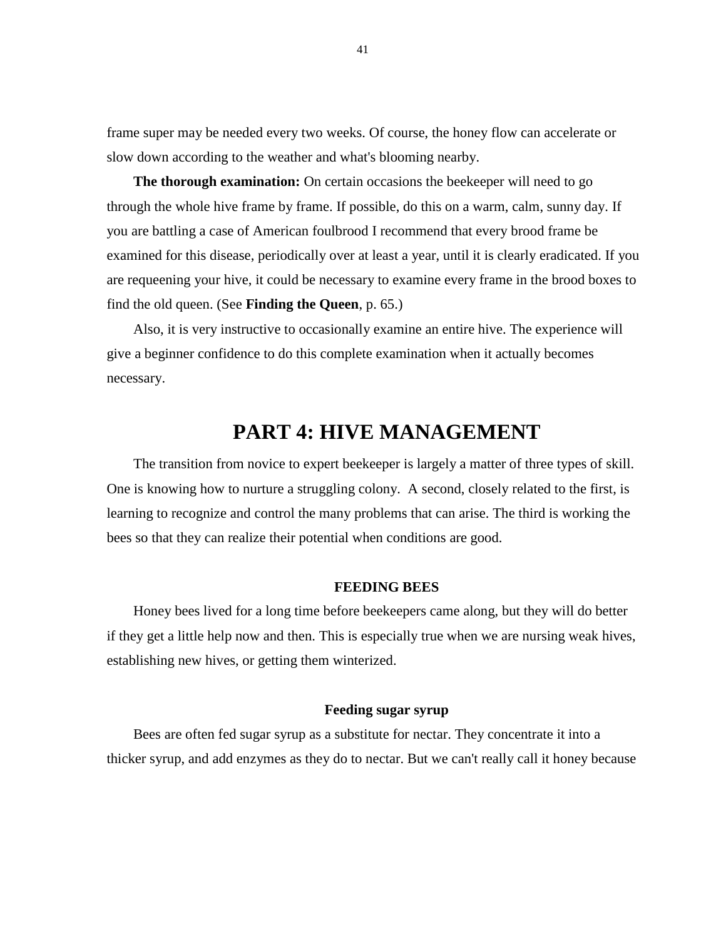frame super may be needed every two weeks. Of course, the honey flow can accelerate or slow down according to the weather and what's blooming nearby.

**The thorough examination:** On certain occasions the beekeeper will need to go through the whole hive frame by frame. If possible, do this on a warm, calm, sunny day. If you are battling a case of American foulbrood I recommend that every brood frame be examined for this disease, periodically over at least a year, until it is clearly eradicated. If you are requeening your hive, it could be necessary to examine every frame in the brood boxes to find the old queen. (See **Finding the Queen**, p. 65.)

Also, it is very instructive to occasionally examine an entire hive. The experience will give a beginner confidence to do this complete examination when it actually becomes necessary.

# **PART 4: HIVE MANAGEMENT**

The transition from novice to expert beekeeper is largely a matter of three types of skill. One is knowing how to nurture a struggling colony. A second, closely related to the first, is learning to recognize and control the many problems that can arise. The third is working the bees so that they can realize their potential when conditions are good.

# **FEEDING BEES**

Honey bees lived for a long time before beekeepers came along, but they will do better if they get a little help now and then. This is especially true when we are nursing weak hives, establishing new hives, or getting them winterized.

#### **Feeding sugar syrup**

Bees are often fed sugar syrup as a substitute for nectar. They concentrate it into a thicker syrup, and add enzymes as they do to nectar. But we can't really call it honey because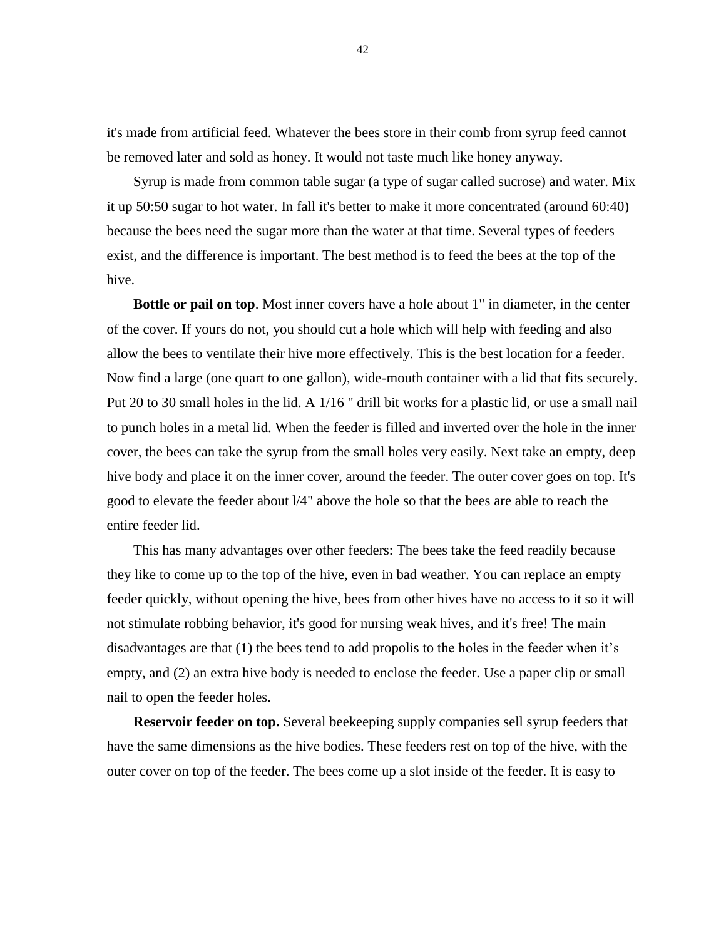it's made from artificial feed. Whatever the bees store in their comb from syrup feed cannot be removed later and sold as honey. It would not taste much like honey anyway.

Syrup is made from common table sugar (a type of sugar called sucrose) and water. Mix it up 50:50 sugar to hot water. In fall it's better to make it more concentrated (around 60:40) because the bees need the sugar more than the water at that time. Several types of feeders exist, and the difference is important. The best method is to feed the bees at the top of the hive.

**Bottle or pail on top**. Most inner covers have a hole about 1" in diameter, in the center of the cover. If yours do not, you should cut a hole which will help with feeding and also allow the bees to ventilate their hive more effectively. This is the best location for a feeder. Now find a large (one quart to one gallon), wide-mouth container with a lid that fits securely. Put 20 to 30 small holes in the lid. A 1/16 " drill bit works for a plastic lid, or use a small nail to punch holes in a metal lid. When the feeder is filled and inverted over the hole in the inner cover, the bees can take the syrup from the small holes very easily. Next take an empty, deep hive body and place it on the inner cover, around the feeder. The outer cover goes on top. It's good to elevate the feeder about l/4" above the hole so that the bees are able to reach the entire feeder lid.

This has many advantages over other feeders: The bees take the feed readily because they like to come up to the top of the hive, even in bad weather. You can replace an empty feeder quickly, without opening the hive, bees from other hives have no access to it so it will not stimulate robbing behavior, it's good for nursing weak hives, and it's free! The main disadvantages are that (1) the bees tend to add propolis to the holes in the feeder when it's empty, and (2) an extra hive body is needed to enclose the feeder. Use a paper clip or small nail to open the feeder holes.

**Reservoir feeder on top.** Several beekeeping supply companies sell syrup feeders that have the same dimensions as the hive bodies. These feeders rest on top of the hive, with the outer cover on top of the feeder. The bees come up a slot inside of the feeder. It is easy to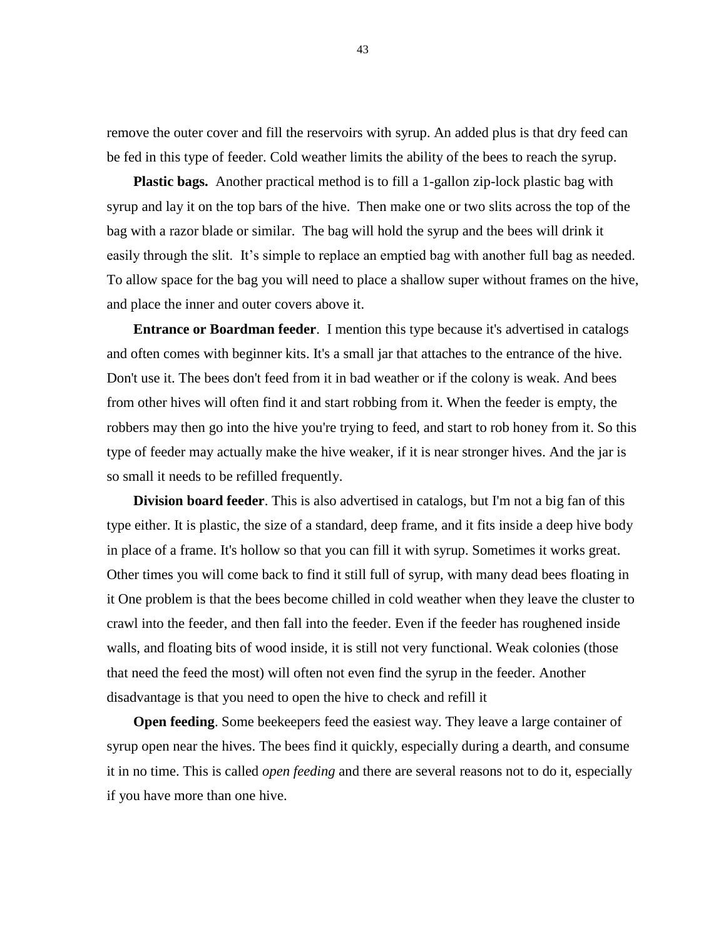remove the outer cover and fill the reservoirs with syrup. An added plus is that dry feed can be fed in this type of feeder. Cold weather limits the ability of the bees to reach the syrup.

**Plastic bags.** Another practical method is to fill a 1-gallon zip-lock plastic bag with syrup and lay it on the top bars of the hive. Then make one or two slits across the top of the bag with a razor blade or similar. The bag will hold the syrup and the bees will drink it easily through the slit. It's simple to replace an emptied bag with another full bag as needed. To allow space for the bag you will need to place a shallow super without frames on the hive, and place the inner and outer covers above it.

**Entrance or Boardman feeder**. I mention this type because it's advertised in catalogs and often comes with beginner kits. It's a small jar that attaches to the entrance of the hive. Don't use it. The bees don't feed from it in bad weather or if the colony is weak. And bees from other hives will often find it and start robbing from it. When the feeder is empty, the robbers may then go into the hive you're trying to feed, and start to rob honey from it. So this type of feeder may actually make the hive weaker, if it is near stronger hives. And the jar is so small it needs to be refilled frequently.

**Division board feeder**. This is also advertised in catalogs, but I'm not a big fan of this type either. It is plastic, the size of a standard, deep frame, and it fits inside a deep hive body in place of a frame. It's hollow so that you can fill it with syrup. Sometimes it works great. Other times you will come back to find it still full of syrup, with many dead bees floating in it One problem is that the bees become chilled in cold weather when they leave the cluster to crawl into the feeder, and then fall into the feeder. Even if the feeder has roughened inside walls, and floating bits of wood inside, it is still not very functional. Weak colonies (those that need the feed the most) will often not even find the syrup in the feeder. Another disadvantage is that you need to open the hive to check and refill it

**Open feeding**. Some beekeepers feed the easiest way. They leave a large container of syrup open near the hives. The bees find it quickly, especially during a dearth, and consume it in no time. This is called *open feeding* and there are several reasons not to do it, especially if you have more than one hive.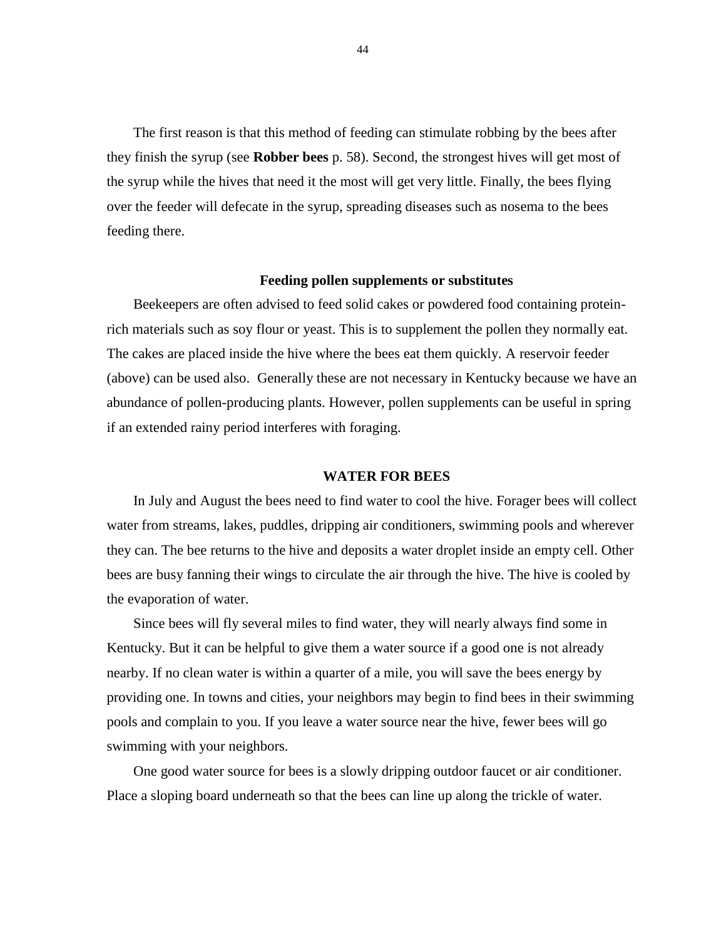The first reason is that this method of feeding can stimulate robbing by the bees after they finish the syrup (see **Robber bees** p. 58). Second, the strongest hives will get most of the syrup while the hives that need it the most will get very little. Finally, the bees flying over the feeder will defecate in the syrup, spreading diseases such as nosema to the bees feeding there.

#### **Feeding pollen supplements or substitutes**

Beekeepers are often advised to feed solid cakes or powdered food containing proteinrich materials such as soy flour or yeast. This is to supplement the pollen they normally eat. The cakes are placed inside the hive where the bees eat them quickly. A reservoir feeder (above) can be used also. Generally these are not necessary in Kentucky because we have an abundance of pollen-producing plants. However, pollen supplements can be useful in spring if an extended rainy period interferes with foraging.

#### **WATER FOR BEES**

In July and August the bees need to find water to cool the hive. Forager bees will collect water from streams, lakes, puddles, dripping air conditioners, swimming pools and wherever they can. The bee returns to the hive and deposits a water droplet inside an empty cell. Other bees are busy fanning their wings to circulate the air through the hive. The hive is cooled by the evaporation of water.

Since bees will fly several miles to find water, they will nearly always find some in Kentucky. But it can be helpful to give them a water source if a good one is not already nearby. If no clean water is within a quarter of a mile, you will save the bees energy by providing one. In towns and cities, your neighbors may begin to find bees in their swimming pools and complain to you. If you leave a water source near the hive, fewer bees will go swimming with your neighbors.

One good water source for bees is a slowly dripping outdoor faucet or air conditioner. Place a sloping board underneath so that the bees can line up along the trickle of water.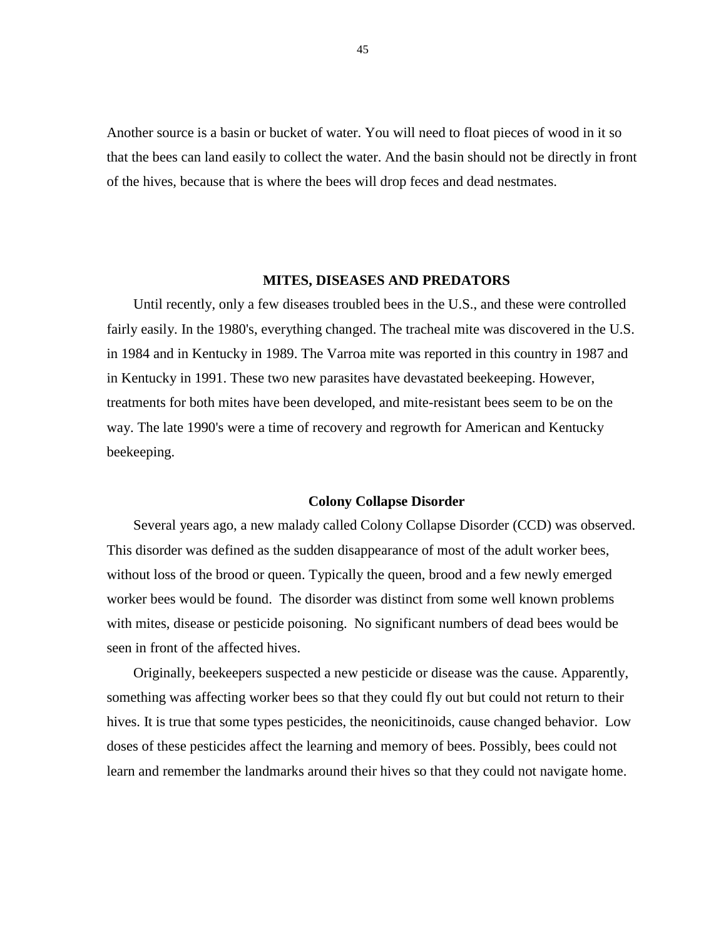Another source is a basin or bucket of water. You will need to float pieces of wood in it so that the bees can land easily to collect the water. And the basin should not be directly in front of the hives, because that is where the bees will drop feces and dead nestmates.

#### **MITES, DISEASES AND PREDATORS**

Until recently, only a few diseases troubled bees in the U.S., and these were controlled fairly easily. In the 1980's, everything changed. The tracheal mite was discovered in the U.S. in 1984 and in Kentucky in 1989. The Varroa mite was reported in this country in 1987 and in Kentucky in 1991. These two new parasites have devastated beekeeping. However, treatments for both mites have been developed, and mite-resistant bees seem to be on the way. The late 1990's were a time of recovery and regrowth for American and Kentucky beekeeping.

# **Colony Collapse Disorder**

Several years ago, a new malady called Colony Collapse Disorder (CCD) was observed. This disorder was defined as the sudden disappearance of most of the adult worker bees, without loss of the brood or queen. Typically the queen, brood and a few newly emerged worker bees would be found. The disorder was distinct from some well known problems with mites, disease or pesticide poisoning. No significant numbers of dead bees would be seen in front of the affected hives.

Originally, beekeepers suspected a new pesticide or disease was the cause. Apparently, something was affecting worker bees so that they could fly out but could not return to their hives. It is true that some types pesticides, the neonicitinoids, cause changed behavior. Low doses of these pesticides affect the learning and memory of bees. Possibly, bees could not learn and remember the landmarks around their hives so that they could not navigate home.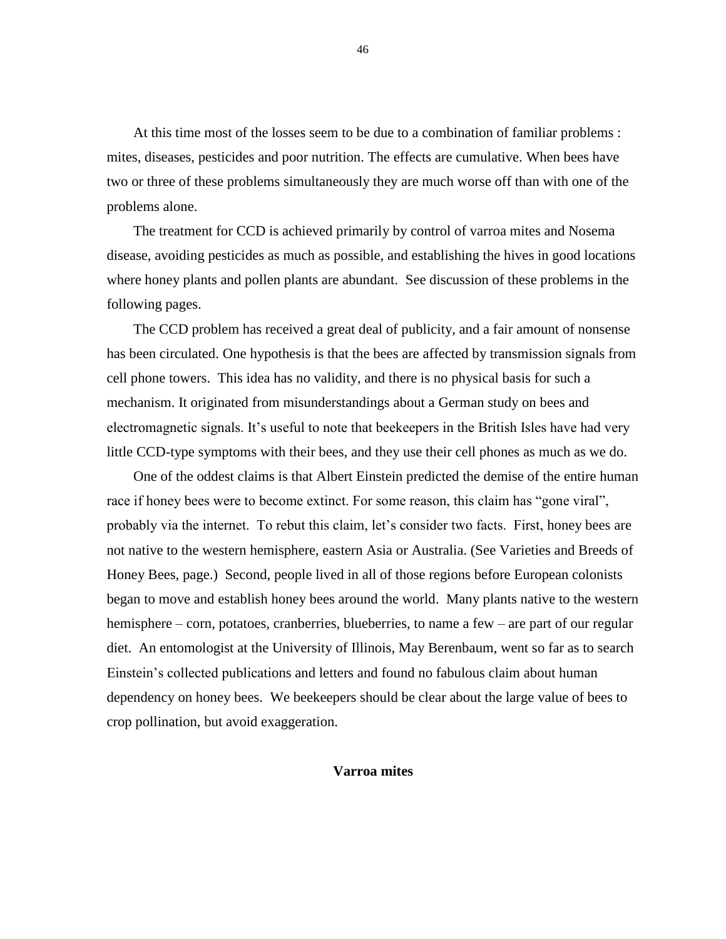At this time most of the losses seem to be due to a combination of familiar problems : mites, diseases, pesticides and poor nutrition. The effects are cumulative. When bees have two or three of these problems simultaneously they are much worse off than with one of the problems alone.

The treatment for CCD is achieved primarily by control of varroa mites and Nosema disease, avoiding pesticides as much as possible, and establishing the hives in good locations where honey plants and pollen plants are abundant. See discussion of these problems in the following pages.

The CCD problem has received a great deal of publicity, and a fair amount of nonsense has been circulated. One hypothesis is that the bees are affected by transmission signals from cell phone towers. This idea has no validity, and there is no physical basis for such a mechanism. It originated from misunderstandings about a German study on bees and electromagnetic signals. It's useful to note that beekeepers in the British Isles have had very little CCD-type symptoms with their bees, and they use their cell phones as much as we do.

One of the oddest claims is that Albert Einstein predicted the demise of the entire human race if honey bees were to become extinct. For some reason, this claim has "gone viral", probably via the internet. To rebut this claim, let's consider two facts. First, honey bees are not native to the western hemisphere, eastern Asia or Australia. (See Varieties and Breeds of Honey Bees, page.) Second, people lived in all of those regions before European colonists began to move and establish honey bees around the world. Many plants native to the western hemisphere – corn, potatoes, cranberries, blueberries, to name a few – are part of our regular diet. An entomologist at the University of Illinois, May Berenbaum, went so far as to search Einstein's collected publications and letters and found no fabulous claim about human dependency on honey bees. We beekeepers should be clear about the large value of bees to crop pollination, but avoid exaggeration.

# **Varroa mites**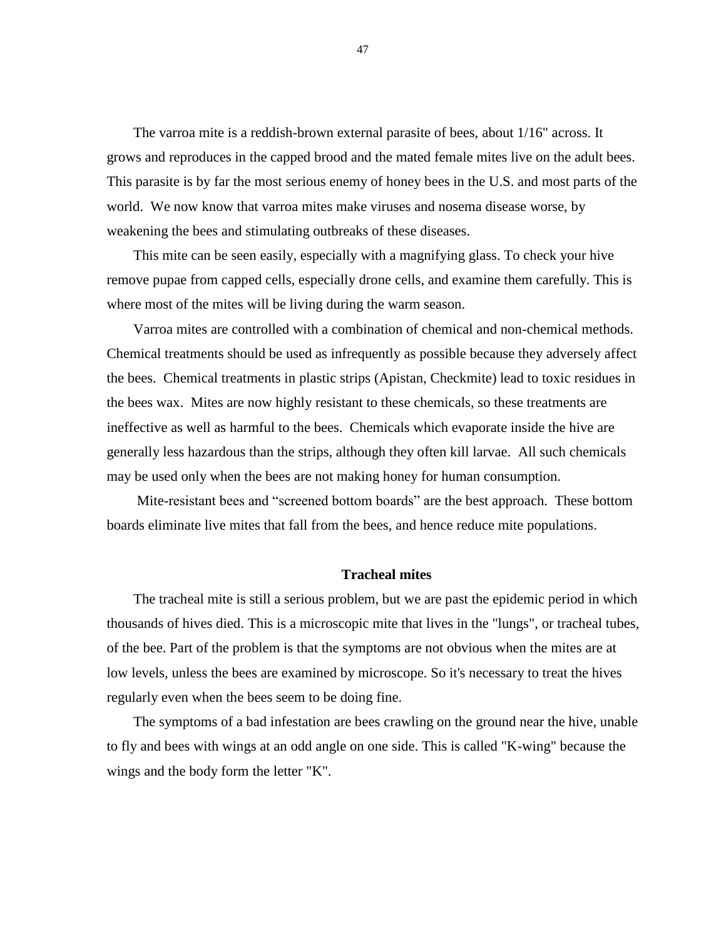The varroa mite is a reddish-brown external parasite of bees, about 1/16" across. It grows and reproduces in the capped brood and the mated female mites live on the adult bees. This parasite is by far the most serious enemy of honey bees in the U.S. and most parts of the world. We now know that varroa mites make viruses and nosema disease worse, by weakening the bees and stimulating outbreaks of these diseases.

This mite can be seen easily, especially with a magnifying glass. To check your hive remove pupae from capped cells, especially drone cells, and examine them carefully. This is where most of the mites will be living during the warm season.

Varroa mites are controlled with a combination of chemical and non-chemical methods. Chemical treatments should be used as infrequently as possible because they adversely affect the bees. Chemical treatments in plastic strips (Apistan, Checkmite) lead to toxic residues in the bees wax. Mites are now highly resistant to these chemicals, so these treatments are ineffective as well as harmful to the bees. Chemicals which evaporate inside the hive are generally less hazardous than the strips, although they often kill larvae. All such chemicals may be used only when the bees are not making honey for human consumption.

Mite-resistant bees and "screened bottom boards" are the best approach. These bottom boards eliminate live mites that fall from the bees, and hence reduce mite populations.

# **Tracheal mites**

The tracheal mite is still a serious problem, but we are past the epidemic period in which thousands of hives died. This is a microscopic mite that lives in the "lungs", or tracheal tubes, of the bee. Part of the problem is that the symptoms are not obvious when the mites are at low levels, unless the bees are examined by microscope. So it's necessary to treat the hives regularly even when the bees seem to be doing fine.

The symptoms of a bad infestation are bees crawling on the ground near the hive, unable to fly and bees with wings at an odd angle on one side. This is called "K-wing" because the wings and the body form the letter "K".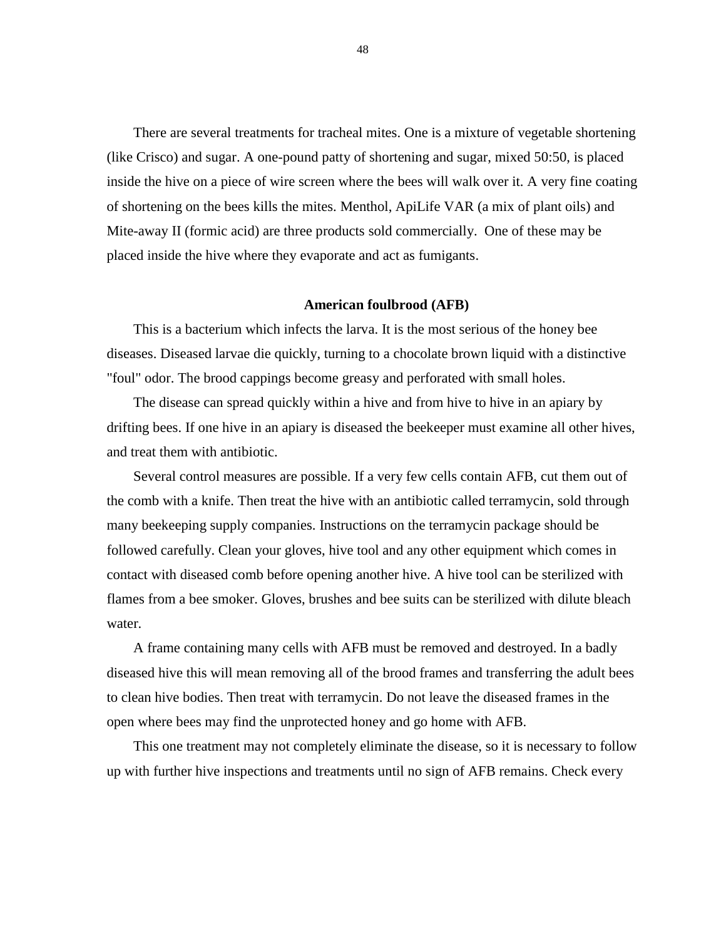There are several treatments for tracheal mites. One is a mixture of vegetable shortening (like Crisco) and sugar. A one-pound patty of shortening and sugar, mixed 50:50, is placed inside the hive on a piece of wire screen where the bees will walk over it. A very fine coating of shortening on the bees kills the mites. Menthol, ApiLife VAR (a mix of plant oils) and Mite-away II (formic acid) are three products sold commercially. One of these may be placed inside the hive where they evaporate and act as fumigants.

#### **American foulbrood (AFB)**

This is a bacterium which infects the larva. It is the most serious of the honey bee diseases. Diseased larvae die quickly, turning to a chocolate brown liquid with a distinctive "foul" odor. The brood cappings become greasy and perforated with small holes.

The disease can spread quickly within a hive and from hive to hive in an apiary by drifting bees. If one hive in an apiary is diseased the beekeeper must examine all other hives, and treat them with antibiotic.

Several control measures are possible. If a very few cells contain AFB, cut them out of the comb with a knife. Then treat the hive with an antibiotic called terramycin, sold through many beekeeping supply companies. Instructions on the terramycin package should be followed carefully. Clean your gloves, hive tool and any other equipment which comes in contact with diseased comb before opening another hive. A hive tool can be sterilized with flames from a bee smoker. Gloves, brushes and bee suits can be sterilized with dilute bleach water.

A frame containing many cells with AFB must be removed and destroyed. In a badly diseased hive this will mean removing all of the brood frames and transferring the adult bees to clean hive bodies. Then treat with terramycin. Do not leave the diseased frames in the open where bees may find the unprotected honey and go home with AFB.

This one treatment may not completely eliminate the disease, so it is necessary to follow up with further hive inspections and treatments until no sign of AFB remains. Check every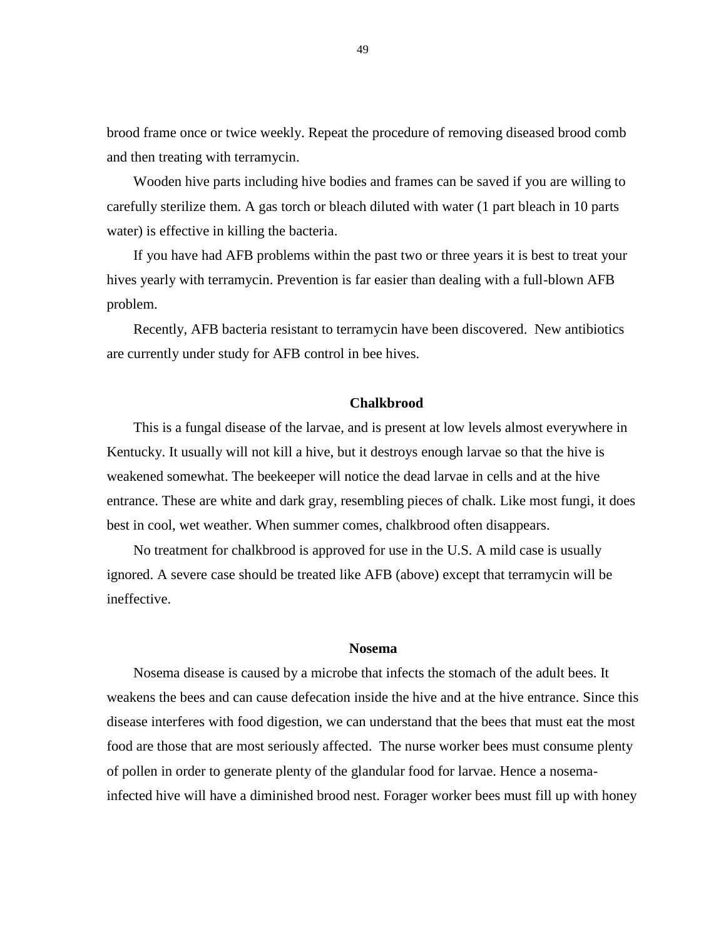brood frame once or twice weekly. Repeat the procedure of removing diseased brood comb and then treating with terramycin.

Wooden hive parts including hive bodies and frames can be saved if you are willing to carefully sterilize them. A gas torch or bleach diluted with water (1 part bleach in 10 parts water) is effective in killing the bacteria.

If you have had AFB problems within the past two or three years it is best to treat your hives yearly with terramycin. Prevention is far easier than dealing with a full-blown AFB problem.

Recently, AFB bacteria resistant to terramycin have been discovered. New antibiotics are currently under study for AFB control in bee hives.

### **Chalkbrood**

This is a fungal disease of the larvae, and is present at low levels almost everywhere in Kentucky. It usually will not kill a hive, but it destroys enough larvae so that the hive is weakened somewhat. The beekeeper will notice the dead larvae in cells and at the hive entrance. These are white and dark gray, resembling pieces of chalk. Like most fungi, it does best in cool, wet weather. When summer comes, chalkbrood often disappears.

No treatment for chalkbrood is approved for use in the U.S. A mild case is usually ignored. A severe case should be treated like AFB (above) except that terramycin will be ineffective.

#### **Nosema**

Nosema disease is caused by a microbe that infects the stomach of the adult bees. It weakens the bees and can cause defecation inside the hive and at the hive entrance. Since this disease interferes with food digestion, we can understand that the bees that must eat the most food are those that are most seriously affected. The nurse worker bees must consume plenty of pollen in order to generate plenty of the glandular food for larvae. Hence a nosemainfected hive will have a diminished brood nest. Forager worker bees must fill up with honey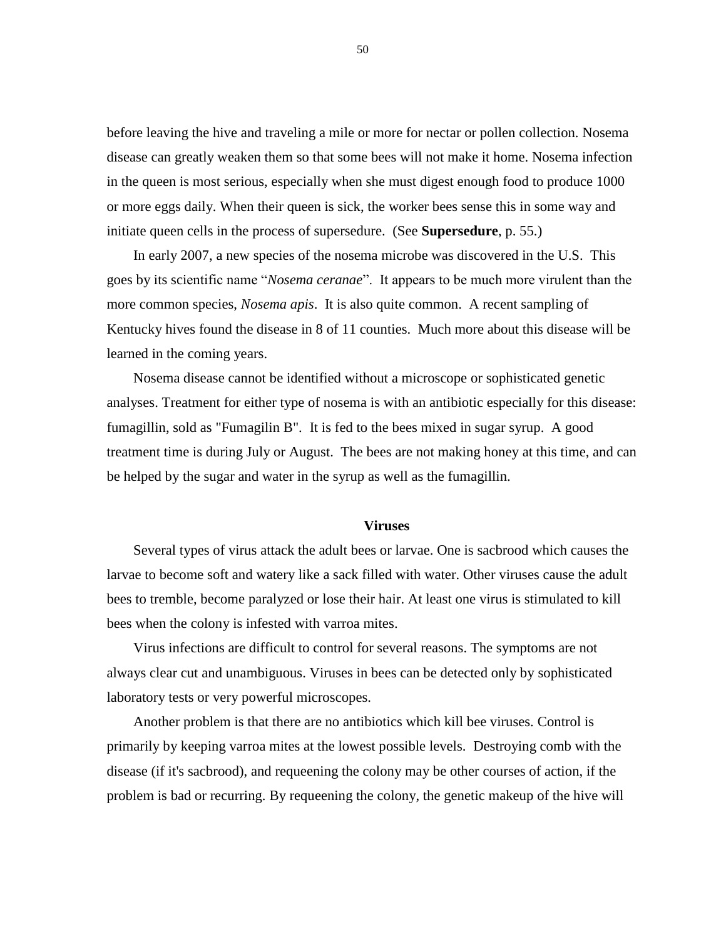before leaving the hive and traveling a mile or more for nectar or pollen collection. Nosema disease can greatly weaken them so that some bees will not make it home. Nosema infection in the queen is most serious, especially when she must digest enough food to produce 1000 or more eggs daily. When their queen is sick, the worker bees sense this in some way and initiate queen cells in the process of supersedure. (See **Supersedure**, p. 55.)

In early 2007, a new species of the nosema microbe was discovered in the U.S. This goes by its scientific name "*Nosema ceranae*". It appears to be much more virulent than the more common species, *Nosema apis*. It is also quite common. A recent sampling of Kentucky hives found the disease in 8 of 11 counties. Much more about this disease will be learned in the coming years.

Nosema disease cannot be identified without a microscope or sophisticated genetic analyses. Treatment for either type of nosema is with an antibiotic especially for this disease: fumagillin, sold as "Fumagilin B". It is fed to the bees mixed in sugar syrup. A good treatment time is during July or August. The bees are not making honey at this time, and can be helped by the sugar and water in the syrup as well as the fumagillin.

#### **Viruses**

Several types of virus attack the adult bees or larvae. One is sacbrood which causes the larvae to become soft and watery like a sack filled with water. Other viruses cause the adult bees to tremble, become paralyzed or lose their hair. At least one virus is stimulated to kill bees when the colony is infested with varroa mites.

Virus infections are difficult to control for several reasons. The symptoms are not always clear cut and unambiguous. Viruses in bees can be detected only by sophisticated laboratory tests or very powerful microscopes.

Another problem is that there are no antibiotics which kill bee viruses. Control is primarily by keeping varroa mites at the lowest possible levels. Destroying comb with the disease (if it's sacbrood), and requeening the colony may be other courses of action, if the problem is bad or recurring. By requeening the colony, the genetic makeup of the hive will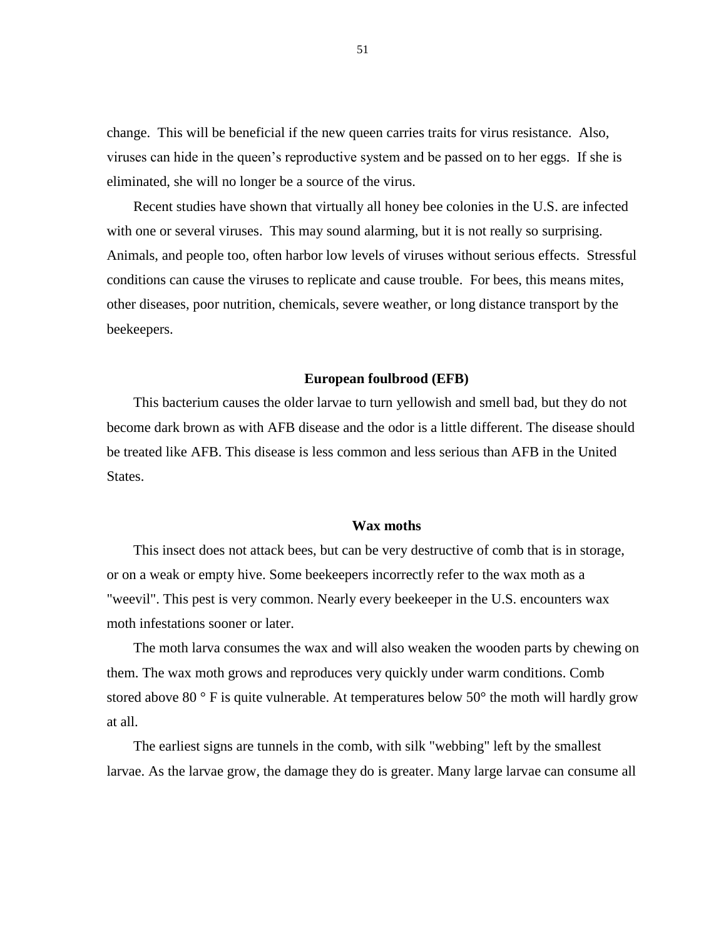change. This will be beneficial if the new queen carries traits for virus resistance. Also, viruses can hide in the queen's reproductive system and be passed on to her eggs. If she is eliminated, she will no longer be a source of the virus.

Recent studies have shown that virtually all honey bee colonies in the U.S. are infected with one or several viruses. This may sound alarming, but it is not really so surprising. Animals, and people too, often harbor low levels of viruses without serious effects. Stressful conditions can cause the viruses to replicate and cause trouble. For bees, this means mites, other diseases, poor nutrition, chemicals, severe weather, or long distance transport by the beekeepers.

#### **European foulbrood (EFB)**

This bacterium causes the older larvae to turn yellowish and smell bad, but they do not become dark brown as with AFB disease and the odor is a little different. The disease should be treated like AFB. This disease is less common and less serious than AFB in the United States.

# **Wax moths**

This insect does not attack bees, but can be very destructive of comb that is in storage, or on a weak or empty hive. Some beekeepers incorrectly refer to the wax moth as a "weevil". This pest is very common. Nearly every beekeeper in the U.S. encounters wax moth infestations sooner or later.

The moth larva consumes the wax and will also weaken the wooden parts by chewing on them. The wax moth grows and reproduces very quickly under warm conditions. Comb stored above 80 $\degree$  F is quite vulnerable. At temperatures below 50 $\degree$  the moth will hardly grow at all.

The earliest signs are tunnels in the comb, with silk "webbing" left by the smallest larvae. As the larvae grow, the damage they do is greater. Many large larvae can consume all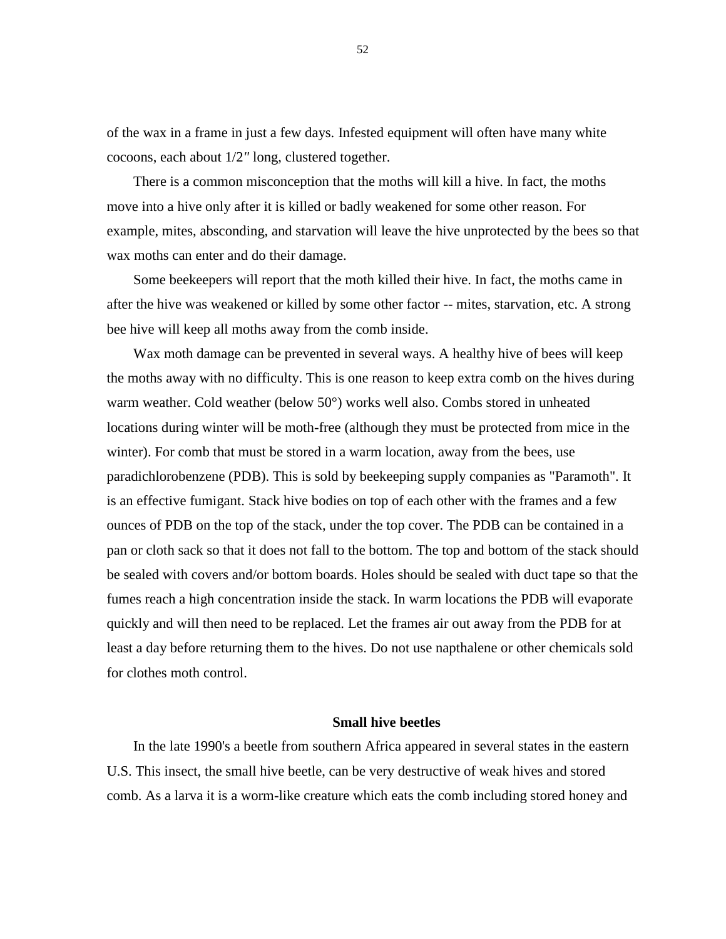of the wax in a frame in just a few days. Infested equipment will often have many white cocoons, each about 1/2*"* long, clustered together.

There is a common misconception that the moths will kill a hive. In fact, the moths move into a hive only after it is killed or badly weakened for some other reason. For example, mites, absconding, and starvation will leave the hive unprotected by the bees so that wax moths can enter and do their damage.

Some beekeepers will report that the moth killed their hive. In fact, the moths came in after the hive was weakened or killed by some other factor -- mites, starvation, etc. A strong bee hive will keep all moths away from the comb inside.

Wax moth damage can be prevented in several ways. A healthy hive of bees will keep the moths away with no difficulty. This is one reason to keep extra comb on the hives during warm weather. Cold weather (below 50°) works well also. Combs stored in unheated locations during winter will be moth-free (although they must be protected from mice in the winter). For comb that must be stored in a warm location, away from the bees, use paradichlorobenzene (PDB). This is sold by beekeeping supply companies as "Paramoth". It is an effective fumigant. Stack hive bodies on top of each other with the frames and a few ounces of PDB on the top of the stack, under the top cover. The PDB can be contained in a pan or cloth sack so that it does not fall to the bottom. The top and bottom of the stack should be sealed with covers and/or bottom boards. Holes should be sealed with duct tape so that the fumes reach a high concentration inside the stack. In warm locations the PDB will evaporate quickly and will then need to be replaced. Let the frames air out away from the PDB for at least a day before returning them to the hives. Do not use napthalene or other chemicals sold for clothes moth control.

# **Small hive beetles**

In the late 1990's a beetle from southern Africa appeared in several states in the eastern U.S. This insect, the small hive beetle, can be very destructive of weak hives and stored comb. As a larva it is a worm-like creature which eats the comb including stored honey and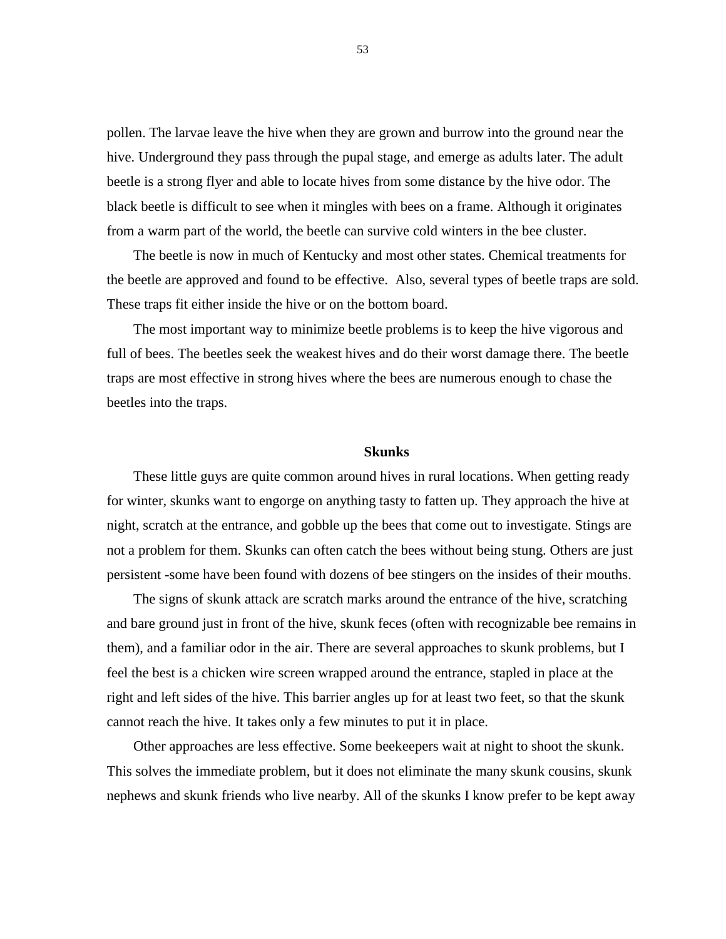pollen. The larvae leave the hive when they are grown and burrow into the ground near the hive. Underground they pass through the pupal stage, and emerge as adults later. The adult beetle is a strong flyer and able to locate hives from some distance by the hive odor. The black beetle is difficult to see when it mingles with bees on a frame. Although it originates from a warm part of the world, the beetle can survive cold winters in the bee cluster.

The beetle is now in much of Kentucky and most other states. Chemical treatments for the beetle are approved and found to be effective. Also, several types of beetle traps are sold. These traps fit either inside the hive or on the bottom board.

The most important way to minimize beetle problems is to keep the hive vigorous and full of bees. The beetles seek the weakest hives and do their worst damage there. The beetle traps are most effective in strong hives where the bees are numerous enough to chase the beetles into the traps.

# **Skunks**

These little guys are quite common around hives in rural locations. When getting ready for winter, skunks want to engorge on anything tasty to fatten up. They approach the hive at night, scratch at the entrance, and gobble up the bees that come out to investigate. Stings are not a problem for them. Skunks can often catch the bees without being stung. Others are just persistent -some have been found with dozens of bee stingers on the insides of their mouths.

The signs of skunk attack are scratch marks around the entrance of the hive, scratching and bare ground just in front of the hive, skunk feces (often with recognizable bee remains in them), and a familiar odor in the air. There are several approaches to skunk problems, but I feel the best is a chicken wire screen wrapped around the entrance, stapled in place at the right and left sides of the hive. This barrier angles up for at least two feet, so that the skunk cannot reach the hive. It takes only a few minutes to put it in place.

Other approaches are less effective. Some beekeepers wait at night to shoot the skunk. This solves the immediate problem, but it does not eliminate the many skunk cousins, skunk nephews and skunk friends who live nearby. All of the skunks I know prefer to be kept away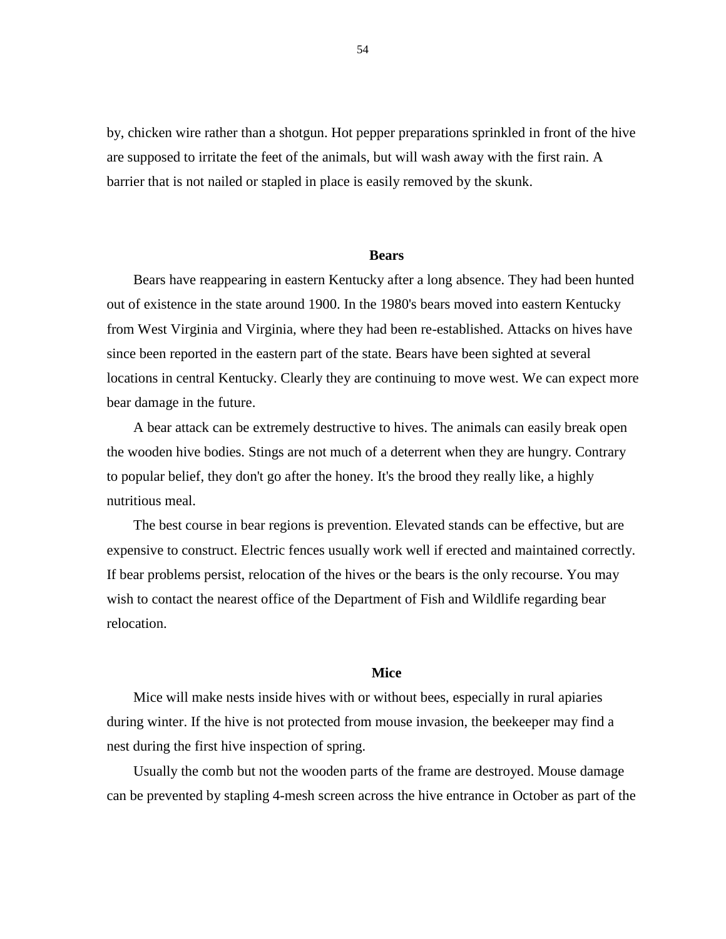by, chicken wire rather than a shotgun. Hot pepper preparations sprinkled in front of the hive are supposed to irritate the feet of the animals, but will wash away with the first rain. A barrier that is not nailed or stapled in place is easily removed by the skunk.

#### **Bears**

Bears have reappearing in eastern Kentucky after a long absence. They had been hunted out of existence in the state around 1900. In the 1980's bears moved into eastern Kentucky from West Virginia and Virginia, where they had been re-established. Attacks on hives have since been reported in the eastern part of the state. Bears have been sighted at several locations in central Kentucky. Clearly they are continuing to move west. We can expect more bear damage in the future.

A bear attack can be extremely destructive to hives. The animals can easily break open the wooden hive bodies. Stings are not much of a deterrent when they are hungry. Contrary to popular belief, they don't go after the honey. It's the brood they really like, a highly nutritious meal.

The best course in bear regions is prevention. Elevated stands can be effective, but are expensive to construct. Electric fences usually work well if erected and maintained correctly. If bear problems persist, relocation of the hives or the bears is the only recourse. You may wish to contact the nearest office of the Department of Fish and Wildlife regarding bear relocation.

# **Mice**

Mice will make nests inside hives with or without bees, especially in rural apiaries during winter. If the hive is not protected from mouse invasion, the beekeeper may find a nest during the first hive inspection of spring.

Usually the comb but not the wooden parts of the frame are destroyed. Mouse damage can be prevented by stapling 4-mesh screen across the hive entrance in October as part of the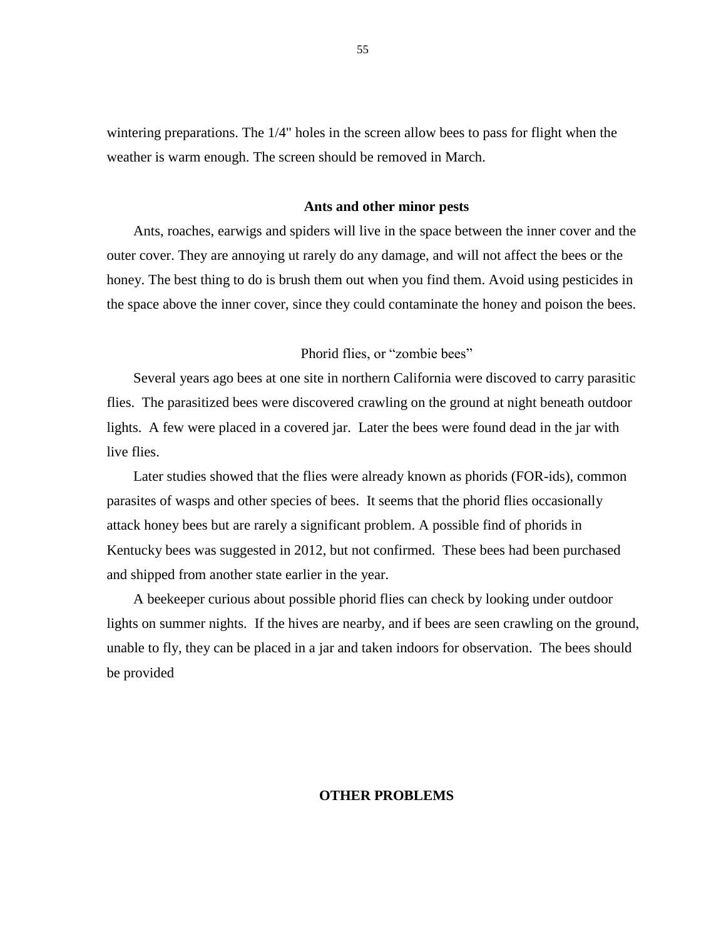wintering preparations. The 1/4" holes in the screen allow bees to pass for flight when the weather is warm enough. The screen should be removed in March.

#### **Ants and other minor pests**

Ants, roaches, earwigs and spiders will live in the space between the inner cover and the outer cover. They are annoying ut rarely do any damage, and will not affect the bees or the honey. The best thing to do is brush them out when you find them. Avoid using pesticides in the space above the inner cover, since they could contaminate the honey and poison the bees.

# Phorid flies, or "zombie bees"

Several years ago bees at one site in northern California were discoved to carry parasitic flies. The parasitized bees were discovered crawling on the ground at night beneath outdoor lights. A few were placed in a covered jar. Later the bees were found dead in the jar with live flies.

Later studies showed that the flies were already known as phorids (FOR-ids), common parasites of wasps and other species of bees. It seems that the phorid flies occasionally attack honey bees but are rarely a significant problem. A possible find of phorids in Kentucky bees was suggested in 2012, but not confirmed. These bees had been purchased and shipped from another state earlier in the year.

A beekeeper curious about possible phorid flies can check by looking under outdoor lights on summer nights. If the hives are nearby, and if bees are seen crawling on the ground, unable to fly, they can be placed in a jar and taken indoors for observation. The bees should be provided

# **OTHER PROBLEMS**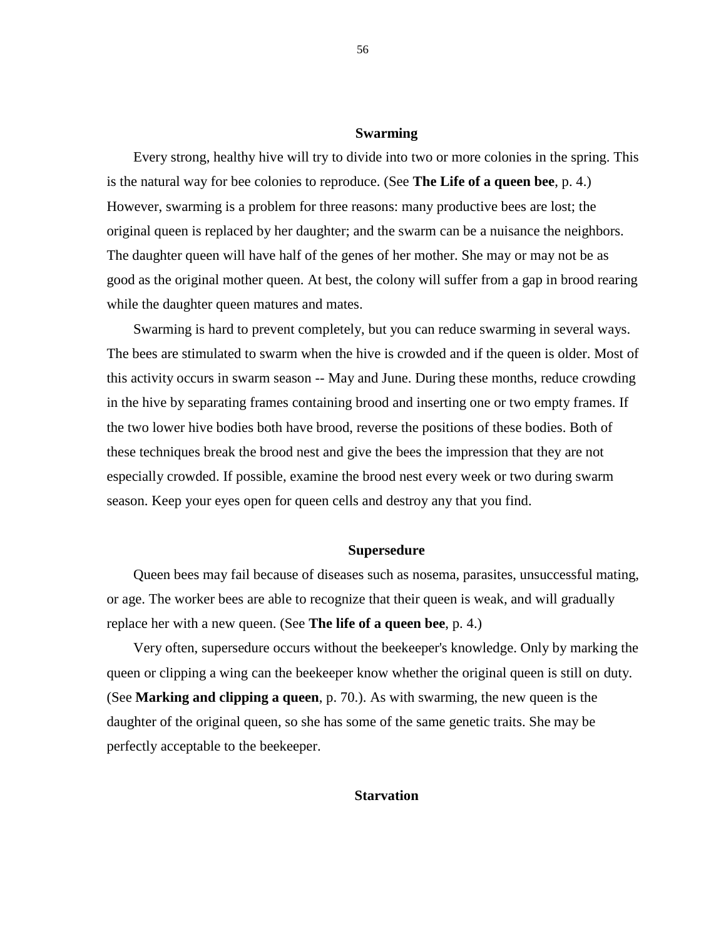# **Swarming**

Every strong, healthy hive will try to divide into two or more colonies in the spring. This is the natural way for bee colonies to reproduce. (See **The Life of a queen bee**, p. 4.) However, swarming is a problem for three reasons: many productive bees are lost; the original queen is replaced by her daughter; and the swarm can be a nuisance the neighbors. The daughter queen will have half of the genes of her mother. She may or may not be as good as the original mother queen. At best, the colony will suffer from a gap in brood rearing while the daughter queen matures and mates.

Swarming is hard to prevent completely, but you can reduce swarming in several ways. The bees are stimulated to swarm when the hive is crowded and if the queen is older. Most of this activity occurs in swarm season -- May and June. During these months, reduce crowding in the hive by separating frames containing brood and inserting one or two empty frames. If the two lower hive bodies both have brood, reverse the positions of these bodies. Both of these techniques break the brood nest and give the bees the impression that they are not especially crowded. If possible, examine the brood nest every week or two during swarm season. Keep your eyes open for queen cells and destroy any that you find.

# **Supersedure**

Queen bees may fail because of diseases such as nosema, parasites, unsuccessful mating, or age. The worker bees are able to recognize that their queen is weak, and will gradually replace her with a new queen. (See **The life of a queen bee**, p. 4.)

Very often, supersedure occurs without the beekeeper's knowledge. Only by marking the queen or clipping a wing can the beekeeper know whether the original queen is still on duty. (See **Marking and clipping a queen**, p. 70.). As with swarming, the new queen is the daughter of the original queen, so she has some of the same genetic traits. She may be perfectly acceptable to the beekeeper.

# **Starvation**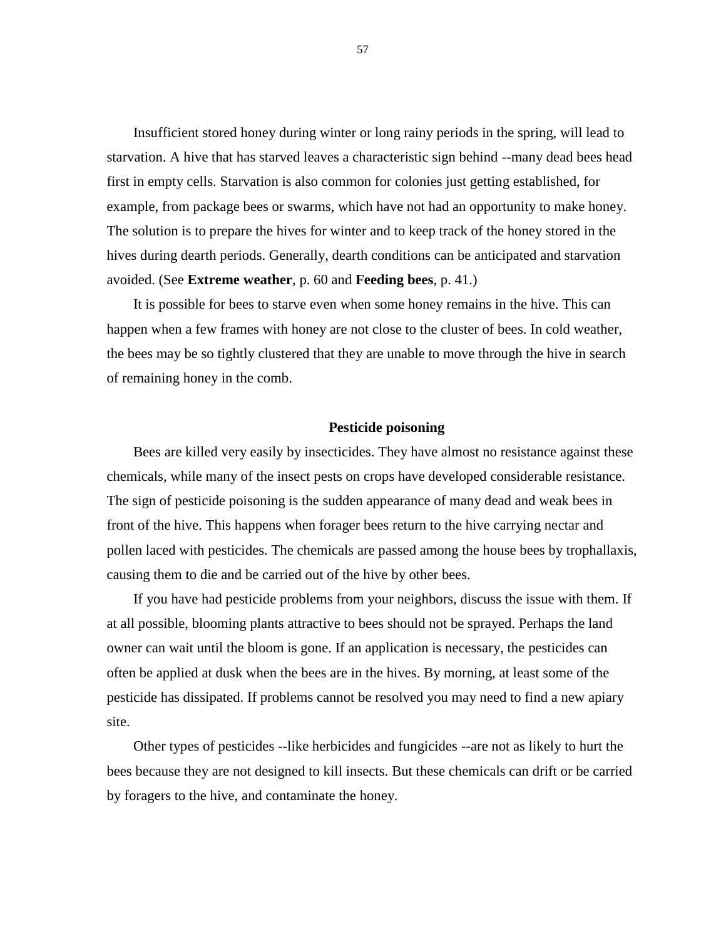Insufficient stored honey during winter or long rainy periods in the spring, will lead to starvation. A hive that has starved leaves a characteristic sign behind --many dead bees head first in empty cells. Starvation is also common for colonies just getting established, for example, from package bees or swarms, which have not had an opportunity to make honey. The solution is to prepare the hives for winter and to keep track of the honey stored in the hives during dearth periods. Generally, dearth conditions can be anticipated and starvation avoided. (See **Extreme weather**, p. 60 and **Feeding bees**, p. 41.)

It is possible for bees to starve even when some honey remains in the hive. This can happen when a few frames with honey are not close to the cluster of bees. In cold weather, the bees may be so tightly clustered that they are unable to move through the hive in search of remaining honey in the comb.

#### **Pesticide poisoning**

Bees are killed very easily by insecticides. They have almost no resistance against these chemicals, while many of the insect pests on crops have developed considerable resistance. The sign of pesticide poisoning is the sudden appearance of many dead and weak bees in front of the hive. This happens when forager bees return to the hive carrying nectar and pollen laced with pesticides. The chemicals are passed among the house bees by trophallaxis, causing them to die and be carried out of the hive by other bees.

If you have had pesticide problems from your neighbors, discuss the issue with them. If at all possible, blooming plants attractive to bees should not be sprayed. Perhaps the land owner can wait until the bloom is gone. If an application is necessary, the pesticides can often be applied at dusk when the bees are in the hives. By morning, at least some of the pesticide has dissipated. If problems cannot be resolved you may need to find a new apiary site.

Other types of pesticides --like herbicides and fungicides --are not as likely to hurt the bees because they are not designed to kill insects. But these chemicals can drift or be carried by foragers to the hive, and contaminate the honey.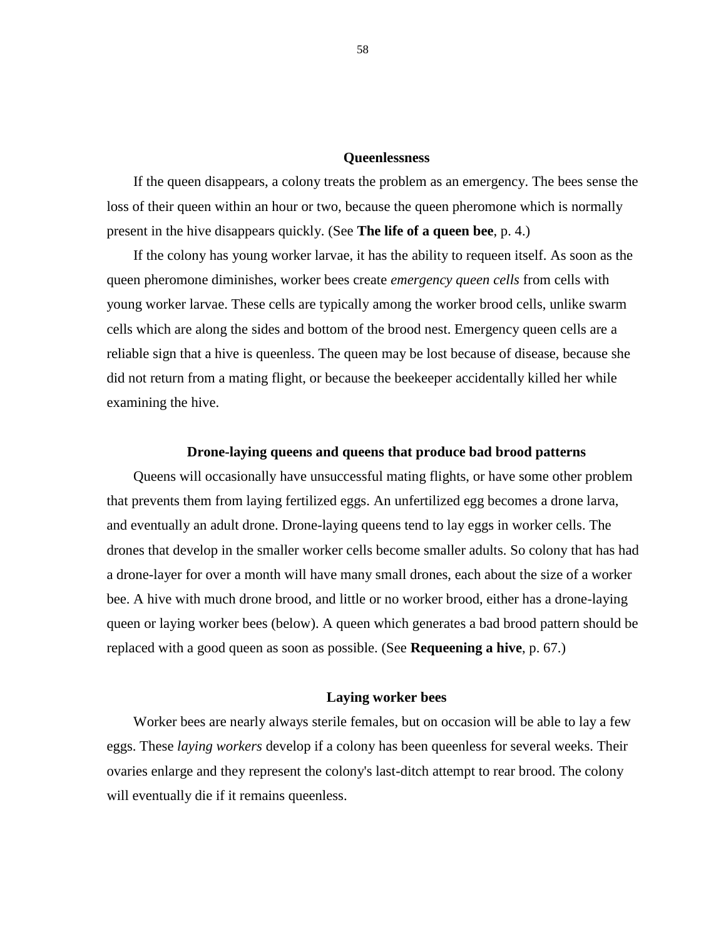### **Queenlessness**

If the queen disappears, a colony treats the problem as an emergency. The bees sense the loss of their queen within an hour or two, because the queen pheromone which is normally present in the hive disappears quickly. (See **The life of a queen bee**, p. 4.)

If the colony has young worker larvae, it has the ability to requeen itself. As soon as the queen pheromone diminishes, worker bees create *emergency queen cells* from cells with young worker larvae. These cells are typically among the worker brood cells, unlike swarm cells which are along the sides and bottom of the brood nest. Emergency queen cells are a reliable sign that a hive is queenless. The queen may be lost because of disease, because she did not return from a mating flight, or because the beekeeper accidentally killed her while examining the hive.

# **Drone-laying queens and queens that produce bad brood patterns**

Queens will occasionally have unsuccessful mating flights, or have some other problem that prevents them from laying fertilized eggs. An unfertilized egg becomes a drone larva, and eventually an adult drone. Drone-laying queens tend to lay eggs in worker cells. The drones that develop in the smaller worker cells become smaller adults. So colony that has had a drone-layer for over a month will have many small drones, each about the size of a worker bee. A hive with much drone brood, and little or no worker brood, either has a drone-laying queen or laying worker bees (below). A queen which generates a bad brood pattern should be replaced with a good queen as soon as possible. (See **Requeening a hive**, p. 67.)

# **Laying worker bees**

Worker bees are nearly always sterile females, but on occasion will be able to lay a few eggs. These *laying workers* develop if a colony has been queenless for several weeks. Their ovaries enlarge and they represent the colony's last-ditch attempt to rear brood. The colony will eventually die if it remains queenless.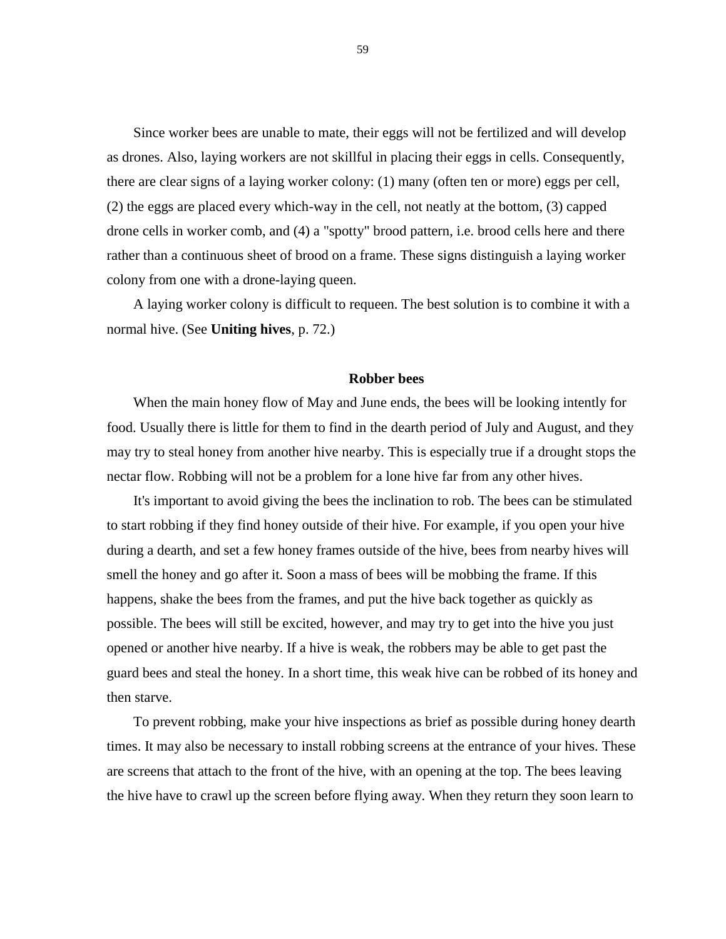Since worker bees are unable to mate, their eggs will not be fertilized and will develop as drones. Also, laying workers are not skillful in placing their eggs in cells. Consequently, there are clear signs of a laying worker colony: (1) many (often ten or more) eggs per cell, (2) the eggs are placed every which-way in the cell, not neatly at the bottom, (3) capped drone cells in worker comb, and (4) a "spotty" brood pattern, i.e. brood cells here and there rather than a continuous sheet of brood on a frame. These signs distinguish a laying worker colony from one with a drone-laying queen.

A laying worker colony is difficult to requeen. The best solution is to combine it with a normal hive. (See **Uniting hives**, p. 72.)

# **Robber bees**

When the main honey flow of May and June ends, the bees will be looking intently for food. Usually there is little for them to find in the dearth period of July and August, and they may try to steal honey from another hive nearby. This is especially true if a drought stops the nectar flow. Robbing will not be a problem for a lone hive far from any other hives.

It's important to avoid giving the bees the inclination to rob. The bees can be stimulated to start robbing if they find honey outside of their hive. For example, if you open your hive during a dearth, and set a few honey frames outside of the hive, bees from nearby hives will smell the honey and go after it. Soon a mass of bees will be mobbing the frame. If this happens, shake the bees from the frames, and put the hive back together as quickly as possible. The bees will still be excited, however, and may try to get into the hive you just opened or another hive nearby. If a hive is weak, the robbers may be able to get past the guard bees and steal the honey. In a short time, this weak hive can be robbed of its honey and then starve.

To prevent robbing, make your hive inspections as brief as possible during honey dearth times. It may also be necessary to install robbing screens at the entrance of your hives. These are screens that attach to the front of the hive, with an opening at the top. The bees leaving the hive have to crawl up the screen before flying away. When they return they soon learn to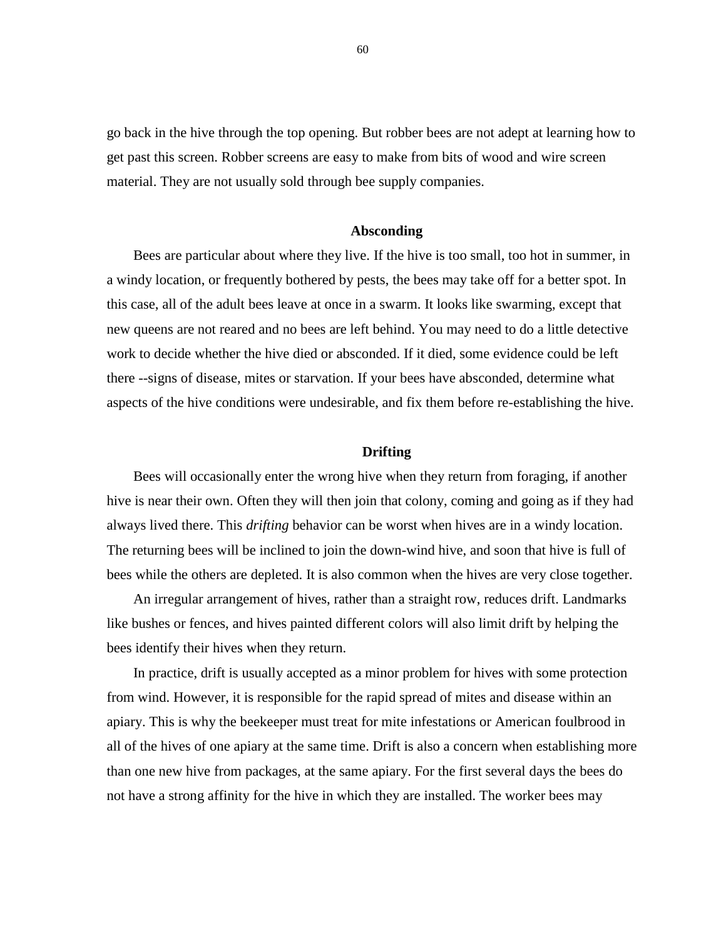go back in the hive through the top opening. But robber bees are not adept at learning how to get past this screen. Robber screens are easy to make from bits of wood and wire screen material. They are not usually sold through bee supply companies.

#### **Absconding**

Bees are particular about where they live. If the hive is too small, too hot in summer, in a windy location, or frequently bothered by pests, the bees may take off for a better spot. In this case, all of the adult bees leave at once in a swarm. It looks like swarming, except that new queens are not reared and no bees are left behind. You may need to do a little detective work to decide whether the hive died or absconded. If it died, some evidence could be left there --signs of disease, mites or starvation. If your bees have absconded, determine what aspects of the hive conditions were undesirable, and fix them before re-establishing the hive.

# **Drifting**

Bees will occasionally enter the wrong hive when they return from foraging, if another hive is near their own. Often they will then join that colony, coming and going as if they had always lived there. This *drifting* behavior can be worst when hives are in a windy location. The returning bees will be inclined to join the down-wind hive, and soon that hive is full of bees while the others are depleted. It is also common when the hives are very close together.

An irregular arrangement of hives, rather than a straight row, reduces drift. Landmarks like bushes or fences, and hives painted different colors will also limit drift by helping the bees identify their hives when they return.

In practice, drift is usually accepted as a minor problem for hives with some protection from wind. However, it is responsible for the rapid spread of mites and disease within an apiary. This is why the beekeeper must treat for mite infestations or American foulbrood in all of the hives of one apiary at the same time. Drift is also a concern when establishing more than one new hive from packages, at the same apiary. For the first several days the bees do not have a strong affinity for the hive in which they are installed. The worker bees may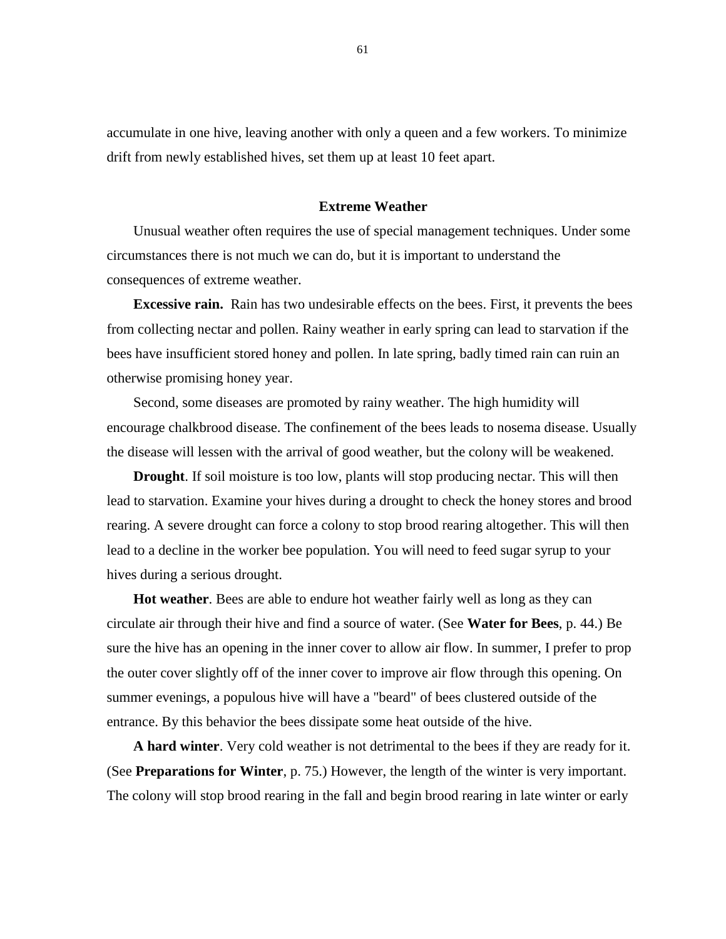accumulate in one hive, leaving another with only a queen and a few workers. To minimize drift from newly established hives, set them up at least 10 feet apart.

# **Extreme Weather**

Unusual weather often requires the use of special management techniques. Under some circumstances there is not much we can do, but it is important to understand the consequences of extreme weather.

**Excessive rain.** Rain has two undesirable effects on the bees. First, it prevents the bees from collecting nectar and pollen. Rainy weather in early spring can lead to starvation if the bees have insufficient stored honey and pollen. In late spring, badly timed rain can ruin an otherwise promising honey year.

Second, some diseases are promoted by rainy weather. The high humidity will encourage chalkbrood disease. The confinement of the bees leads to nosema disease. Usually the disease will lessen with the arrival of good weather, but the colony will be weakened.

**Drought**. If soil moisture is too low, plants will stop producing nectar. This will then lead to starvation. Examine your hives during a drought to check the honey stores and brood rearing. A severe drought can force a colony to stop brood rearing altogether. This will then lead to a decline in the worker bee population. You will need to feed sugar syrup to your hives during a serious drought.

**Hot weather**. Bees are able to endure hot weather fairly well as long as they can circulate air through their hive and find a source of water. (See **Water for Bees**, p. 44.) Be sure the hive has an opening in the inner cover to allow air flow. In summer, I prefer to prop the outer cover slightly off of the inner cover to improve air flow through this opening. On summer evenings, a populous hive will have a "beard" of bees clustered outside of the entrance. By this behavior the bees dissipate some heat outside of the hive.

**A hard winter**. Very cold weather is not detrimental to the bees if they are ready for it. (See **Preparations for Winter**, p. 75.) However, the length of the winter is very important. The colony will stop brood rearing in the fall and begin brood rearing in late winter or early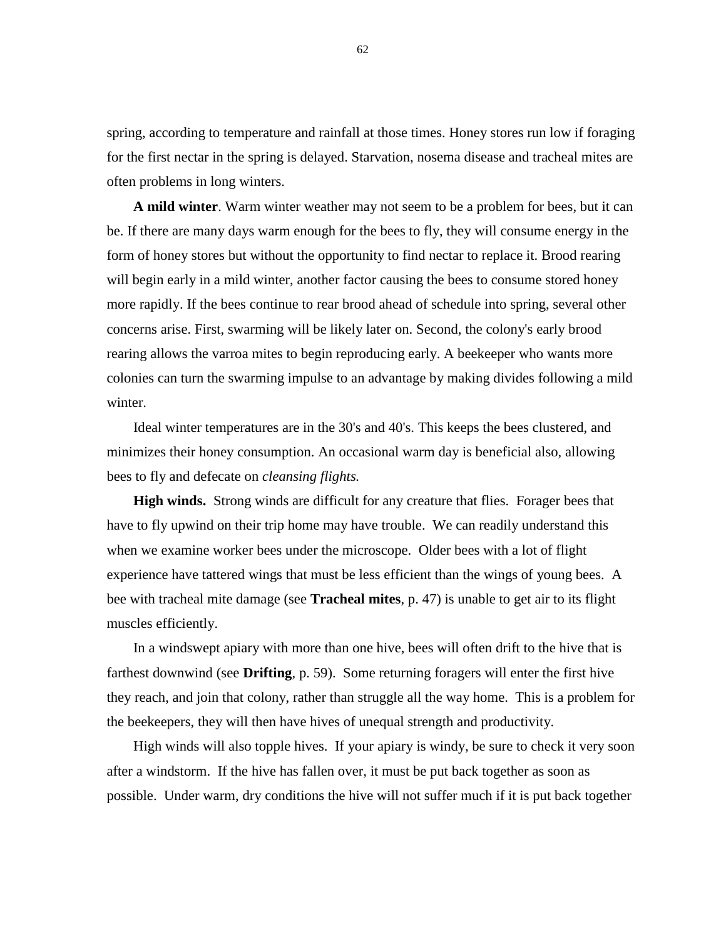spring, according to temperature and rainfall at those times. Honey stores run low if foraging for the first nectar in the spring is delayed. Starvation, nosema disease and tracheal mites are often problems in long winters.

**A mild winter**. Warm winter weather may not seem to be a problem for bees, but it can be. If there are many days warm enough for the bees to fly, they will consume energy in the form of honey stores but without the opportunity to find nectar to replace it. Brood rearing will begin early in a mild winter, another factor causing the bees to consume stored honey more rapidly. If the bees continue to rear brood ahead of schedule into spring, several other concerns arise. First, swarming will be likely later on. Second, the colony's early brood rearing allows the varroa mites to begin reproducing early. A beekeeper who wants more colonies can turn the swarming impulse to an advantage by making divides following a mild winter.

Ideal winter temperatures are in the 30's and 40's. This keeps the bees clustered, and minimizes their honey consumption. An occasional warm day is beneficial also, allowing bees to fly and defecate on *cleansing flights.*

**High winds.** Strong winds are difficult for any creature that flies. Forager bees that have to fly upwind on their trip home may have trouble. We can readily understand this when we examine worker bees under the microscope. Older bees with a lot of flight experience have tattered wings that must be less efficient than the wings of young bees. A bee with tracheal mite damage (see **Tracheal mites**, p. 47) is unable to get air to its flight muscles efficiently.

In a windswept apiary with more than one hive, bees will often drift to the hive that is farthest downwind (see **Drifting**, p. 59). Some returning foragers will enter the first hive they reach, and join that colony, rather than struggle all the way home. This is a problem for the beekeepers, they will then have hives of unequal strength and productivity.

High winds will also topple hives. If your apiary is windy, be sure to check it very soon after a windstorm. If the hive has fallen over, it must be put back together as soon as possible. Under warm, dry conditions the hive will not suffer much if it is put back together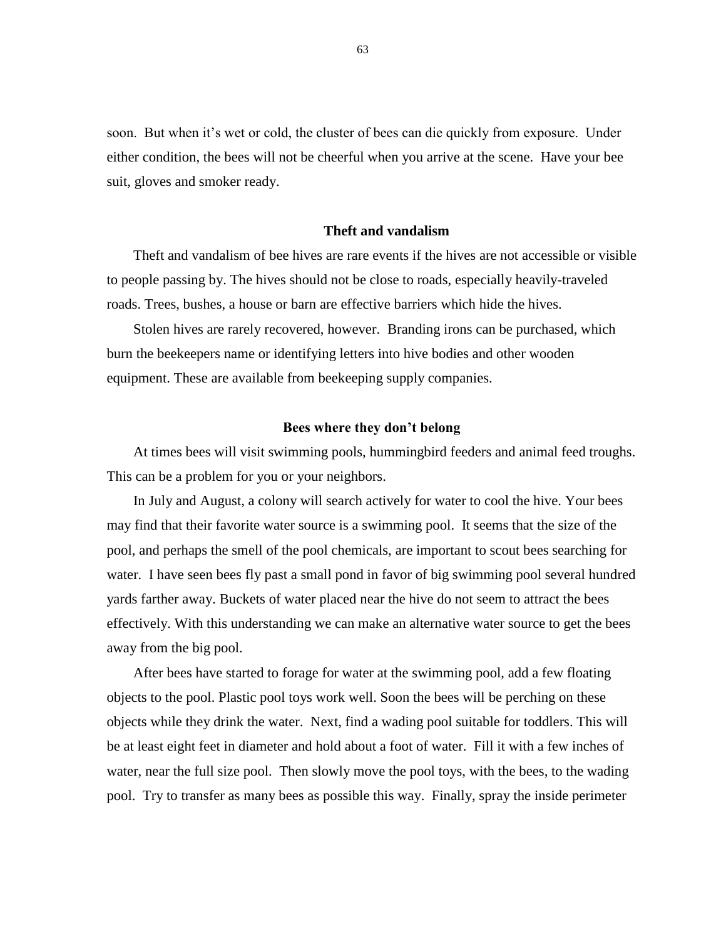soon. But when it's wet or cold, the cluster of bees can die quickly from exposure. Under either condition, the bees will not be cheerful when you arrive at the scene. Have your bee suit, gloves and smoker ready.

# **Theft and vandalism**

Theft and vandalism of bee hives are rare events if the hives are not accessible or visible to people passing by. The hives should not be close to roads, especially heavily-traveled roads. Trees, bushes, a house or barn are effective barriers which hide the hives.

Stolen hives are rarely recovered, however. Branding irons can be purchased, which burn the beekeepers name or identifying letters into hive bodies and other wooden equipment. These are available from beekeeping supply companies.

#### **Bees where they don't belong**

At times bees will visit swimming pools, hummingbird feeders and animal feed troughs. This can be a problem for you or your neighbors.

In July and August, a colony will search actively for water to cool the hive. Your bees may find that their favorite water source is a swimming pool. It seems that the size of the pool, and perhaps the smell of the pool chemicals, are important to scout bees searching for water. I have seen bees fly past a small pond in favor of big swimming pool several hundred yards farther away. Buckets of water placed near the hive do not seem to attract the bees effectively. With this understanding we can make an alternative water source to get the bees away from the big pool.

After bees have started to forage for water at the swimming pool, add a few floating objects to the pool. Plastic pool toys work well. Soon the bees will be perching on these objects while they drink the water. Next, find a wading pool suitable for toddlers. This will be at least eight feet in diameter and hold about a foot of water. Fill it with a few inches of water, near the full size pool. Then slowly move the pool toys, with the bees, to the wading pool. Try to transfer as many bees as possible this way. Finally, spray the inside perimeter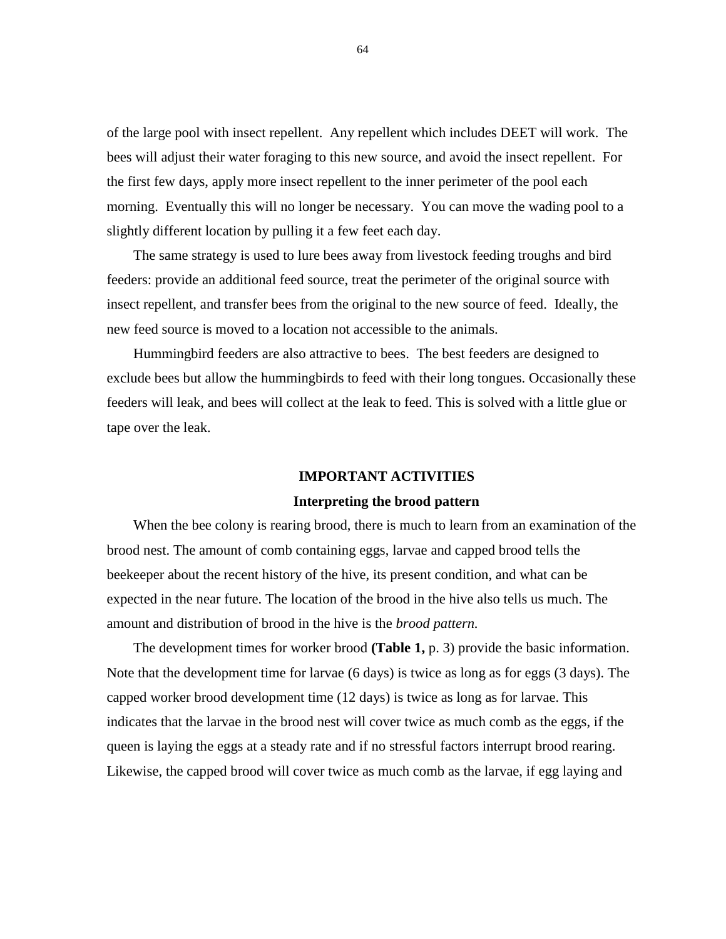of the large pool with insect repellent. Any repellent which includes DEET will work. The bees will adjust their water foraging to this new source, and avoid the insect repellent. For the first few days, apply more insect repellent to the inner perimeter of the pool each morning. Eventually this will no longer be necessary. You can move the wading pool to a slightly different location by pulling it a few feet each day.

The same strategy is used to lure bees away from livestock feeding troughs and bird feeders: provide an additional feed source, treat the perimeter of the original source with insect repellent, and transfer bees from the original to the new source of feed. Ideally, the new feed source is moved to a location not accessible to the animals.

Hummingbird feeders are also attractive to bees. The best feeders are designed to exclude bees but allow the hummingbirds to feed with their long tongues. Occasionally these feeders will leak, and bees will collect at the leak to feed. This is solved with a little glue or tape over the leak.

# **IMPORTANT ACTIVITIES**

# **Interpreting the brood pattern**

When the bee colony is rearing brood, there is much to learn from an examination of the brood nest. The amount of comb containing eggs, larvae and capped brood tells the beekeeper about the recent history of the hive, its present condition, and what can be expected in the near future. The location of the brood in the hive also tells us much. The amount and distribution of brood in the hive is the *brood pattern.*

The development times for worker brood **(Table 1,** p. 3) provide the basic information. Note that the development time for larvae (6 days) is twice as long as for eggs (3 days). The capped worker brood development time (12 days) is twice as long as for larvae. This indicates that the larvae in the brood nest will cover twice as much comb as the eggs, if the queen is laying the eggs at a steady rate and if no stressful factors interrupt brood rearing. Likewise, the capped brood will cover twice as much comb as the larvae, if egg laying and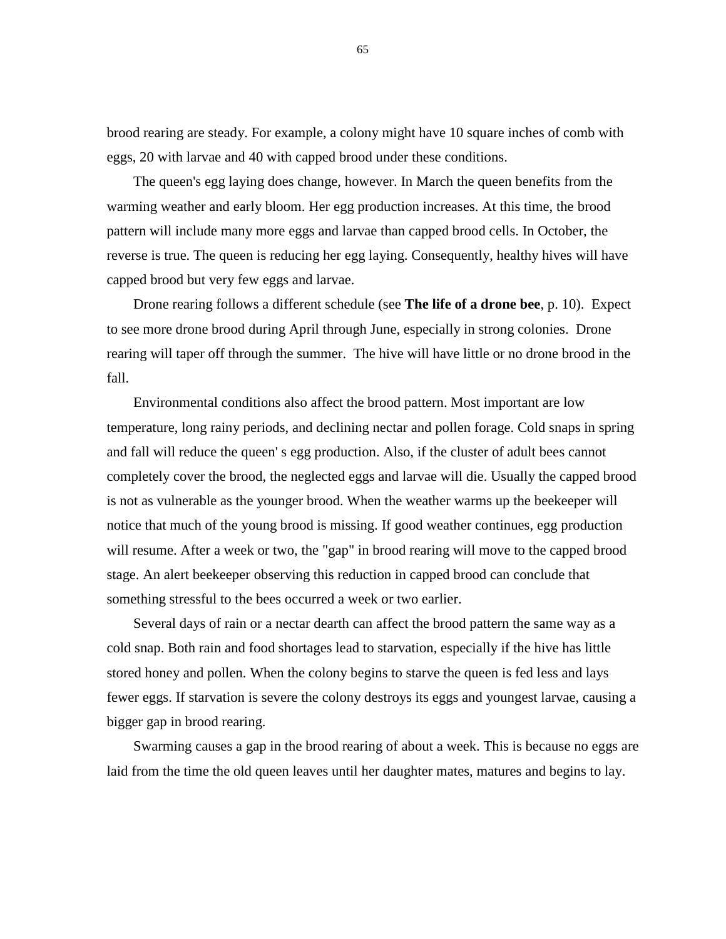brood rearing are steady. For example, a colony might have 10 square inches of comb with eggs, 20 with larvae and 40 with capped brood under these conditions.

The queen's egg laying does change, however. In March the queen benefits from the warming weather and early bloom. Her egg production increases. At this time, the brood pattern will include many more eggs and larvae than capped brood cells. In October, the reverse is true. The queen is reducing her egg laying. Consequently, healthy hives will have capped brood but very few eggs and larvae.

Drone rearing follows a different schedule (see **The life of a drone bee**, p. 10). Expect to see more drone brood during April through June, especially in strong colonies. Drone rearing will taper off through the summer. The hive will have little or no drone brood in the fall.

Environmental conditions also affect the brood pattern. Most important are low temperature, long rainy periods, and declining nectar and pollen forage. Cold snaps in spring and fall will reduce the queen' s egg production. Also, if the cluster of adult bees cannot completely cover the brood, the neglected eggs and larvae will die. Usually the capped brood is not as vulnerable as the younger brood. When the weather warms up the beekeeper will notice that much of the young brood is missing. If good weather continues, egg production will resume. After a week or two, the "gap" in brood rearing will move to the capped brood stage. An alert beekeeper observing this reduction in capped brood can conclude that something stressful to the bees occurred a week or two earlier.

Several days of rain or a nectar dearth can affect the brood pattern the same way as a cold snap. Both rain and food shortages lead to starvation, especially if the hive has little stored honey and pollen. When the colony begins to starve the queen is fed less and lays fewer eggs. If starvation is severe the colony destroys its eggs and youngest larvae, causing a bigger gap in brood rearing.

Swarming causes a gap in the brood rearing of about a week. This is because no eggs are laid from the time the old queen leaves until her daughter mates, matures and begins to lay.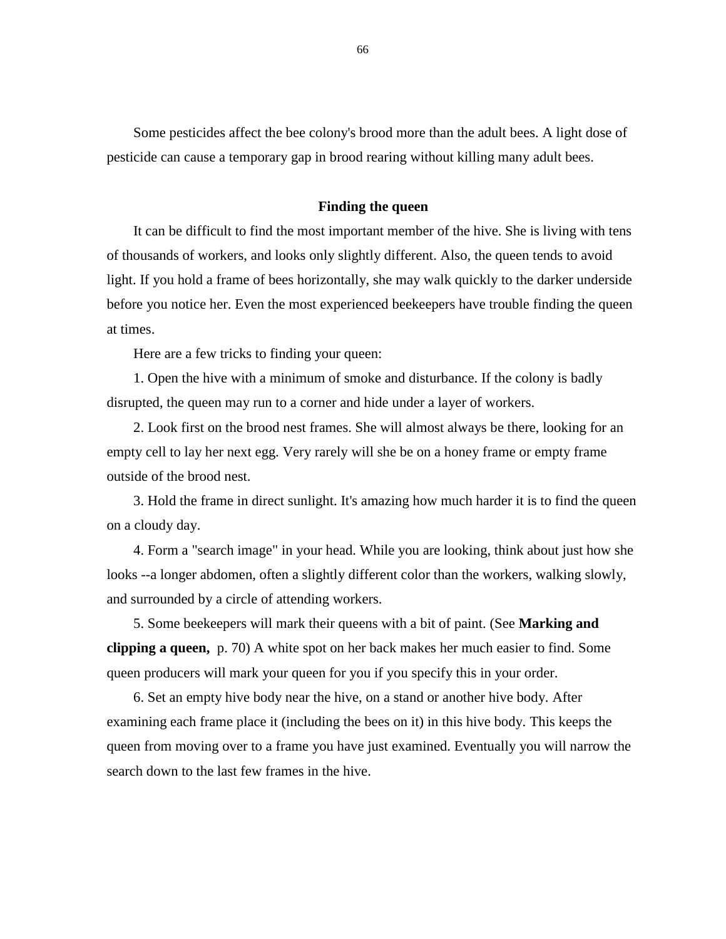Some pesticides affect the bee colony's brood more than the adult bees. A light dose of pesticide can cause a temporary gap in brood rearing without killing many adult bees.

### **Finding the queen**

It can be difficult to find the most important member of the hive. She is living with tens of thousands of workers, and looks only slightly different. Also, the queen tends to avoid light. If you hold a frame of bees horizontally, she may walk quickly to the darker underside before you notice her. Even the most experienced beekeepers have trouble finding the queen at times.

Here are a few tricks to finding your queen:

1. Open the hive with a minimum of smoke and disturbance. If the colony is badly disrupted, the queen may run to a corner and hide under a layer of workers.

2. Look first on the brood nest frames. She will almost always be there, looking for an empty cell to lay her next egg. Very rarely will she be on a honey frame or empty frame outside of the brood nest.

3. Hold the frame in direct sunlight. It's amazing how much harder it is to find the queen on a cloudy day.

4. Form a "search image" in your head. While you are looking, think about just how she looks --a longer abdomen, often a slightly different color than the workers, walking slowly, and surrounded by a circle of attending workers.

5. Some beekeepers will mark their queens with a bit of paint. (See **Marking and clipping a queen,** p. 70) A white spot on her back makes her much easier to find. Some queen producers will mark your queen for you if you specify this in your order.

6. Set an empty hive body near the hive, on a stand or another hive body. After examining each frame place it (including the bees on it) in this hive body. This keeps the queen from moving over to a frame you have just examined. Eventually you will narrow the search down to the last few frames in the hive.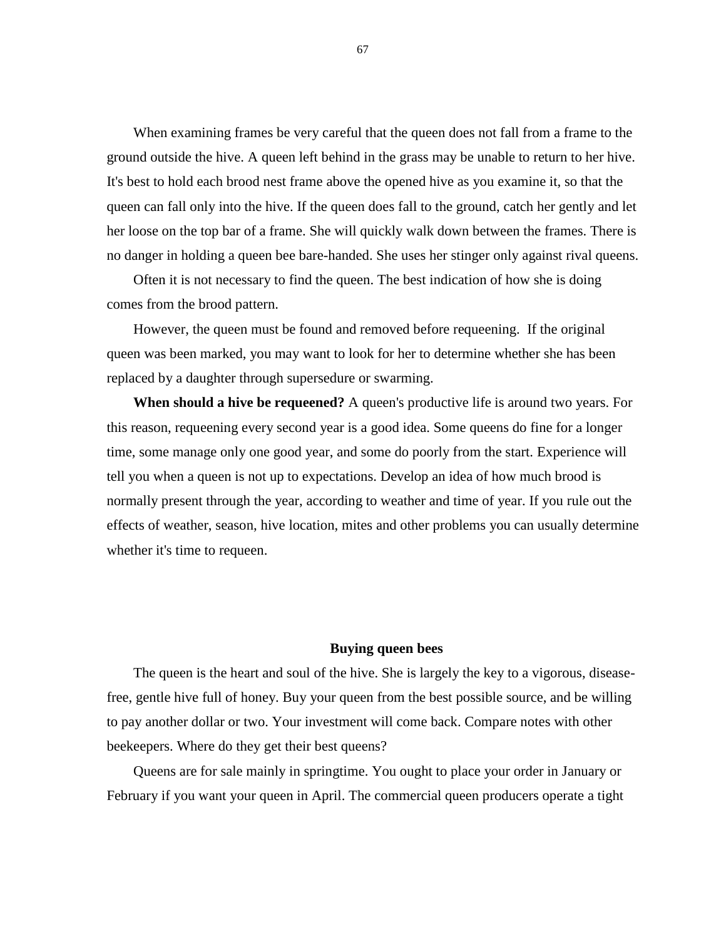When examining frames be very careful that the queen does not fall from a frame to the ground outside the hive. A queen left behind in the grass may be unable to return to her hive. It's best to hold each brood nest frame above the opened hive as you examine it, so that the queen can fall only into the hive. If the queen does fall to the ground, catch her gently and let her loose on the top bar of a frame. She will quickly walk down between the frames. There is no danger in holding a queen bee bare-handed. She uses her stinger only against rival queens.

Often it is not necessary to find the queen. The best indication of how she is doing comes from the brood pattern.

However, the queen must be found and removed before requeening. If the original queen was been marked, you may want to look for her to determine whether she has been replaced by a daughter through supersedure or swarming.

**When should a hive be requeened?** A queen's productive life is around two years. For this reason, requeening every second year is a good idea. Some queens do fine for a longer time, some manage only one good year, and some do poorly from the start. Experience will tell you when a queen is not up to expectations. Develop an idea of how much brood is normally present through the year, according to weather and time of year. If you rule out the effects of weather, season, hive location, mites and other problems you can usually determine whether it's time to requeen.

### **Buying queen bees**

The queen is the heart and soul of the hive. She is largely the key to a vigorous, diseasefree, gentle hive full of honey. Buy your queen from the best possible source, and be willing to pay another dollar or two. Your investment will come back. Compare notes with other beekeepers. Where do they get their best queens?

Queens are for sale mainly in springtime. You ought to place your order in January or February if you want your queen in April. The commercial queen producers operate a tight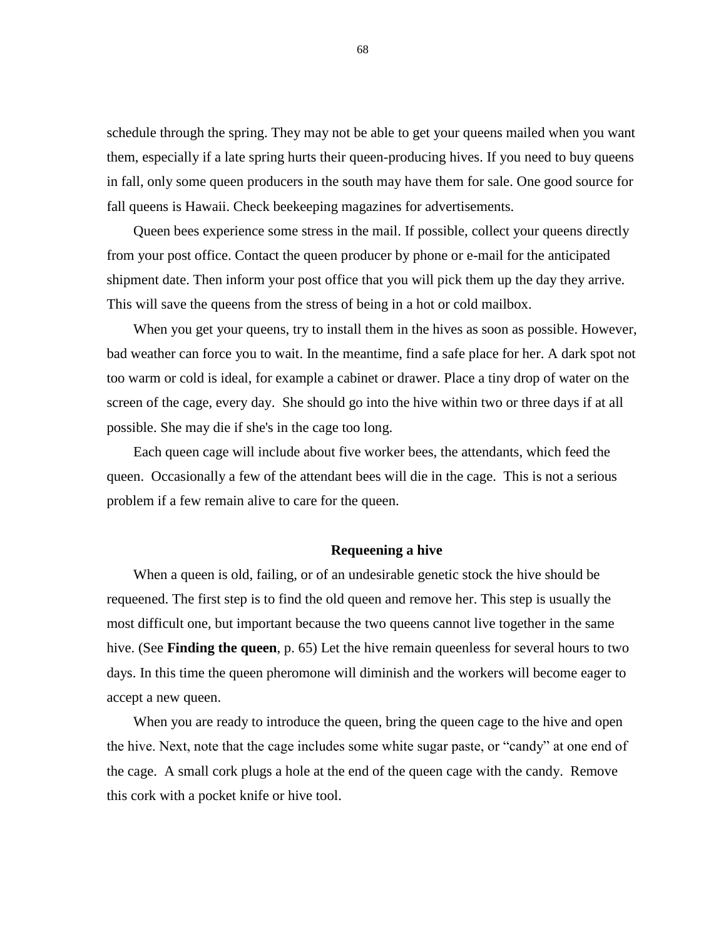schedule through the spring. They may not be able to get your queens mailed when you want them, especially if a late spring hurts their queen-producing hives. If you need to buy queens in fall, only some queen producers in the south may have them for sale. One good source for fall queens is Hawaii. Check beekeeping magazines for advertisements.

Queen bees experience some stress in the mail. If possible, collect your queens directly from your post office. Contact the queen producer by phone or e-mail for the anticipated shipment date. Then inform your post office that you will pick them up the day they arrive. This will save the queens from the stress of being in a hot or cold mailbox.

When you get your queens, try to install them in the hives as soon as possible. However, bad weather can force you to wait. In the meantime, find a safe place for her. A dark spot not too warm or cold is ideal, for example a cabinet or drawer. Place a tiny drop of water on the screen of the cage, every day. She should go into the hive within two or three days if at all possible. She may die if she's in the cage too long.

Each queen cage will include about five worker bees, the attendants, which feed the queen. Occasionally a few of the attendant bees will die in the cage. This is not a serious problem if a few remain alive to care for the queen.

#### **Requeening a hive**

When a queen is old, failing, or of an undesirable genetic stock the hive should be requeened. The first step is to find the old queen and remove her. This step is usually the most difficult one, but important because the two queens cannot live together in the same hive. (See **Finding the queen**, p. 65) Let the hive remain queenless for several hours to two days. In this time the queen pheromone will diminish and the workers will become eager to accept a new queen.

When you are ready to introduce the queen, bring the queen cage to the hive and open the hive. Next, note that the cage includes some white sugar paste, or "candy" at one end of the cage. A small cork plugs a hole at the end of the queen cage with the candy. Remove this cork with a pocket knife or hive tool.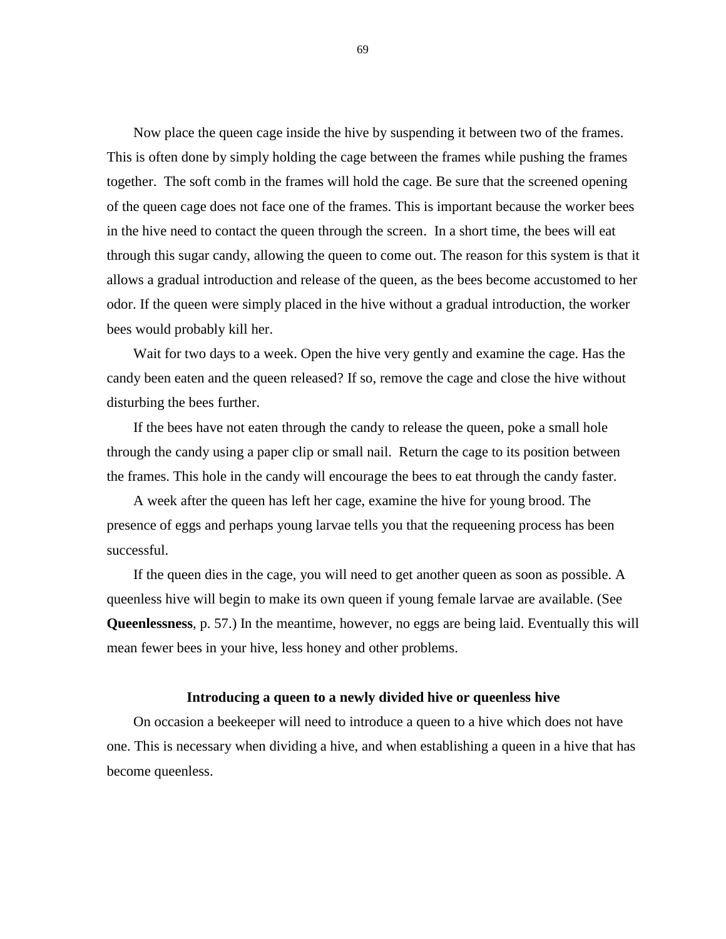Now place the queen cage inside the hive by suspending it between two of the frames. This is often done by simply holding the cage between the frames while pushing the frames together. The soft comb in the frames will hold the cage. Be sure that the screened opening of the queen cage does not face one of the frames. This is important because the worker bees in the hive need to contact the queen through the screen. In a short time, the bees will eat through this sugar candy, allowing the queen to come out. The reason for this system is that it allows a gradual introduction and release of the queen, as the bees become accustomed to her odor. If the queen were simply placed in the hive without a gradual introduction, the worker bees would probably kill her.

Wait for two days to a week. Open the hive very gently and examine the cage. Has the candy been eaten and the queen released? If so, remove the cage and close the hive without disturbing the bees further.

If the bees have not eaten through the candy to release the queen, poke a small hole through the candy using a paper clip or small nail. Return the cage to its position between the frames. This hole in the candy will encourage the bees to eat through the candy faster.

A week after the queen has left her cage, examine the hive for young brood. The presence of eggs and perhaps young larvae tells you that the requeening process has been successful.

If the queen dies in the cage, you will need to get another queen as soon as possible. A queenless hive will begin to make its own queen if young female larvae are available. (See **Queenlessness**, p. 57.) In the meantime, however, no eggs are being laid. Eventually this will mean fewer bees in your hive, less honey and other problems.

# **Introducing a queen to a newly divided hive or queenless hive**

On occasion a beekeeper will need to introduce a queen to a hive which does not have one. This is necessary when dividing a hive, and when establishing a queen in a hive that has become queenless.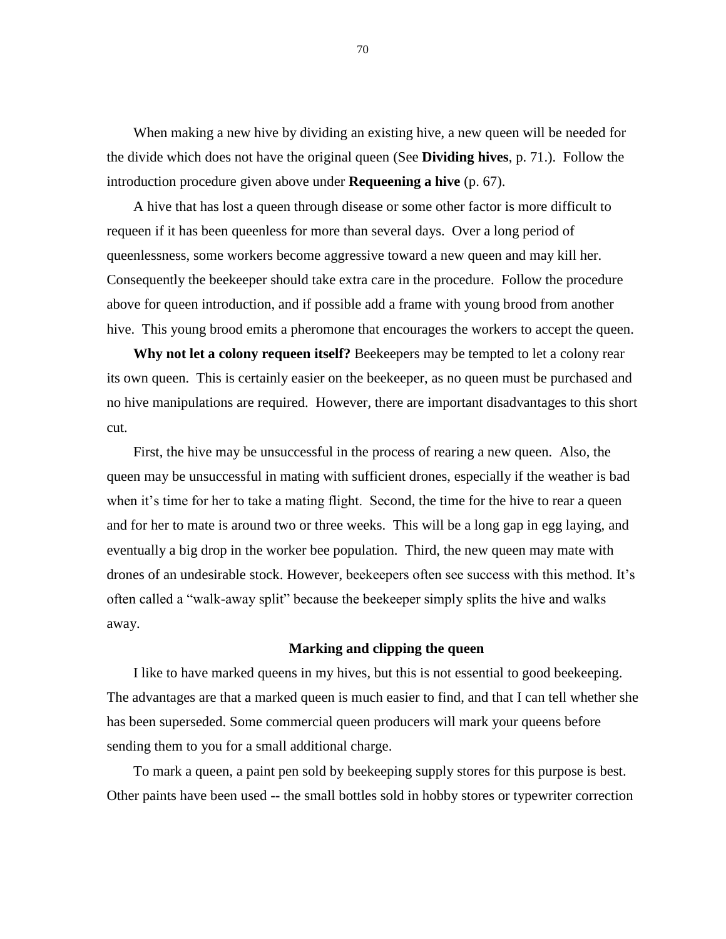When making a new hive by dividing an existing hive, a new queen will be needed for the divide which does not have the original queen (See **Dividing hives**, p. 71.). Follow the introduction procedure given above under **Requeening a hive** (p. 67).

A hive that has lost a queen through disease or some other factor is more difficult to requeen if it has been queenless for more than several days. Over a long period of queenlessness, some workers become aggressive toward a new queen and may kill her. Consequently the beekeeper should take extra care in the procedure. Follow the procedure above for queen introduction, and if possible add a frame with young brood from another hive. This young brood emits a pheromone that encourages the workers to accept the queen.

**Why not let a colony requeen itself?** Beekeepers may be tempted to let a colony rear its own queen. This is certainly easier on the beekeeper, as no queen must be purchased and no hive manipulations are required. However, there are important disadvantages to this short cut.

First, the hive may be unsuccessful in the process of rearing a new queen. Also, the queen may be unsuccessful in mating with sufficient drones, especially if the weather is bad when it's time for her to take a mating flight. Second, the time for the hive to rear a queen and for her to mate is around two or three weeks. This will be a long gap in egg laying, and eventually a big drop in the worker bee population. Third, the new queen may mate with drones of an undesirable stock. However, beekeepers often see success with this method. It's often called a "walk-away split" because the beekeeper simply splits the hive and walks away.

#### **Marking and clipping the queen**

I like to have marked queens in my hives, but this is not essential to good beekeeping. The advantages are that a marked queen is much easier to find, and that I can tell whether she has been superseded. Some commercial queen producers will mark your queens before sending them to you for a small additional charge.

To mark a queen, a paint pen sold by beekeeping supply stores for this purpose is best. Other paints have been used -- the small bottles sold in hobby stores or typewriter correction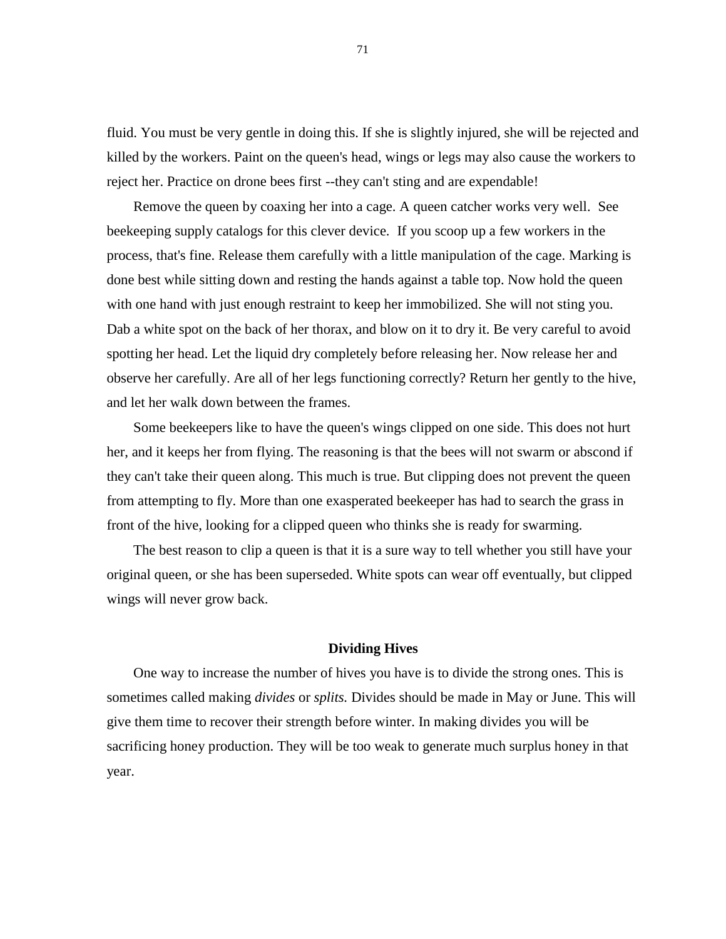fluid. You must be very gentle in doing this. If she is slightly injured, she will be rejected and killed by the workers. Paint on the queen's head, wings or legs may also cause the workers to reject her. Practice on drone bees first --they can't sting and are expendable!

Remove the queen by coaxing her into a cage. A queen catcher works very well. See beekeeping supply catalogs for this clever device. If you scoop up a few workers in the process, that's fine. Release them carefully with a little manipulation of the cage. Marking is done best while sitting down and resting the hands against a table top. Now hold the queen with one hand with just enough restraint to keep her immobilized. She will not sting you. Dab a white spot on the back of her thorax, and blow on it to dry it. Be very careful to avoid spotting her head. Let the liquid dry completely before releasing her. Now release her and observe her carefully. Are all of her legs functioning correctly? Return her gently to the hive, and let her walk down between the frames.

Some beekeepers like to have the queen's wings clipped on one side. This does not hurt her, and it keeps her from flying. The reasoning is that the bees will not swarm or abscond if they can't take their queen along. This much is true. But clipping does not prevent the queen from attempting to fly. More than one exasperated beekeeper has had to search the grass in front of the hive, looking for a clipped queen who thinks she is ready for swarming.

The best reason to clip a queen is that it is a sure way to tell whether you still have your original queen, or she has been superseded. White spots can wear off eventually, but clipped wings will never grow back.

## **Dividing Hives**

One way to increase the number of hives you have is to divide the strong ones. This is sometimes called making *divides* or *splits.* Divides should be made in May or June. This will give them time to recover their strength before winter. In making divides you will be sacrificing honey production. They will be too weak to generate much surplus honey in that year.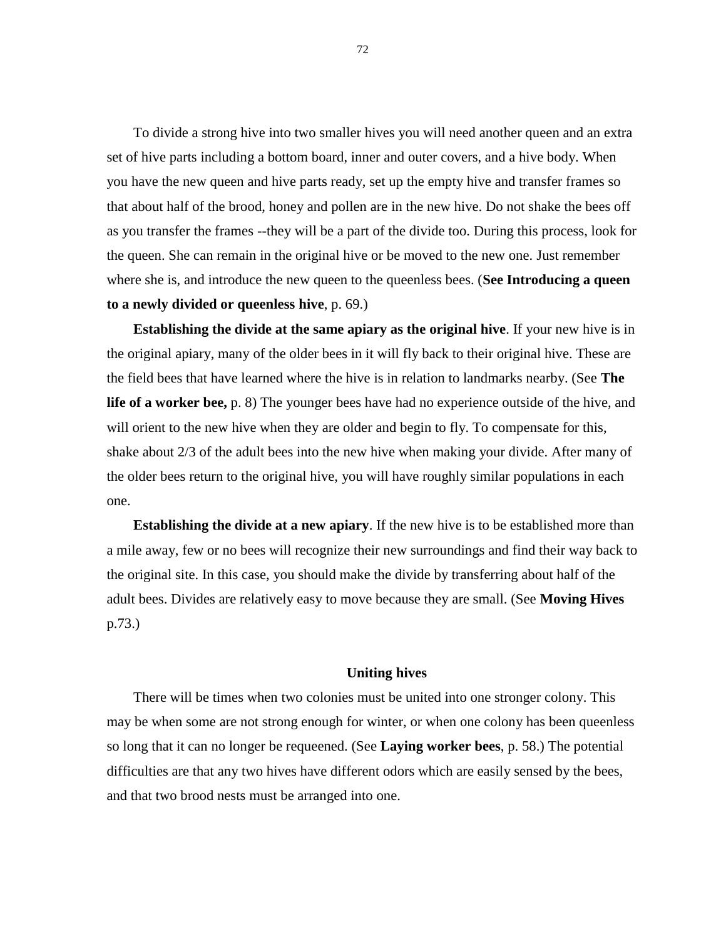To divide a strong hive into two smaller hives you will need another queen and an extra set of hive parts including a bottom board, inner and outer covers, and a hive body. When you have the new queen and hive parts ready, set up the empty hive and transfer frames so that about half of the brood, honey and pollen are in the new hive. Do not shake the bees off as you transfer the frames --they will be a part of the divide too. During this process, look for the queen. She can remain in the original hive or be moved to the new one. Just remember where she is, and introduce the new queen to the queenless bees. (**See Introducing a queen to a newly divided or queenless hive**, p. 69.)

**Establishing the divide at the same apiary as the original hive**. If your new hive is in the original apiary, many of the older bees in it will fly back to their original hive. These are the field bees that have learned where the hive is in relation to landmarks nearby. (See **The life of a worker bee,** p. 8) The younger bees have had no experience outside of the hive, and will orient to the new hive when they are older and begin to fly. To compensate for this, shake about 2/3 of the adult bees into the new hive when making your divide. After many of the older bees return to the original hive, you will have roughly similar populations in each one.

**Establishing the divide at a new apiary**. If the new hive is to be established more than a mile away, few or no bees will recognize their new surroundings and find their way back to the original site. In this case, you should make the divide by transferring about half of the adult bees. Divides are relatively easy to move because they are small. (See **Moving Hives** p.73.)

#### **Uniting hives**

There will be times when two colonies must be united into one stronger colony. This may be when some are not strong enough for winter, or when one colony has been queenless so long that it can no longer be requeened. (See **Laying worker bees**, p. 58.) The potential difficulties are that any two hives have different odors which are easily sensed by the bees, and that two brood nests must be arranged into one.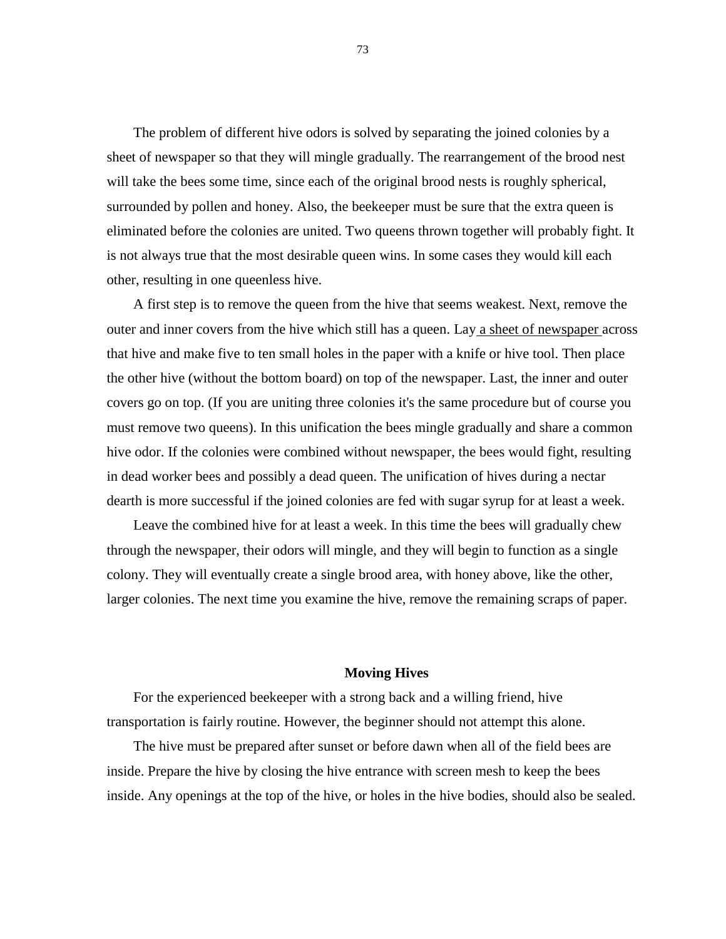The problem of different hive odors is solved by separating the joined colonies by a sheet of newspaper so that they will mingle gradually. The rearrangement of the brood nest will take the bees some time, since each of the original brood nests is roughly spherical, surrounded by pollen and honey. Also, the beekeeper must be sure that the extra queen is eliminated before the colonies are united. Two queens thrown together will probably fight. It is not always true that the most desirable queen wins. In some cases they would kill each other, resulting in one queenless hive.

A first step is to remove the queen from the hive that seems weakest. Next, remove the outer and inner covers from the hive which still has a queen. Lay a sheet of newspaper across that hive and make five to ten small holes in the paper with a knife or hive tool. Then place the other hive (without the bottom board) on top of the newspaper. Last, the inner and outer covers go on top. (If you are uniting three colonies it's the same procedure but of course you must remove two queens). In this unification the bees mingle gradually and share a common hive odor. If the colonies were combined without newspaper, the bees would fight, resulting in dead worker bees and possibly a dead queen. The unification of hives during a nectar dearth is more successful if the joined colonies are fed with sugar syrup for at least a week.

Leave the combined hive for at least a week. In this time the bees will gradually chew through the newspaper, their odors will mingle, and they will begin to function as a single colony. They will eventually create a single brood area, with honey above, like the other, larger colonies. The next time you examine the hive, remove the remaining scraps of paper.

## **Moving Hives**

For the experienced beekeeper with a strong back and a willing friend, hive transportation is fairly routine. However, the beginner should not attempt this alone.

The hive must be prepared after sunset or before dawn when all of the field bees are inside. Prepare the hive by closing the hive entrance with screen mesh to keep the bees inside. Any openings at the top of the hive, or holes in the hive bodies, should also be sealed.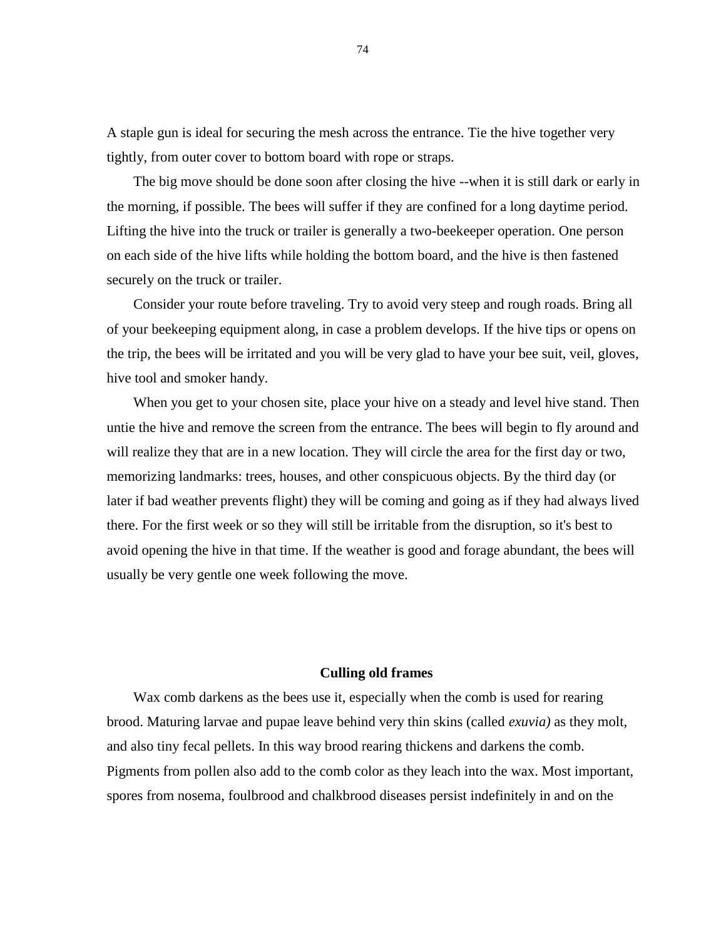A staple gun is ideal for securing the mesh across the entrance. Tie the hive together very tightly, from outer cover to bottom board with rope or straps.

The big move should be done soon after closing the hive --when it is still dark or early in the morning, if possible. The bees will suffer if they are confined for a long daytime period. Lifting the hive into the truck or trailer is generally a two-beekeeper operation. One person on each side of the hive lifts while holding the bottom board, and the hive is then fastened securely on the truck or trailer.

Consider your route before traveling. Try to avoid very steep and rough roads. Bring all of your beekeeping equipment along, in case a problem develops. If the hive tips or opens on the trip, the bees will be irritated and you will be very glad to have your bee suit, veil, gloves, hive tool and smoker handy.

When you get to your chosen site, place your hive on a steady and level hive stand. Then untie the hive and remove the screen from the entrance. The bees will begin to fly around and will realize they that are in a new location. They will circle the area for the first day or two, memorizing landmarks: trees, houses, and other conspicuous objects. By the third day (or later if bad weather prevents flight) they will be coming and going as if they had always lived there. For the first week or so they will still be irritable from the disruption, so it's best to avoid opening the hive in that time. If the weather is good and forage abundant, the bees will usually be very gentle one week following the move.

## **Culling old frames**

Wax comb darkens as the bees use it, especially when the comb is used for rearing brood. Maturing larvae and pupae leave behind very thin skins (called *exuvia)* as they molt, and also tiny fecal pellets. In this way brood rearing thickens and darkens the comb. Pigments from pollen also add to the comb color as they leach into the wax. Most important, spores from nosema, foulbrood and chalkbrood diseases persist indefinitely in and on the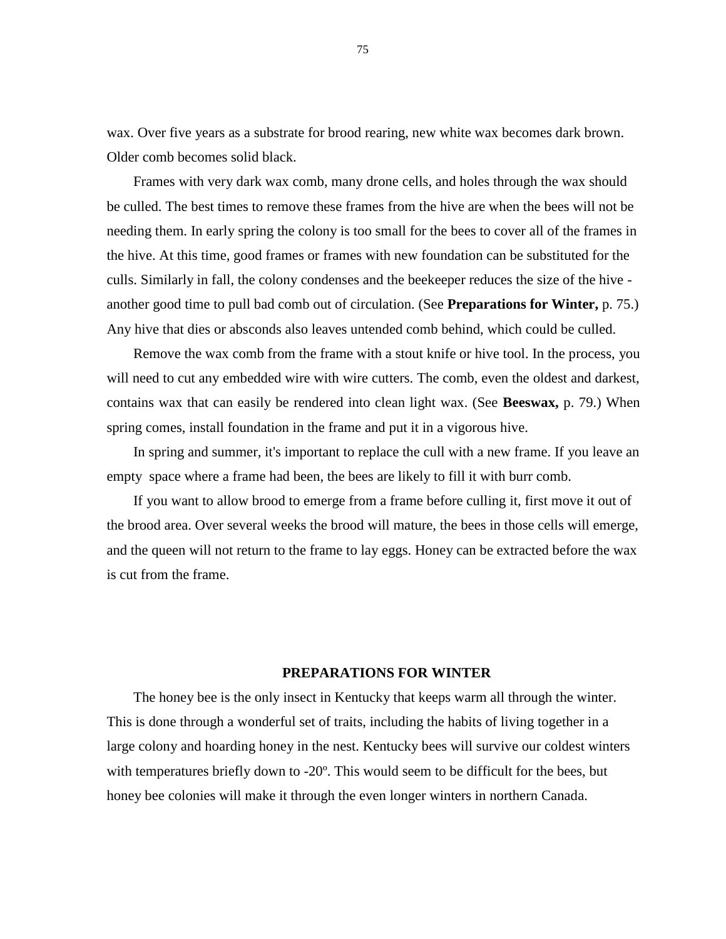wax. Over five years as a substrate for brood rearing, new white wax becomes dark brown. Older comb becomes solid black.

Frames with very dark wax comb, many drone cells, and holes through the wax should be culled. The best times to remove these frames from the hive are when the bees will not be needing them. In early spring the colony is too small for the bees to cover all of the frames in the hive. At this time, good frames or frames with new foundation can be substituted for the culls. Similarly in fall, the colony condenses and the beekeeper reduces the size of the hive another good time to pull bad comb out of circulation. (See **Preparations for Winter,** p. 75.) Any hive that dies or absconds also leaves untended comb behind, which could be culled.

Remove the wax comb from the frame with a stout knife or hive tool. In the process, you will need to cut any embedded wire with wire cutters. The comb, even the oldest and darkest, contains wax that can easily be rendered into clean light wax. (See **Beeswax,** p. 79.) When spring comes, install foundation in the frame and put it in a vigorous hive.

In spring and summer, it's important to replace the cull with a new frame. If you leave an empty space where a frame had been, the bees are likely to fill it with burr comb.

If you want to allow brood to emerge from a frame before culling it, first move it out of the brood area. Over several weeks the brood will mature, the bees in those cells will emerge, and the queen will not return to the frame to lay eggs. Honey can be extracted before the wax is cut from the frame.

## **PREPARATIONS FOR WINTER**

The honey bee is the only insect in Kentucky that keeps warm all through the winter. This is done through a wonderful set of traits, including the habits of living together in a large colony and hoarding honey in the nest. Kentucky bees will survive our coldest winters with temperatures briefly down to -20º. This would seem to be difficult for the bees, but honey bee colonies will make it through the even longer winters in northern Canada.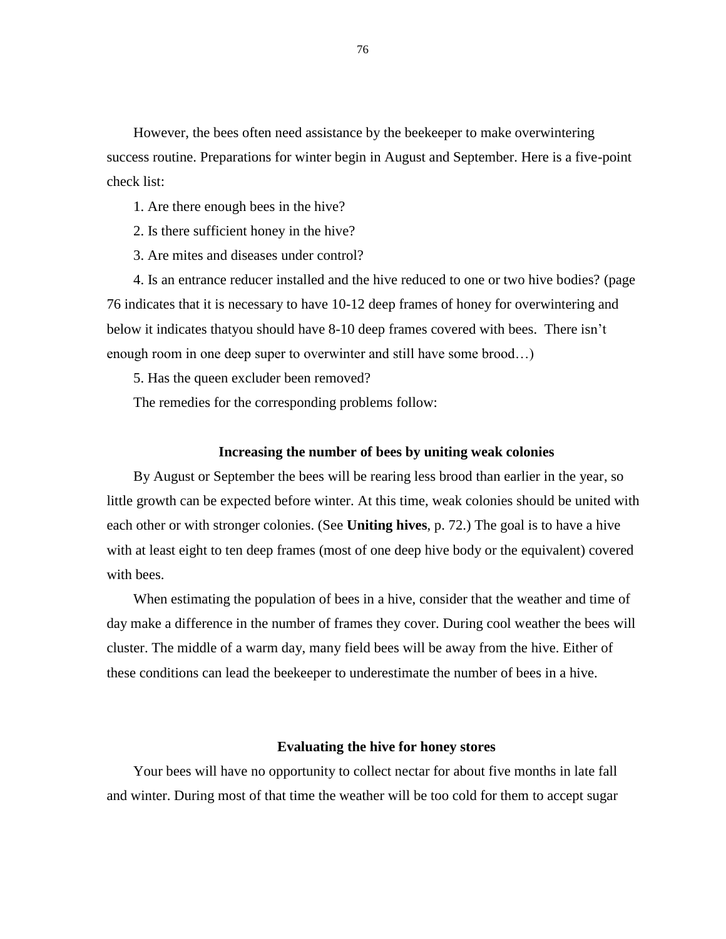However, the bees often need assistance by the beekeeper to make overwintering success routine. Preparations for winter begin in August and September. Here is a five-point check list:

- 1. Are there enough bees in the hive?
- 2. Is there sufficient honey in the hive?
- 3. Are mites and diseases under control?

4. Is an entrance reducer installed and the hive reduced to one or two hive bodies? (page 76 indicates that it is necessary to have 10-12 deep frames of honey for overwintering and below it indicates thatyou should have 8-10 deep frames covered with bees. There isn't enough room in one deep super to overwinter and still have some brood…)

5. Has the queen excluder been removed?

The remedies for the corresponding problems follow:

## **Increasing the number of bees by uniting weak colonies**

By August or September the bees will be rearing less brood than earlier in the year, so little growth can be expected before winter. At this time, weak colonies should be united with each other or with stronger colonies. (See **Uniting hives**, p. 72.) The goal is to have a hive with at least eight to ten deep frames (most of one deep hive body or the equivalent) covered with bees.

When estimating the population of bees in a hive, consider that the weather and time of day make a difference in the number of frames they cover. During cool weather the bees will cluster. The middle of a warm day, many field bees will be away from the hive. Either of these conditions can lead the beekeeper to underestimate the number of bees in a hive.

## **Evaluating the hive for honey stores**

Your bees will have no opportunity to collect nectar for about five months in late fall and winter. During most of that time the weather will be too cold for them to accept sugar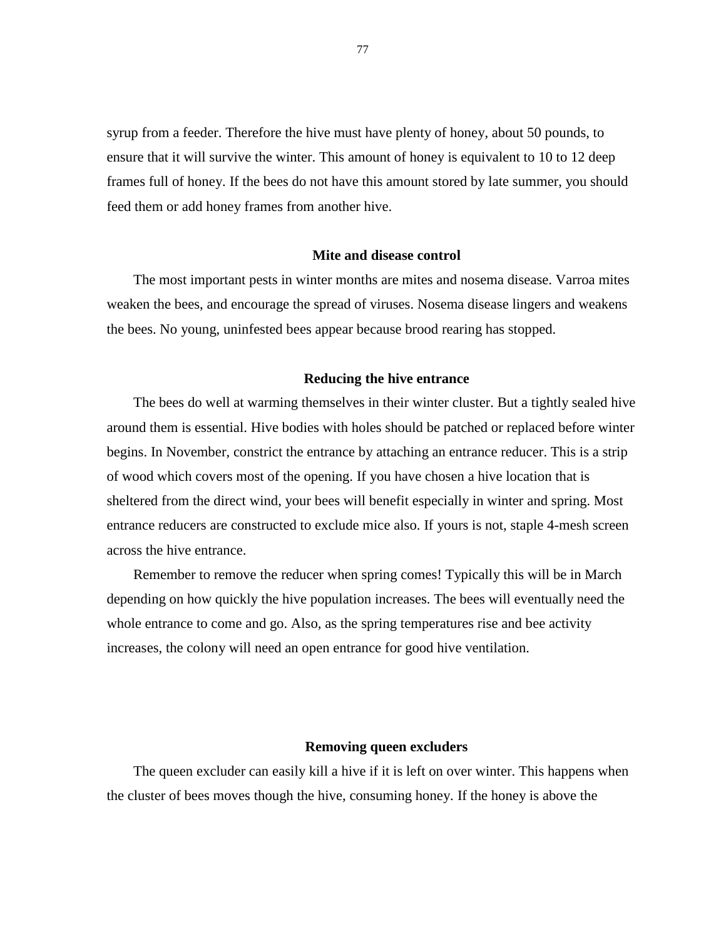syrup from a feeder. Therefore the hive must have plenty of honey, about 50 pounds, to ensure that it will survive the winter. This amount of honey is equivalent to 10 to 12 deep frames full of honey. If the bees do not have this amount stored by late summer, you should feed them or add honey frames from another hive.

## **Mite and disease control**

The most important pests in winter months are mites and nosema disease. Varroa mites weaken the bees, and encourage the spread of viruses. Nosema disease lingers and weakens the bees. No young, uninfested bees appear because brood rearing has stopped.

#### **Reducing the hive entrance**

The bees do well at warming themselves in their winter cluster. But a tightly sealed hive around them is essential. Hive bodies with holes should be patched or replaced before winter begins. In November, constrict the entrance by attaching an entrance reducer. This is a strip of wood which covers most of the opening. If you have chosen a hive location that is sheltered from the direct wind, your bees will benefit especially in winter and spring. Most entrance reducers are constructed to exclude mice also. If yours is not, staple 4-mesh screen across the hive entrance.

Remember to remove the reducer when spring comes! Typically this will be in March depending on how quickly the hive population increases. The bees will eventually need the whole entrance to come and go. Also, as the spring temperatures rise and bee activity increases, the colony will need an open entrance for good hive ventilation.

#### **Removing queen excluders**

The queen excluder can easily kill a hive if it is left on over winter. This happens when the cluster of bees moves though the hive, consuming honey. If the honey is above the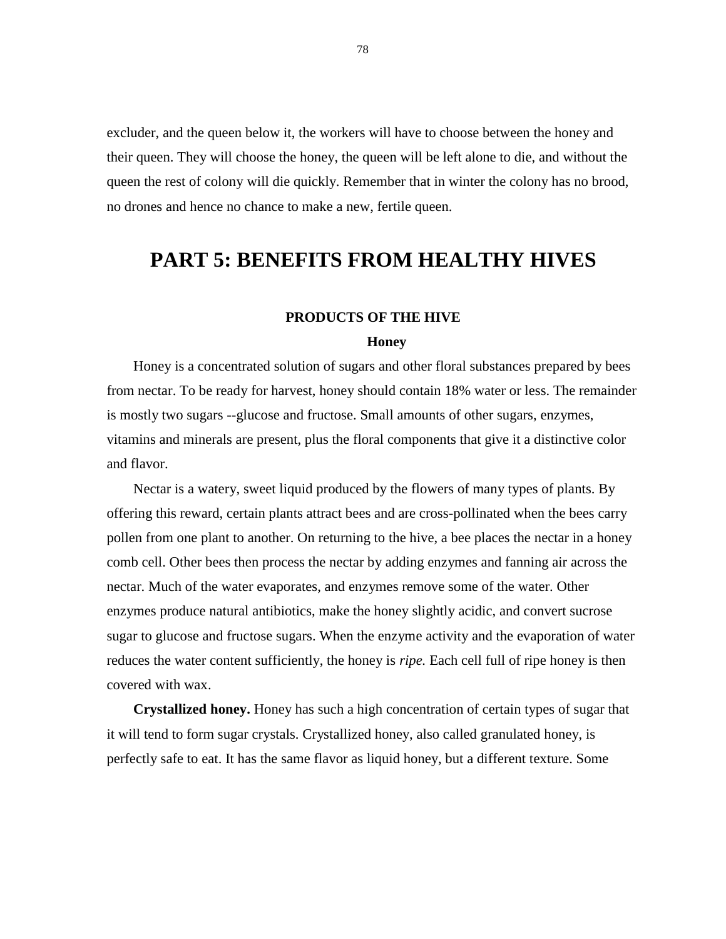excluder, and the queen below it, the workers will have to choose between the honey and their queen. They will choose the honey, the queen will be left alone to die, and without the queen the rest of colony will die quickly. Remember that in winter the colony has no brood, no drones and hence no chance to make a new, fertile queen.

## **PART 5: BENEFITS FROM HEALTHY HIVES**

## **PRODUCTS OF THE HIVE**

#### **Honey**

Honey is a concentrated solution of sugars and other floral substances prepared by bees from nectar. To be ready for harvest, honey should contain 18% water or less. The remainder is mostly two sugars --glucose and fructose. Small amounts of other sugars, enzymes, vitamins and minerals are present, plus the floral components that give it a distinctive color and flavor.

Nectar is a watery, sweet liquid produced by the flowers of many types of plants. By offering this reward, certain plants attract bees and are cross-pollinated when the bees carry pollen from one plant to another. On returning to the hive, a bee places the nectar in a honey comb cell. Other bees then process the nectar by adding enzymes and fanning air across the nectar. Much of the water evaporates, and enzymes remove some of the water. Other enzymes produce natural antibiotics, make the honey slightly acidic, and convert sucrose sugar to glucose and fructose sugars. When the enzyme activity and the evaporation of water reduces the water content sufficiently, the honey is *ripe.* Each cell full of ripe honey is then covered with wax.

**Crystallized honey.** Honey has such a high concentration of certain types of sugar that it will tend to form sugar crystals. Crystallized honey, also called granulated honey, is perfectly safe to eat. It has the same flavor as liquid honey, but a different texture. Some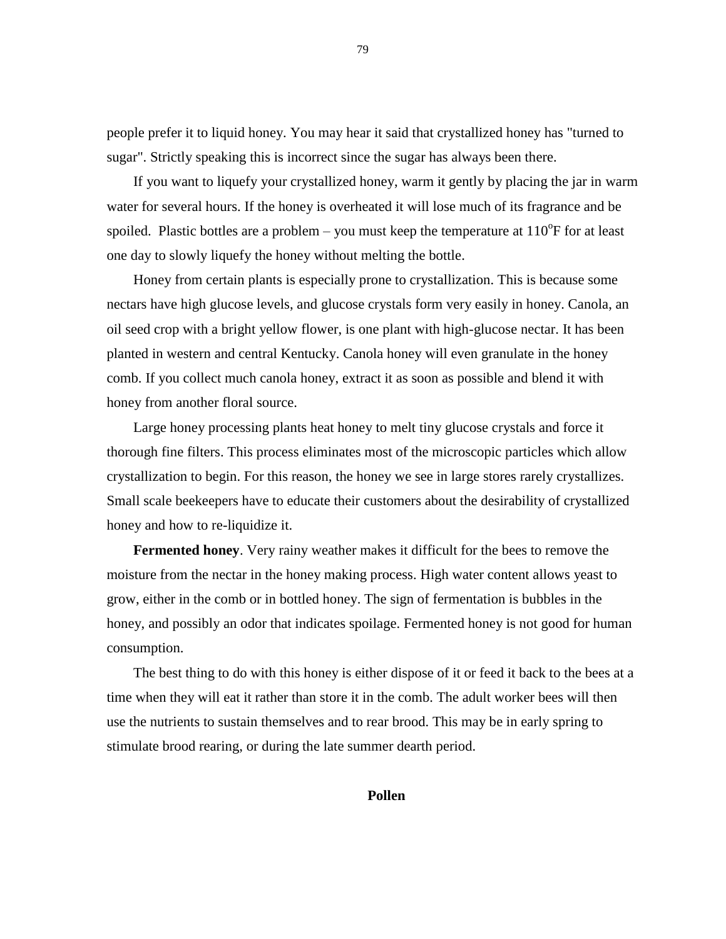people prefer it to liquid honey. You may hear it said that crystallized honey has "turned to sugar". Strictly speaking this is incorrect since the sugar has always been there.

If you want to liquefy your crystallized honey, warm it gently by placing the jar in warm water for several hours. If the honey is overheated it will lose much of its fragrance and be spoiled. Plastic bottles are a problem – you must keep the temperature at  $110^{\circ}$ F for at least one day to slowly liquefy the honey without melting the bottle.

Honey from certain plants is especially prone to crystallization. This is because some nectars have high glucose levels, and glucose crystals form very easily in honey. Canola, an oil seed crop with a bright yellow flower, is one plant with high-glucose nectar. It has been planted in western and central Kentucky. Canola honey will even granulate in the honey comb. If you collect much canola honey, extract it as soon as possible and blend it with honey from another floral source.

Large honey processing plants heat honey to melt tiny glucose crystals and force it thorough fine filters. This process eliminates most of the microscopic particles which allow crystallization to begin. For this reason, the honey we see in large stores rarely crystallizes. Small scale beekeepers have to educate their customers about the desirability of crystallized honey and how to re-liquidize it.

**Fermented honey**. Very rainy weather makes it difficult for the bees to remove the moisture from the nectar in the honey making process. High water content allows yeast to grow, either in the comb or in bottled honey. The sign of fermentation is bubbles in the honey, and possibly an odor that indicates spoilage. Fermented honey is not good for human consumption.

The best thing to do with this honey is either dispose of it or feed it back to the bees at a time when they will eat it rather than store it in the comb. The adult worker bees will then use the nutrients to sustain themselves and to rear brood. This may be in early spring to stimulate brood rearing, or during the late summer dearth period.

## **Pollen**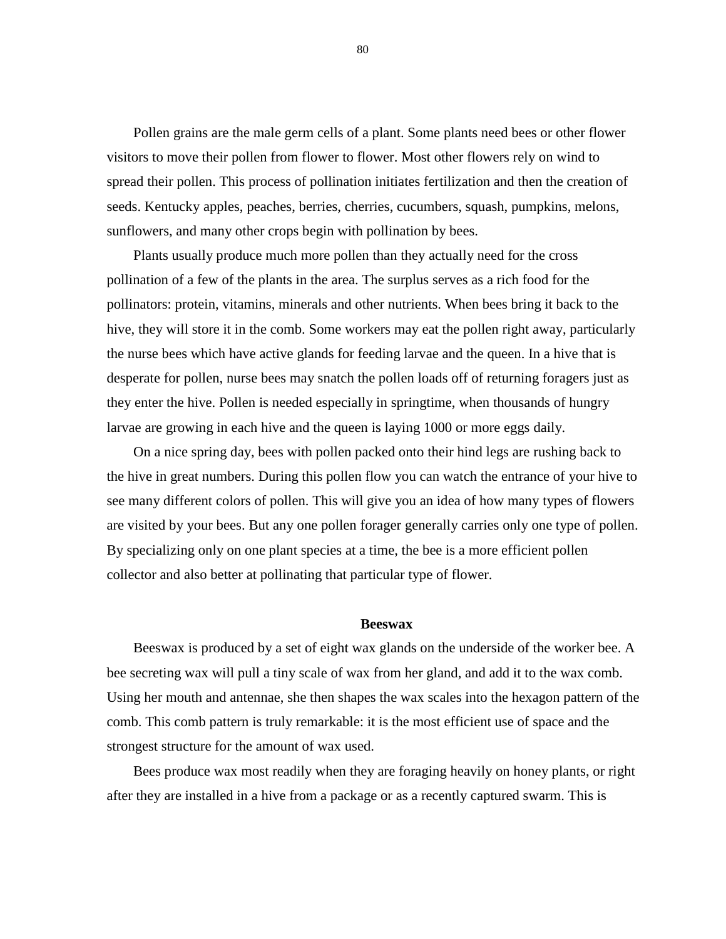Pollen grains are the male germ cells of a plant. Some plants need bees or other flower visitors to move their pollen from flower to flower. Most other flowers rely on wind to spread their pollen. This process of pollination initiates fertilization and then the creation of seeds. Kentucky apples, peaches, berries, cherries, cucumbers, squash, pumpkins, melons, sunflowers, and many other crops begin with pollination by bees.

Plants usually produce much more pollen than they actually need for the cross pollination of a few of the plants in the area. The surplus serves as a rich food for the pollinators: protein, vitamins, minerals and other nutrients. When bees bring it back to the hive, they will store it in the comb. Some workers may eat the pollen right away, particularly the nurse bees which have active glands for feeding larvae and the queen. In a hive that is desperate for pollen, nurse bees may snatch the pollen loads off of returning foragers just as they enter the hive. Pollen is needed especially in springtime, when thousands of hungry larvae are growing in each hive and the queen is laying 1000 or more eggs daily.

On a nice spring day, bees with pollen packed onto their hind legs are rushing back to the hive in great numbers. During this pollen flow you can watch the entrance of your hive to see many different colors of pollen. This will give you an idea of how many types of flowers are visited by your bees. But any one pollen forager generally carries only one type of pollen. By specializing only on one plant species at a time, the bee is a more efficient pollen collector and also better at pollinating that particular type of flower.

#### **Beeswax**

Beeswax is produced by a set of eight wax glands on the underside of the worker bee. A bee secreting wax will pull a tiny scale of wax from her gland, and add it to the wax comb. Using her mouth and antennae, she then shapes the wax scales into the hexagon pattern of the comb. This comb pattern is truly remarkable: it is the most efficient use of space and the strongest structure for the amount of wax used.

Bees produce wax most readily when they are foraging heavily on honey plants, or right after they are installed in a hive from a package or as a recently captured swarm. This is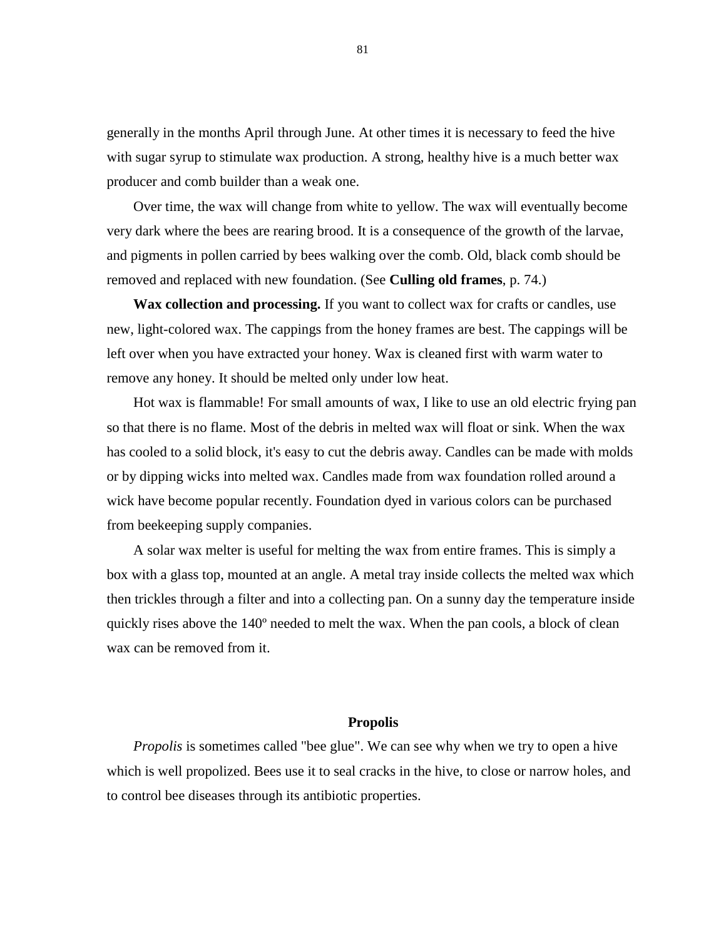generally in the months April through June. At other times it is necessary to feed the hive with sugar syrup to stimulate wax production. A strong, healthy hive is a much better wax producer and comb builder than a weak one.

Over time, the wax will change from white to yellow. The wax will eventually become very dark where the bees are rearing brood. It is a consequence of the growth of the larvae, and pigments in pollen carried by bees walking over the comb. Old, black comb should be removed and replaced with new foundation. (See **Culling old frames**, p. 74.)

**Wax collection and processing.** If you want to collect wax for crafts or candles, use new, light-colored wax. The cappings from the honey frames are best. The cappings will be left over when you have extracted your honey. Wax is cleaned first with warm water to remove any honey. It should be melted only under low heat.

Hot wax is flammable! For small amounts of wax, I like to use an old electric frying pan so that there is no flame. Most of the debris in melted wax will float or sink. When the wax has cooled to a solid block, it's easy to cut the debris away. Candles can be made with molds or by dipping wicks into melted wax. Candles made from wax foundation rolled around a wick have become popular recently. Foundation dyed in various colors can be purchased from beekeeping supply companies.

A solar wax melter is useful for melting the wax from entire frames. This is simply a box with a glass top, mounted at an angle. A metal tray inside collects the melted wax which then trickles through a filter and into a collecting pan. On a sunny day the temperature inside quickly rises above the 140º needed to melt the wax. When the pan cools, a block of clean wax can be removed from it.

## **Propolis**

*Propolis* is sometimes called "bee glue". We can see why when we try to open a hive which is well propolized. Bees use it to seal cracks in the hive, to close or narrow holes, and to control bee diseases through its antibiotic properties.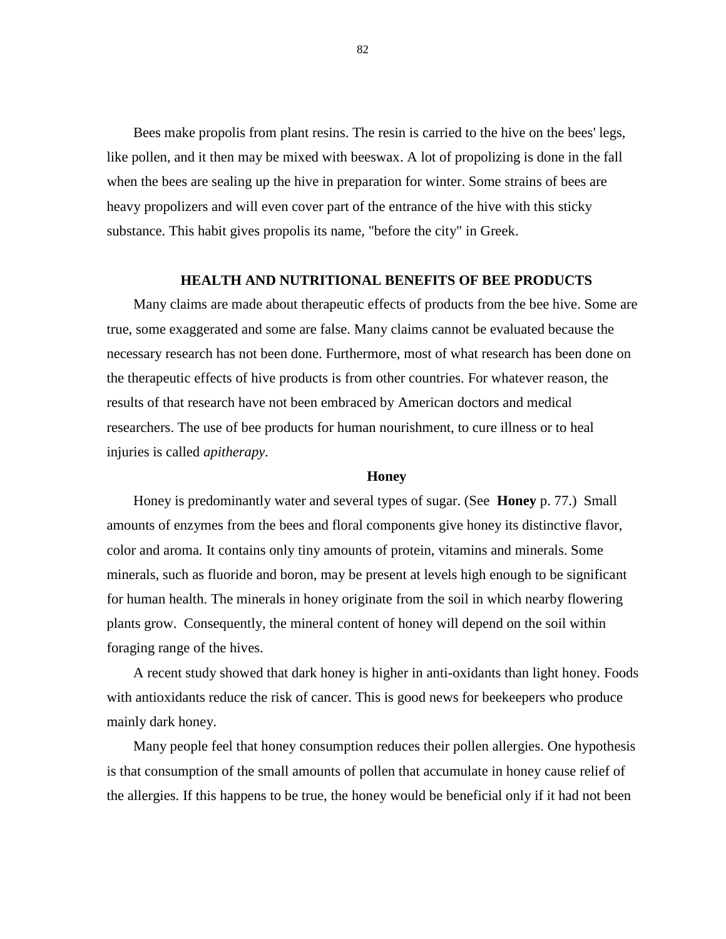Bees make propolis from plant resins. The resin is carried to the hive on the bees' legs, like pollen, and it then may be mixed with beeswax. A lot of propolizing is done in the fall when the bees are sealing up the hive in preparation for winter. Some strains of bees are heavy propolizers and will even cover part of the entrance of the hive with this sticky substance. This habit gives propolis its name, "before the city" in Greek.

## **HEALTH AND NUTRITIONAL BENEFITS OF BEE PRODUCTS**

Many claims are made about therapeutic effects of products from the bee hive. Some are true, some exaggerated and some are false. Many claims cannot be evaluated because the necessary research has not been done. Furthermore, most of what research has been done on the therapeutic effects of hive products is from other countries. For whatever reason, the results of that research have not been embraced by American doctors and medical researchers. The use of bee products for human nourishment, to cure illness or to heal injuries is called *apitherapy.*

## **Honey**

Honey is predominantly water and several types of sugar. (See **Honey** p. 77.) Small amounts of enzymes from the bees and floral components give honey its distinctive flavor, color and aroma. It contains only tiny amounts of protein, vitamins and minerals. Some minerals, such as fluoride and boron, may be present at levels high enough to be significant for human health. The minerals in honey originate from the soil in which nearby flowering plants grow. Consequently, the mineral content of honey will depend on the soil within foraging range of the hives.

A recent study showed that dark honey is higher in anti-oxidants than light honey. Foods with antioxidants reduce the risk of cancer. This is good news for beekeepers who produce mainly dark honey.

Many people feel that honey consumption reduces their pollen allergies. One hypothesis is that consumption of the small amounts of pollen that accumulate in honey cause relief of the allergies. If this happens to be true, the honey would be beneficial only if it had not been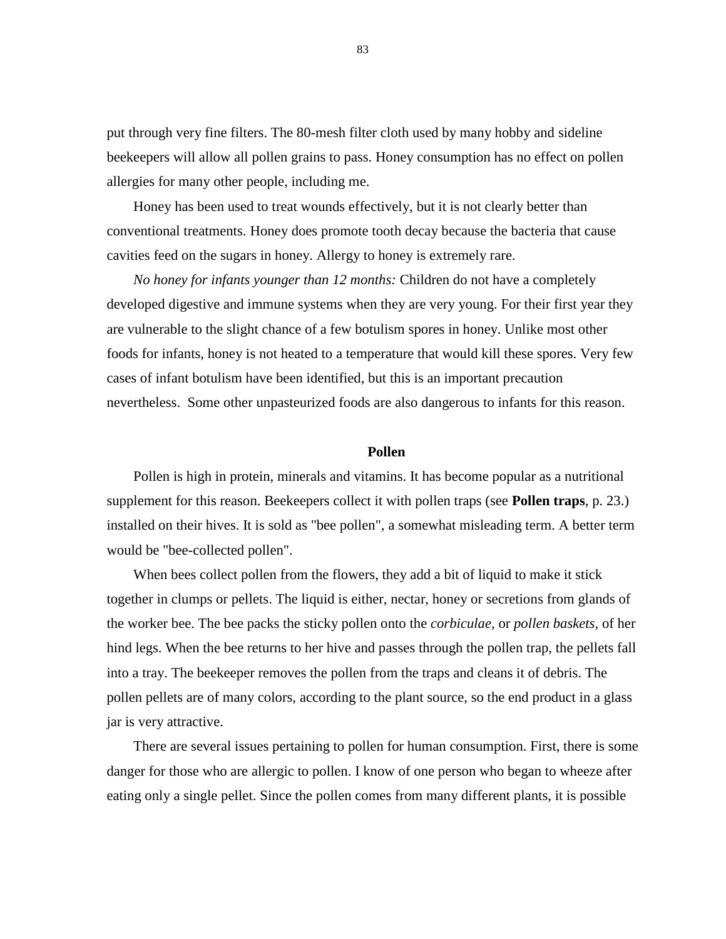put through very fine filters. The 80-mesh filter cloth used by many hobby and sideline beekeepers will allow all pollen grains to pass. Honey consumption has no effect on pollen allergies for many other people, including me.

Honey has been used to treat wounds effectively, but it is not clearly better than conventional treatments. Honey does promote tooth decay because the bacteria that cause cavities feed on the sugars in honey. Allergy to honey is extremely rare.

*No honey for infants younger than 12 months:* Children do not have a completely developed digestive and immune systems when they are very young. For their first year they are vulnerable to the slight chance of a few botulism spores in honey. Unlike most other foods for infants, honey is not heated to a temperature that would kill these spores. Very few cases of infant botulism have been identified, but this is an important precaution nevertheless. Some other unpasteurized foods are also dangerous to infants for this reason.

## **Pollen**

Pollen is high in protein, minerals and vitamins. It has become popular as a nutritional supplement for this reason. Beekeepers collect it with pollen traps (see **Pollen traps**, p. 23.) installed on their hives. It is sold as "bee pollen", a somewhat misleading term. A better term would be "bee-collected pollen".

When bees collect pollen from the flowers, they add a bit of liquid to make it stick together in clumps or pellets. The liquid is either, nectar, honey or secretions from glands of the worker bee. The bee packs the sticky pollen onto the *corbiculae,* or *pollen baskets,* of her hind legs. When the bee returns to her hive and passes through the pollen trap, the pellets fall into a tray. The beekeeper removes the pollen from the traps and cleans it of debris. The pollen pellets are of many colors, according to the plant source, so the end product in a glass jar is very attractive.

There are several issues pertaining to pollen for human consumption. First, there is some danger for those who are allergic to pollen. I know of one person who began to wheeze after eating only a single pellet. Since the pollen comes from many different plants, it is possible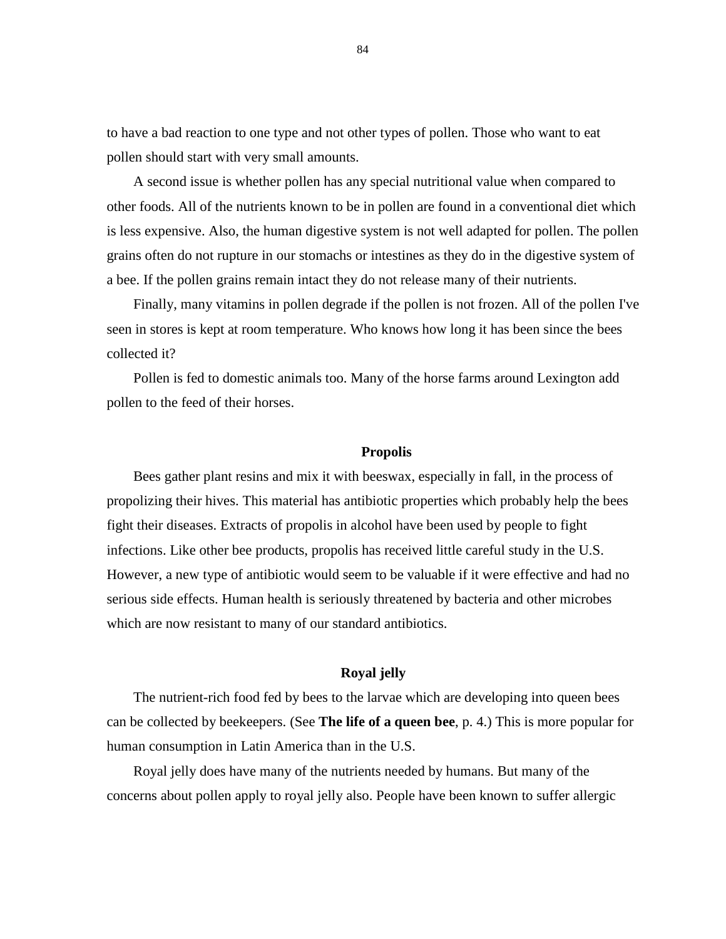to have a bad reaction to one type and not other types of pollen. Those who want to eat pollen should start with very small amounts.

A second issue is whether pollen has any special nutritional value when compared to other foods. All of the nutrients known to be in pollen are found in a conventional diet which is less expensive. Also, the human digestive system is not well adapted for pollen. The pollen grains often do not rupture in our stomachs or intestines as they do in the digestive system of a bee. If the pollen grains remain intact they do not release many of their nutrients.

Finally, many vitamins in pollen degrade if the pollen is not frozen. All of the pollen I've seen in stores is kept at room temperature. Who knows how long it has been since the bees collected it?

Pollen is fed to domestic animals too. Many of the horse farms around Lexington add pollen to the feed of their horses.

#### **Propolis**

Bees gather plant resins and mix it with beeswax, especially in fall, in the process of propolizing their hives. This material has antibiotic properties which probably help the bees fight their diseases. Extracts of propolis in alcohol have been used by people to fight infections. Like other bee products, propolis has received little careful study in the U.S. However, a new type of antibiotic would seem to be valuable if it were effective and had no serious side effects. Human health is seriously threatened by bacteria and other microbes which are now resistant to many of our standard antibiotics.

#### **Royal jelly**

The nutrient-rich food fed by bees to the larvae which are developing into queen bees can be collected by beekeepers. (See **The life of a queen bee**, p. 4.) This is more popular for human consumption in Latin America than in the U.S.

Royal jelly does have many of the nutrients needed by humans. But many of the concerns about pollen apply to royal jelly also. People have been known to suffer allergic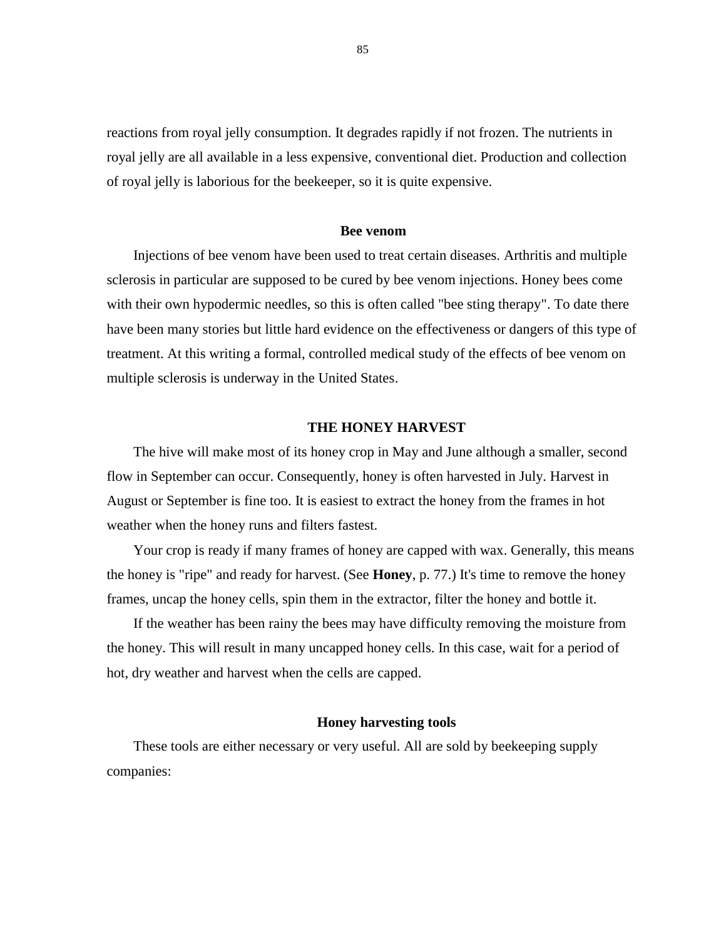reactions from royal jelly consumption. It degrades rapidly if not frozen. The nutrients in royal jelly are all available in a less expensive, conventional diet. Production and collection of royal jelly is laborious for the beekeeper, so it is quite expensive.

## **Bee venom**

Injections of bee venom have been used to treat certain diseases. Arthritis and multiple sclerosis in particular are supposed to be cured by bee venom injections. Honey bees come with their own hypodermic needles, so this is often called "bee sting therapy". To date there have been many stories but little hard evidence on the effectiveness or dangers of this type of treatment. At this writing a formal, controlled medical study of the effects of bee venom on multiple sclerosis is underway in the United States.

## **THE HONEY HARVEST**

The hive will make most of its honey crop in May and June although a smaller, second flow in September can occur. Consequently, honey is often harvested in July. Harvest in August or September is fine too. It is easiest to extract the honey from the frames in hot weather when the honey runs and filters fastest.

Your crop is ready if many frames of honey are capped with wax. Generally, this means the honey is "ripe" and ready for harvest. (See **Honey**, p. 77.) It's time to remove the honey frames, uncap the honey cells, spin them in the extractor, filter the honey and bottle it.

If the weather has been rainy the bees may have difficulty removing the moisture from the honey. This will result in many uncapped honey cells. In this case, wait for a period of hot, dry weather and harvest when the cells are capped.

#### **Honey harvesting tools**

These tools are either necessary or very useful. All are sold by beekeeping supply companies: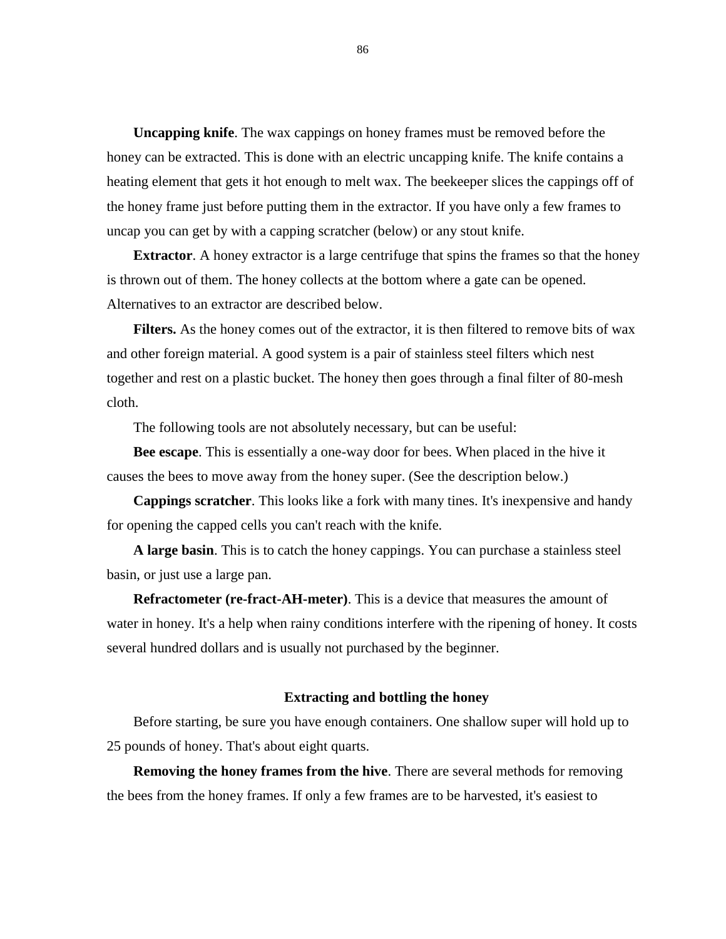**Uncapping knife**. The wax cappings on honey frames must be removed before the honey can be extracted. This is done with an electric uncapping knife. The knife contains a heating element that gets it hot enough to melt wax. The beekeeper slices the cappings off of the honey frame just before putting them in the extractor. If you have only a few frames to uncap you can get by with a capping scratcher (below) or any stout knife.

**Extractor**. A honey extractor is a large centrifuge that spins the frames so that the honey is thrown out of them. The honey collects at the bottom where a gate can be opened. Alternatives to an extractor are described below.

**Filters.** As the honey comes out of the extractor, it is then filtered to remove bits of wax and other foreign material. A good system is a pair of stainless steel filters which nest together and rest on a plastic bucket. The honey then goes through a final filter of 80-mesh cloth.

The following tools are not absolutely necessary, but can be useful:

**Bee escape**. This is essentially a one-way door for bees. When placed in the hive it causes the bees to move away from the honey super. (See the description below.)

**Cappings scratcher**. This looks like a fork with many tines. It's inexpensive and handy for opening the capped cells you can't reach with the knife.

**A large basin**. This is to catch the honey cappings. You can purchase a stainless steel basin, or just use a large pan.

**Refractometer (re-fract-AH-meter)**. This is a device that measures the amount of water in honey. It's a help when rainy conditions interfere with the ripening of honey. It costs several hundred dollars and is usually not purchased by the beginner.

## **Extracting and bottling the honey**

Before starting, be sure you have enough containers. One shallow super will hold up to 25 pounds of honey. That's about eight quarts.

**Removing the honey frames from the hive**. There are several methods for removing the bees from the honey frames. If only a few frames are to be harvested, it's easiest to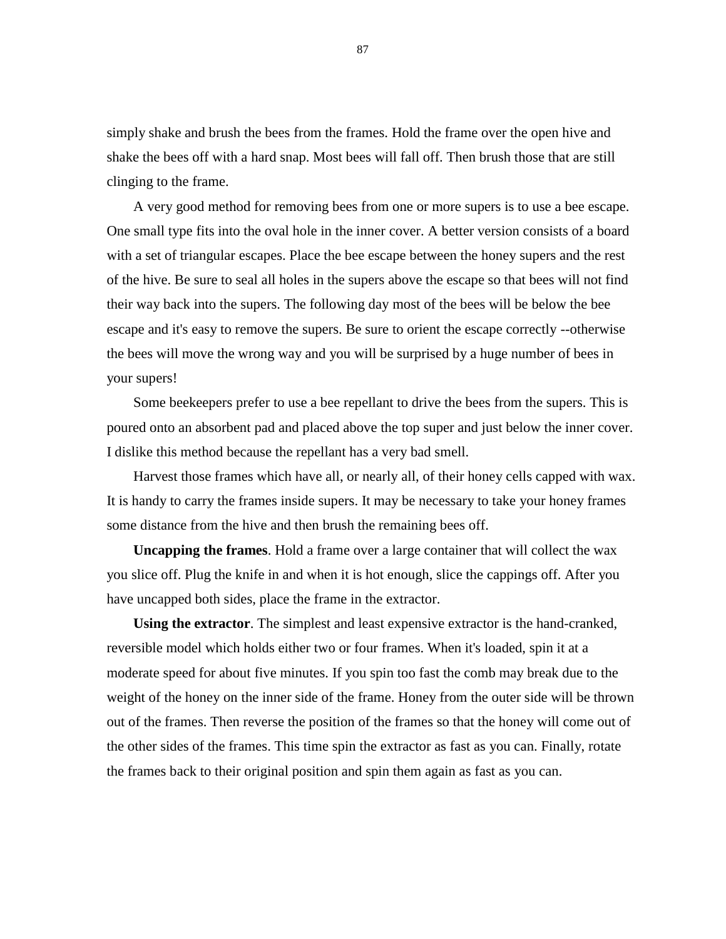simply shake and brush the bees from the frames. Hold the frame over the open hive and shake the bees off with a hard snap. Most bees will fall off. Then brush those that are still clinging to the frame.

A very good method for removing bees from one or more supers is to use a bee escape. One small type fits into the oval hole in the inner cover. A better version consists of a board with a set of triangular escapes. Place the bee escape between the honey supers and the rest of the hive. Be sure to seal all holes in the supers above the escape so that bees will not find their way back into the supers. The following day most of the bees will be below the bee escape and it's easy to remove the supers. Be sure to orient the escape correctly --otherwise the bees will move the wrong way and you will be surprised by a huge number of bees in your supers!

Some beekeepers prefer to use a bee repellant to drive the bees from the supers. This is poured onto an absorbent pad and placed above the top super and just below the inner cover. I dislike this method because the repellant has a very bad smell.

Harvest those frames which have all, or nearly all, of their honey cells capped with wax. It is handy to carry the frames inside supers. It may be necessary to take your honey frames some distance from the hive and then brush the remaining bees off.

**Uncapping the frames**. Hold a frame over a large container that will collect the wax you slice off. Plug the knife in and when it is hot enough, slice the cappings off. After you have uncapped both sides, place the frame in the extractor.

**Using the extractor**. The simplest and least expensive extractor is the hand-cranked, reversible model which holds either two or four frames. When it's loaded, spin it at a moderate speed for about five minutes. If you spin too fast the comb may break due to the weight of the honey on the inner side of the frame. Honey from the outer side will be thrown out of the frames. Then reverse the position of the frames so that the honey will come out of the other sides of the frames. This time spin the extractor as fast as you can. Finally, rotate the frames back to their original position and spin them again as fast as you can.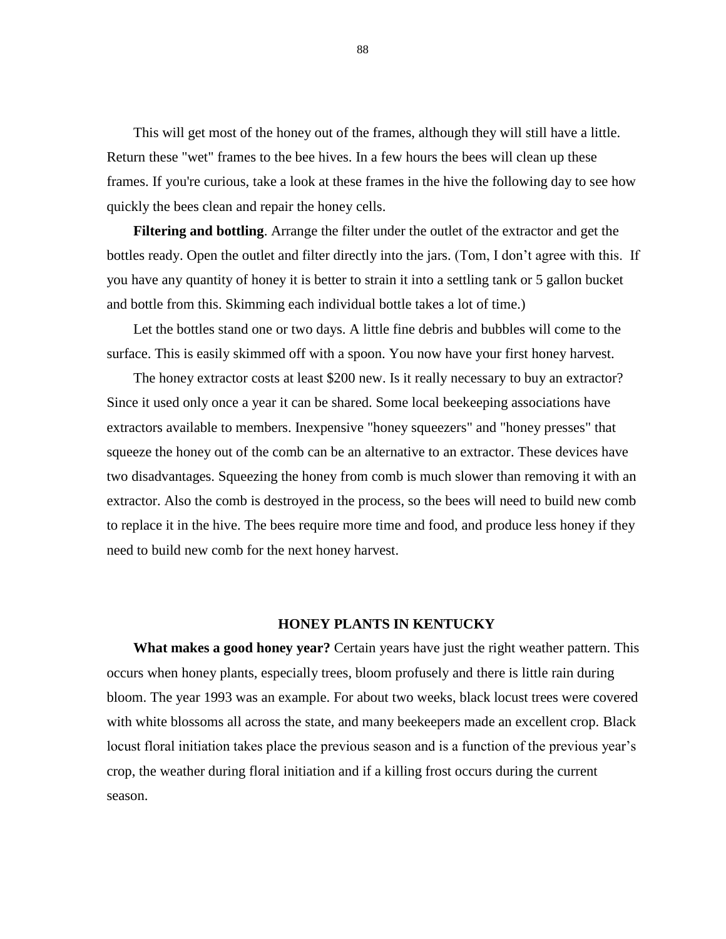This will get most of the honey out of the frames, although they will still have a little. Return these "wet" frames to the bee hives. In a few hours the bees will clean up these frames. If you're curious, take a look at these frames in the hive the following day to see how quickly the bees clean and repair the honey cells.

**Filtering and bottling**. Arrange the filter under the outlet of the extractor and get the bottles ready. Open the outlet and filter directly into the jars. (Tom, I don't agree with this. If you have any quantity of honey it is better to strain it into a settling tank or 5 gallon bucket and bottle from this. Skimming each individual bottle takes a lot of time.)

Let the bottles stand one or two days. A little fine debris and bubbles will come to the surface. This is easily skimmed off with a spoon. You now have your first honey harvest.

The honey extractor costs at least \$200 new. Is it really necessary to buy an extractor? Since it used only once a year it can be shared. Some local beekeeping associations have extractors available to members. Inexpensive "honey squeezers" and "honey presses" that squeeze the honey out of the comb can be an alternative to an extractor. These devices have two disadvantages. Squeezing the honey from comb is much slower than removing it with an extractor. Also the comb is destroyed in the process, so the bees will need to build new comb to replace it in the hive. The bees require more time and food, and produce less honey if they need to build new comb for the next honey harvest.

## **HONEY PLANTS IN KENTUCKY**

**What makes a good honey year?** Certain years have just the right weather pattern. This occurs when honey plants, especially trees, bloom profusely and there is little rain during bloom. The year 1993 was an example. For about two weeks, black locust trees were covered with white blossoms all across the state, and many beekeepers made an excellent crop. Black locust floral initiation takes place the previous season and is a function of the previous year's crop, the weather during floral initiation and if a killing frost occurs during the current season.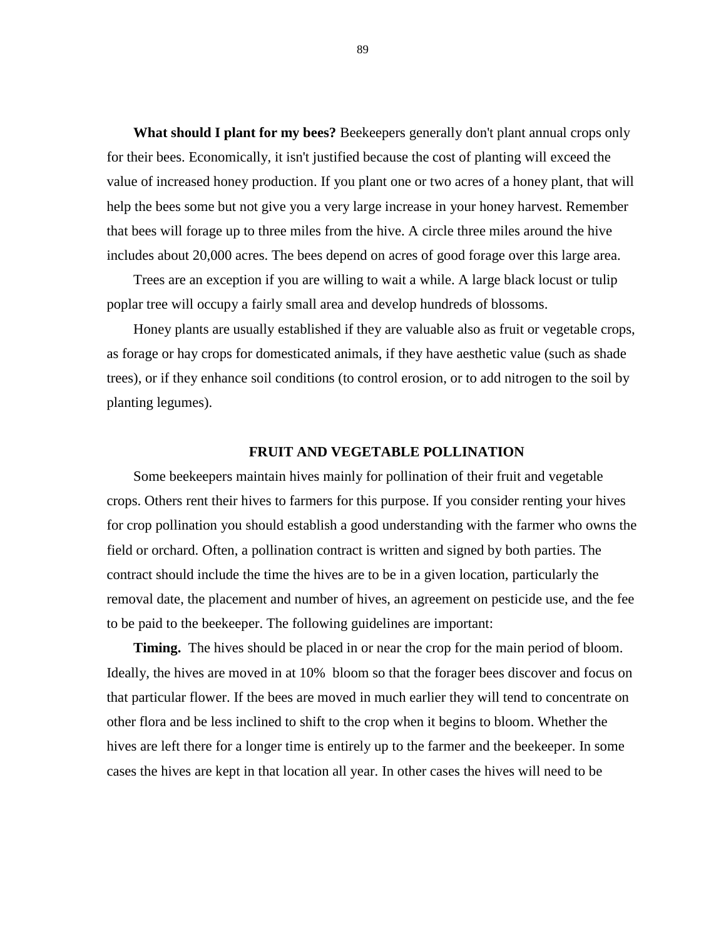**What should I plant for my bees?** Beekeepers generally don't plant annual crops only for their bees. Economically, it isn't justified because the cost of planting will exceed the value of increased honey production. If you plant one or two acres of a honey plant, that will help the bees some but not give you a very large increase in your honey harvest. Remember that bees will forage up to three miles from the hive. A circle three miles around the hive includes about 20,000 acres. The bees depend on acres of good forage over this large area.

Trees are an exception if you are willing to wait a while. A large black locust or tulip poplar tree will occupy a fairly small area and develop hundreds of blossoms.

Honey plants are usually established if they are valuable also as fruit or vegetable crops, as forage or hay crops for domesticated animals, if they have aesthetic value (such as shade trees), or if they enhance soil conditions (to control erosion, or to add nitrogen to the soil by planting legumes).

## **FRUIT AND VEGETABLE POLLINATION**

Some beekeepers maintain hives mainly for pollination of their fruit and vegetable crops. Others rent their hives to farmers for this purpose. If you consider renting your hives for crop pollination you should establish a good understanding with the farmer who owns the field or orchard. Often, a pollination contract is written and signed by both parties. The contract should include the time the hives are to be in a given location, particularly the removal date, the placement and number of hives, an agreement on pesticide use, and the fee to be paid to the beekeeper. The following guidelines are important:

**Timing.** The hives should be placed in or near the crop for the main period of bloom. Ideally, the hives are moved in at 10% bloom so that the forager bees discover and focus on that particular flower. If the bees are moved in much earlier they will tend to concentrate on other flora and be less inclined to shift to the crop when it begins to bloom. Whether the hives are left there for a longer time is entirely up to the farmer and the beekeeper. In some cases the hives are kept in that location all year. In other cases the hives will need to be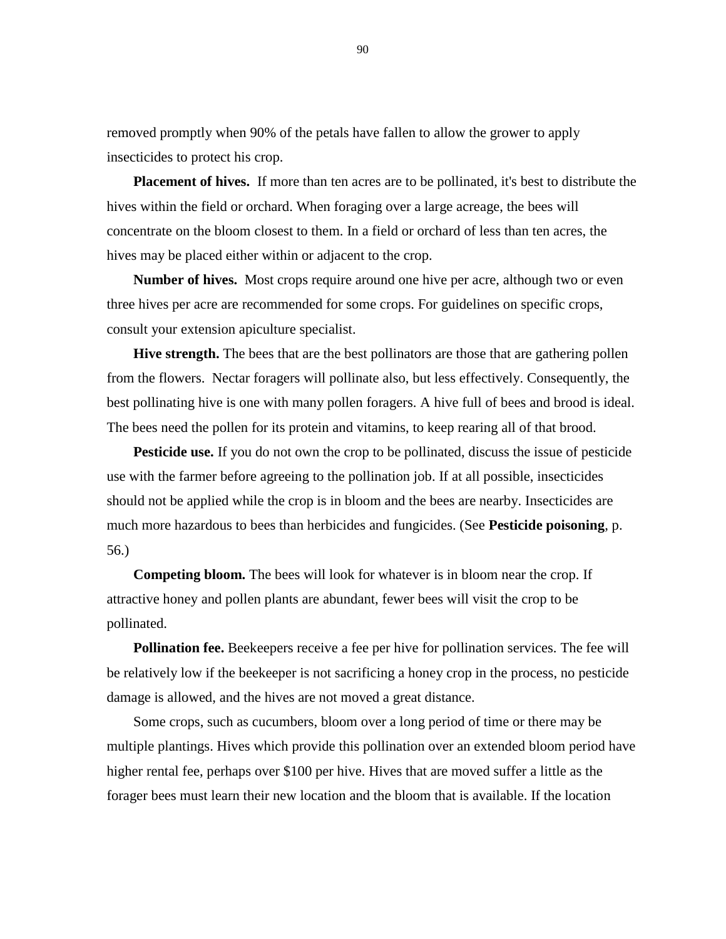removed promptly when 90% of the petals have fallen to allow the grower to apply insecticides to protect his crop.

**Placement of hives.** If more than ten acres are to be pollinated, it's best to distribute the hives within the field or orchard. When foraging over a large acreage, the bees will concentrate on the bloom closest to them. In a field or orchard of less than ten acres, the hives may be placed either within or adjacent to the crop.

**Number of hives.** Most crops require around one hive per acre, although two or even three hives per acre are recommended for some crops. For guidelines on specific crops, consult your extension apiculture specialist.

**Hive strength.** The bees that are the best pollinators are those that are gathering pollen from the flowers. Nectar foragers will pollinate also, but less effectively. Consequently, the best pollinating hive is one with many pollen foragers. A hive full of bees and brood is ideal. The bees need the pollen for its protein and vitamins, to keep rearing all of that brood.

**Pesticide use.** If you do not own the crop to be pollinated, discuss the issue of pesticide use with the farmer before agreeing to the pollination job. If at all possible, insecticides should not be applied while the crop is in bloom and the bees are nearby. Insecticides are much more hazardous to bees than herbicides and fungicides. (See **Pesticide poisoning**, p. 56.)

**Competing bloom.** The bees will look for whatever is in bloom near the crop. If attractive honey and pollen plants are abundant, fewer bees will visit the crop to be pollinated.

**Pollination fee.** Beekeepers receive a fee per hive for pollination services. The fee will be relatively low if the beekeeper is not sacrificing a honey crop in the process, no pesticide damage is allowed, and the hives are not moved a great distance.

Some crops, such as cucumbers, bloom over a long period of time or there may be multiple plantings. Hives which provide this pollination over an extended bloom period have higher rental fee, perhaps over \$100 per hive. Hives that are moved suffer a little as the forager bees must learn their new location and the bloom that is available. If the location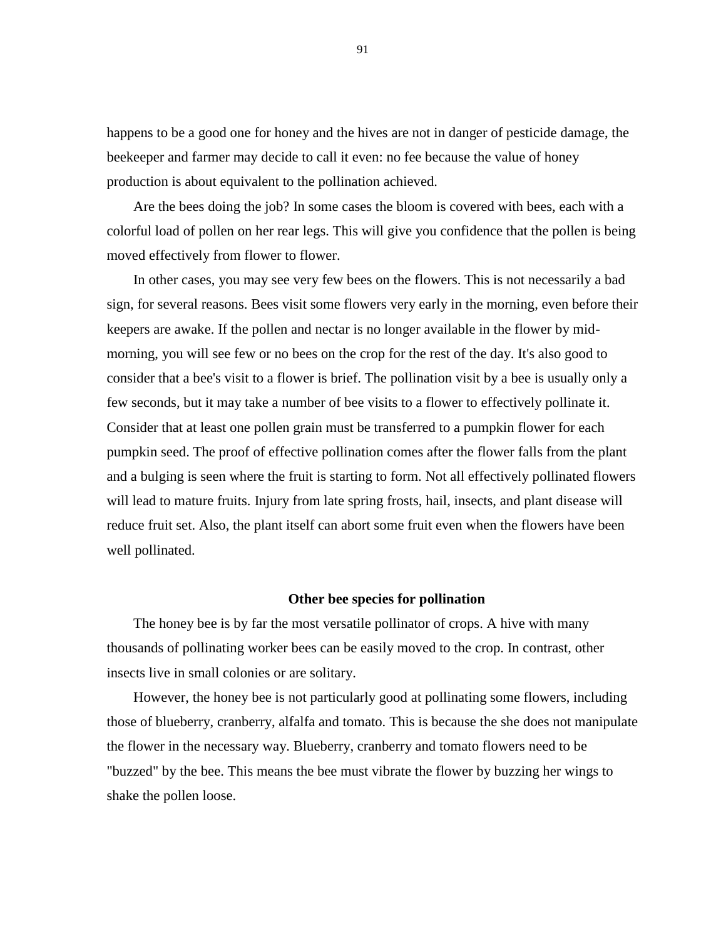happens to be a good one for honey and the hives are not in danger of pesticide damage, the beekeeper and farmer may decide to call it even: no fee because the value of honey production is about equivalent to the pollination achieved.

Are the bees doing the job? In some cases the bloom is covered with bees, each with a colorful load of pollen on her rear legs. This will give you confidence that the pollen is being moved effectively from flower to flower.

In other cases, you may see very few bees on the flowers. This is not necessarily a bad sign, for several reasons. Bees visit some flowers very early in the morning, even before their keepers are awake. If the pollen and nectar is no longer available in the flower by midmorning, you will see few or no bees on the crop for the rest of the day. It's also good to consider that a bee's visit to a flower is brief. The pollination visit by a bee is usually only a few seconds, but it may take a number of bee visits to a flower to effectively pollinate it. Consider that at least one pollen grain must be transferred to a pumpkin flower for each pumpkin seed. The proof of effective pollination comes after the flower falls from the plant and a bulging is seen where the fruit is starting to form. Not all effectively pollinated flowers will lead to mature fruits. Injury from late spring frosts, hail, insects, and plant disease will reduce fruit set. Also, the plant itself can abort some fruit even when the flowers have been well pollinated.

## **Other bee species for pollination**

The honey bee is by far the most versatile pollinator of crops. A hive with many thousands of pollinating worker bees can be easily moved to the crop. In contrast, other insects live in small colonies or are solitary.

However, the honey bee is not particularly good at pollinating some flowers, including those of blueberry, cranberry, alfalfa and tomato. This is because the she does not manipulate the flower in the necessary way. Blueberry, cranberry and tomato flowers need to be "buzzed" by the bee. This means the bee must vibrate the flower by buzzing her wings to shake the pollen loose.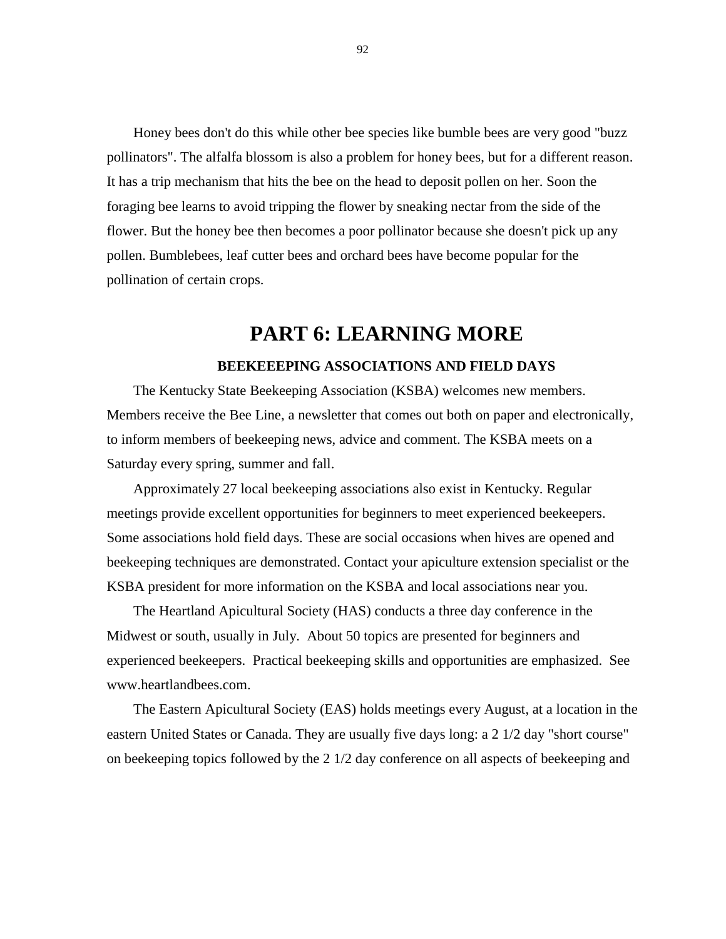Honey bees don't do this while other bee species like bumble bees are very good "buzz pollinators". The alfalfa blossom is also a problem for honey bees, but for a different reason. It has a trip mechanism that hits the bee on the head to deposit pollen on her. Soon the foraging bee learns to avoid tripping the flower by sneaking nectar from the side of the flower. But the honey bee then becomes a poor pollinator because she doesn't pick up any pollen. Bumblebees, leaf cutter bees and orchard bees have become popular for the pollination of certain crops.

# **PART 6: LEARNING MORE BEEKEEEPING ASSOCIATIONS AND FIELD DAYS**

The Kentucky State Beekeeping Association (KSBA) welcomes new members. Members receive the Bee Line, a newsletter that comes out both on paper and electronically, to inform members of beekeeping news, advice and comment. The KSBA meets on a Saturday every spring, summer and fall.

Approximately 27 local beekeeping associations also exist in Kentucky. Regular meetings provide excellent opportunities for beginners to meet experienced beekeepers. Some associations hold field days. These are social occasions when hives are opened and beekeeping techniques are demonstrated. Contact your apiculture extension specialist or the KSBA president for more information on the KSBA and local associations near you.

The Heartland Apicultural Society (HAS) conducts a three day conference in the Midwest or south, usually in July. About 50 topics are presented for beginners and experienced beekeepers. Practical beekeeping skills and opportunities are emphasized. See www.heartlandbees.com.

The Eastern Apicultural Society (EAS) holds meetings every August, at a location in the eastern United States or Canada. They are usually five days long: a 2 1/2 day "short course" on beekeeping topics followed by the 2 1/2 day conference on all aspects of beekeeping and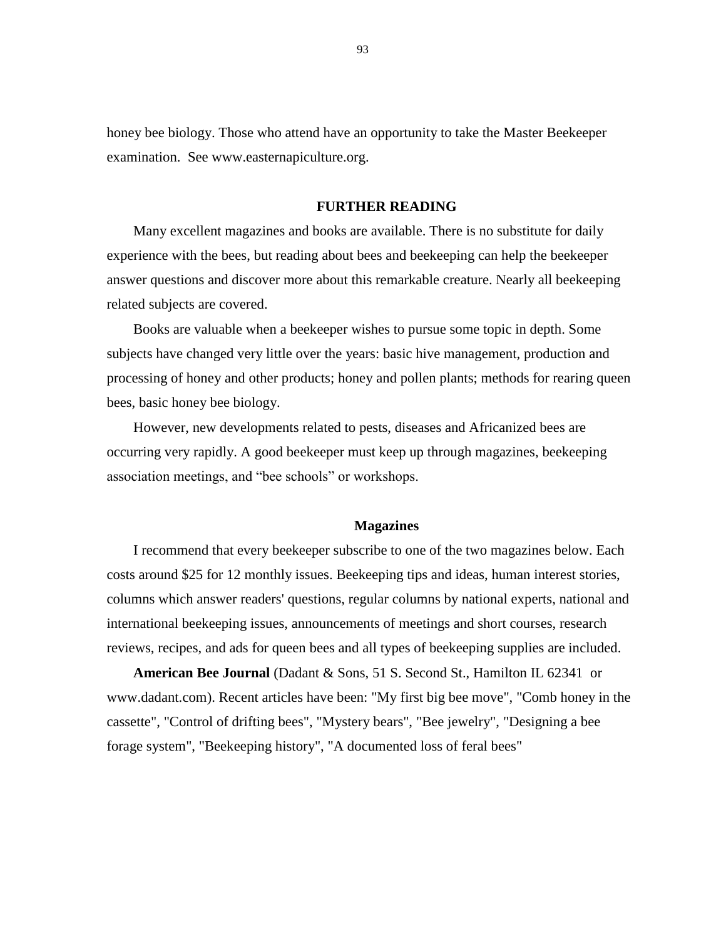honey bee biology. Those who attend have an opportunity to take the Master Beekeeper examination. See www.easternapiculture.org.

## **FURTHER READING**

Many excellent magazines and books are available. There is no substitute for daily experience with the bees, but reading about bees and beekeeping can help the beekeeper answer questions and discover more about this remarkable creature. Nearly all beekeeping related subjects are covered.

Books are valuable when a beekeeper wishes to pursue some topic in depth. Some subjects have changed very little over the years: basic hive management, production and processing of honey and other products; honey and pollen plants; methods for rearing queen bees, basic honey bee biology.

However, new developments related to pests, diseases and Africanized bees are occurring very rapidly. A good beekeeper must keep up through magazines, beekeeping association meetings, and "bee schools" or workshops.

#### **Magazines**

I recommend that every beekeeper subscribe to one of the two magazines below. Each costs around \$25 for 12 monthly issues. Beekeeping tips and ideas, human interest stories, columns which answer readers' questions, regular columns by national experts, national and international beekeeping issues, announcements of meetings and short courses, research reviews, recipes, and ads for queen bees and all types of beekeeping supplies are included.

**American Bee Journal** (Dadant & Sons, 51 S. Second St., Hamilton IL 62341 or www.dadant.com). Recent articles have been: "My first big bee move", "Comb honey in the cassette", "Control of drifting bees", "Mystery bears", "Bee jewelry", "Designing a bee forage system", "Beekeeping history", "A documented loss of feral bees"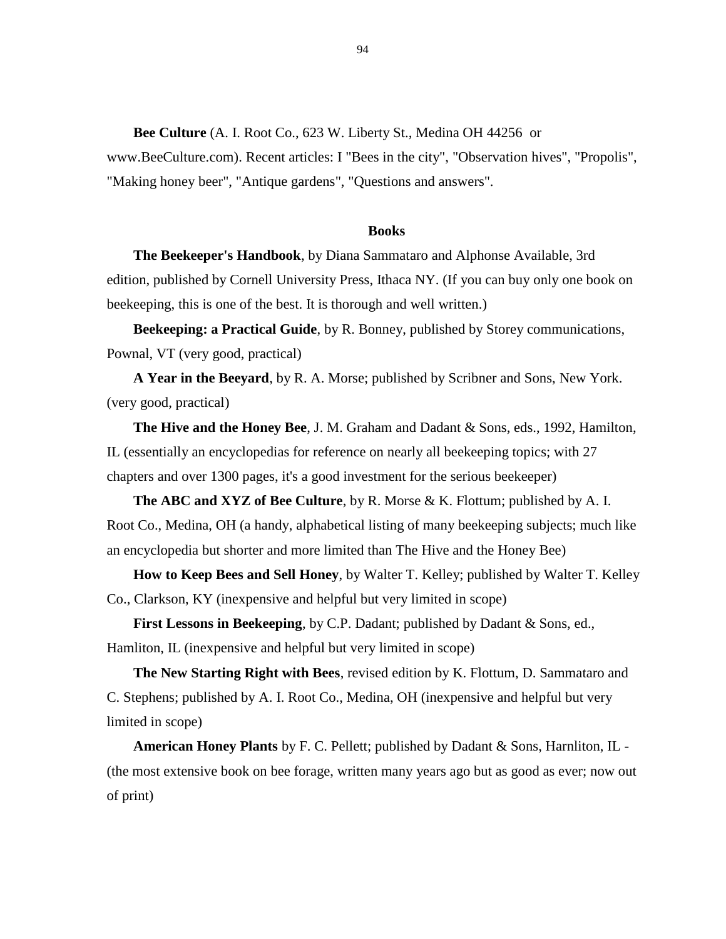**Bee Culture** (A. I. Root Co., 623 W. Liberty St., Medina OH 44256 or

www.BeeCulture.com). Recent articles: I "Bees in the city", "Observation hives", "Propolis", "Making honey beer", "Antique gardens", "Questions and answers".

## **Books**

**The Beekeeper's Handbook**, by Diana Sammataro and Alphonse Available, 3rd edition, published by Cornell University Press, Ithaca NY. (If you can buy only one book on beekeeping, this is one of the best. It is thorough and well written.)

**Beekeeping: a Practical Guide**, by R. Bonney, published by Storey communications, Pownal, VT (very good, practical)

**A Year in the Beeyard**, by R. A. Morse; published by Scribner and Sons, New York. (very good, practical)

**The Hive and the Honey Bee**, J. M. Graham and Dadant & Sons, eds., 1992, Hamilton, IL (essentially an encyclopedias for reference on nearly all beekeeping topics; with 27 chapters and over 1300 pages, it's a good investment for the serious beekeeper)

**The ABC and XYZ of Bee Culture**, by R. Morse & K. Flottum; published by A. I. Root Co., Medina, OH (a handy, alphabetical listing of many beekeeping subjects; much like an encyclopedia but shorter and more limited than The Hive and the Honey Bee)

**How to Keep Bees and Sell Honey**, by Walter T. Kelley; published by Walter T. Kelley Co., Clarkson, KY (inexpensive and helpful but very limited in scope)

**First Lessons in Beekeeping**, by C.P. Dadant; published by Dadant & Sons, ed., Hamliton, IL (inexpensive and helpful but very limited in scope)

**The New Starting Right with Bees, revised edition by K. Flottum, D. Sammataro and** C. Stephens; published by A. I. Root Co., Medina, OH (inexpensive and helpful but very limited in scope)

**American Honey Plants** by F. C. Pellett; published by Dadant & Sons, Harnliton, IL - (the most extensive book on bee forage, written many years ago but as good as ever; now out of print)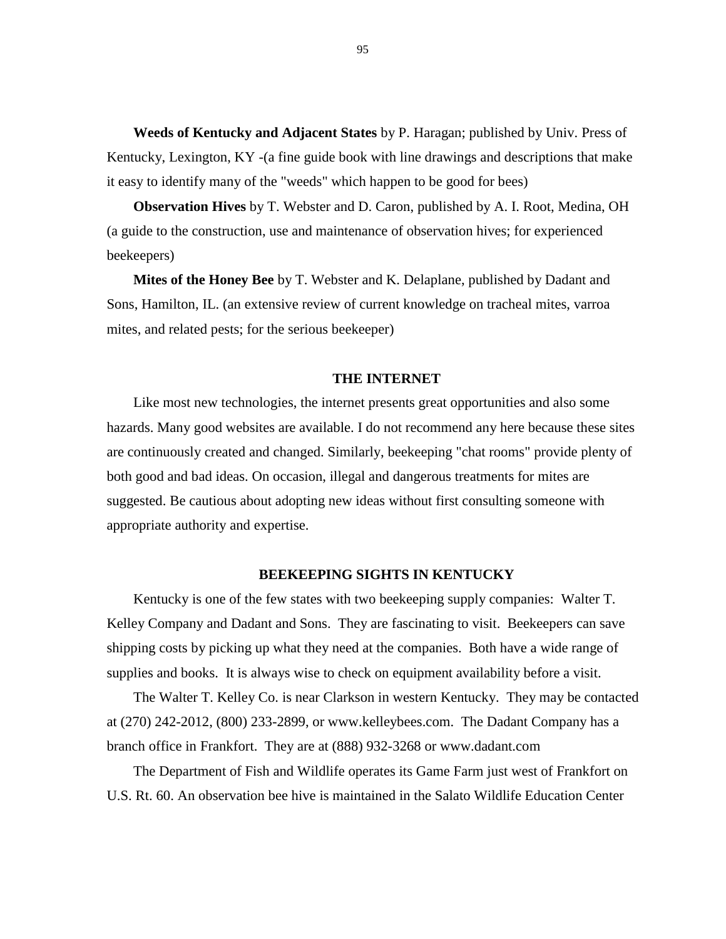**Weeds of Kentucky and Adjacent States** by P. Haragan; published by Univ. Press of Kentucky, Lexington, KY -(a fine guide book with line drawings and descriptions that make it easy to identify many of the "weeds" which happen to be good for bees)

**Observation Hives** by T. Webster and D. Caron, published by A. I. Root, Medina, OH (a guide to the construction, use and maintenance of observation hives; for experienced beekeepers)

**Mites of the Honey Bee** by T. Webster and K. Delaplane, published by Dadant and Sons, Hamilton, IL. (an extensive review of current knowledge on tracheal mites, varroa mites, and related pests; for the serious beekeeper)

## **THE INTERNET**

Like most new technologies, the internet presents great opportunities and also some hazards. Many good websites are available. I do not recommend any here because these sites are continuously created and changed. Similarly, beekeeping "chat rooms" provide plenty of both good and bad ideas. On occasion, illegal and dangerous treatments for mites are suggested. Be cautious about adopting new ideas without first consulting someone with appropriate authority and expertise.

## **BEEKEEPING SIGHTS IN KENTUCKY**

Kentucky is one of the few states with two beekeeping supply companies: Walter T. Kelley Company and Dadant and Sons. They are fascinating to visit. Beekeepers can save shipping costs by picking up what they need at the companies. Both have a wide range of supplies and books. It is always wise to check on equipment availability before a visit.

The Walter T. Kelley Co. is near Clarkson in western Kentucky. They may be contacted at (270) 242-2012, (800) 233-2899, or [www.kelleybees.com.](http://www.kelleybees.com/) The Dadant Company has a branch office in Frankfort. They are at (888) 932-3268 or www.dadant.com

The Department of Fish and Wildlife operates its Game Farm just west of Frankfort on U.S. Rt. 60. An observation bee hive is maintained in the Salato Wildlife Education Center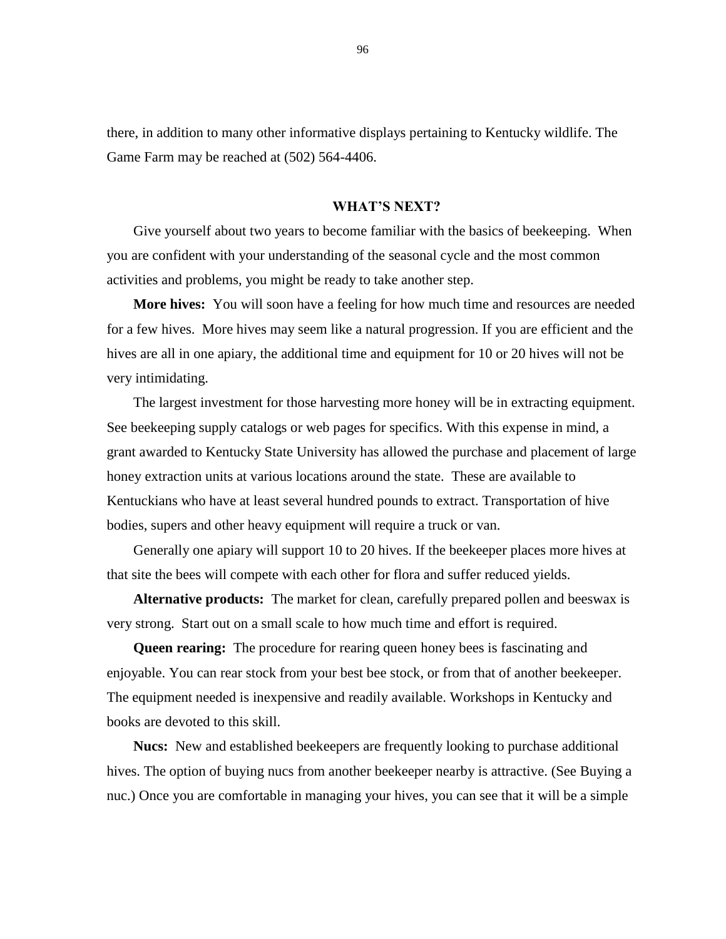there, in addition to many other informative displays pertaining to Kentucky wildlife. The Game Farm may be reached at (502) 564-4406.

## **WHAT'S NEXT?**

Give yourself about two years to become familiar with the basics of beekeeping. When you are confident with your understanding of the seasonal cycle and the most common activities and problems, you might be ready to take another step.

**More hives:** You will soon have a feeling for how much time and resources are needed for a few hives. More hives may seem like a natural progression. If you are efficient and the hives are all in one apiary, the additional time and equipment for 10 or 20 hives will not be very intimidating.

The largest investment for those harvesting more honey will be in extracting equipment. See beekeeping supply catalogs or web pages for specifics. With this expense in mind, a grant awarded to Kentucky State University has allowed the purchase and placement of large honey extraction units at various locations around the state. These are available to Kentuckians who have at least several hundred pounds to extract. Transportation of hive bodies, supers and other heavy equipment will require a truck or van.

Generally one apiary will support 10 to 20 hives. If the beekeeper places more hives at that site the bees will compete with each other for flora and suffer reduced yields.

**Alternative products:** The market for clean, carefully prepared pollen and beeswax is very strong. Start out on a small scale to how much time and effort is required.

**Queen rearing:** The procedure for rearing queen honey bees is fascinating and enjoyable. You can rear stock from your best bee stock, or from that of another beekeeper. The equipment needed is inexpensive and readily available. Workshops in Kentucky and books are devoted to this skill.

**Nucs:** New and established beekeepers are frequently looking to purchase additional hives. The option of buying nucs from another beekeeper nearby is attractive. (See Buying a nuc.) Once you are comfortable in managing your hives, you can see that it will be a simple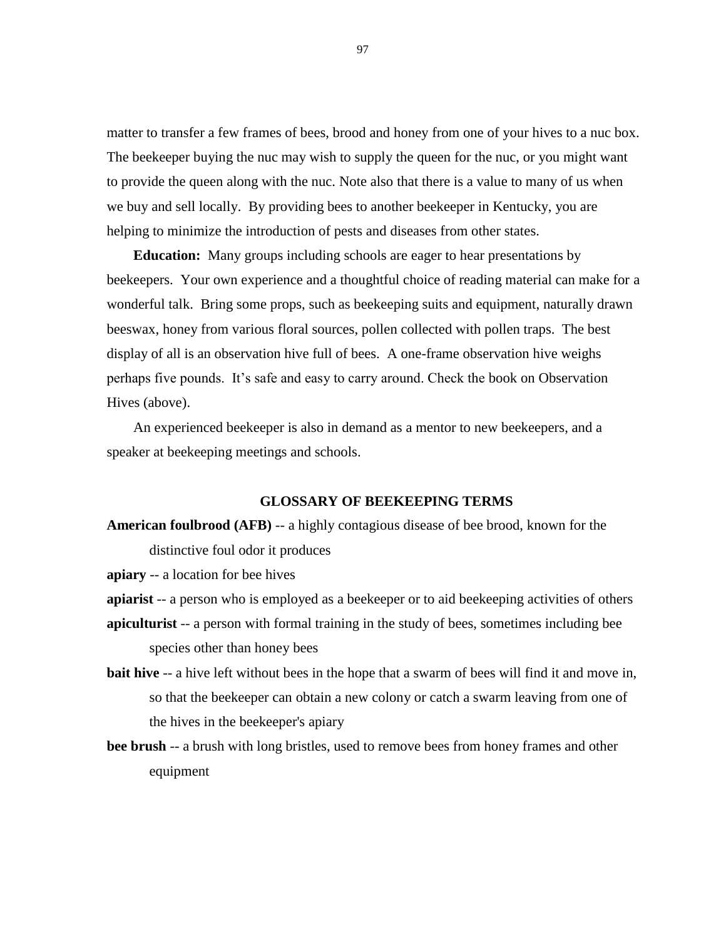matter to transfer a few frames of bees, brood and honey from one of your hives to a nuc box. The beekeeper buying the nuc may wish to supply the queen for the nuc, or you might want to provide the queen along with the nuc. Note also that there is a value to many of us when we buy and sell locally. By providing bees to another beekeeper in Kentucky, you are helping to minimize the introduction of pests and diseases from other states.

**Education:** Many groups including schools are eager to hear presentations by beekeepers. Your own experience and a thoughtful choice of reading material can make for a wonderful talk. Bring some props, such as beekeeping suits and equipment, naturally drawn beeswax, honey from various floral sources, pollen collected with pollen traps. The best display of all is an observation hive full of bees. A one-frame observation hive weighs perhaps five pounds. It's safe and easy to carry around. Check the book on Observation Hives (above).

An experienced beekeeper is also in demand as a mentor to new beekeepers, and a speaker at beekeeping meetings and schools.

## **GLOSSARY OF BEEKEEPING TERMS**

**American foulbrood (AFB)** -- a highly contagious disease of bee brood, known for the distinctive foul odor it produces

**apiary** -- a location for bee hives

**apiarist** -- a person who is employed as a beekeeper or to aid beekeeping activities of others

- **apiculturist** -- a person with formal training in the study of bees, sometimes including bee species other than honey bees
- **bait hive** -- a hive left without bees in the hope that a swarm of bees will find it and move in, so that the beekeeper can obtain a new colony or catch a swarm leaving from one of the hives in the beekeeper's apiary
- **bee brush** -- a brush with long bristles, used to remove bees from honey frames and other equipment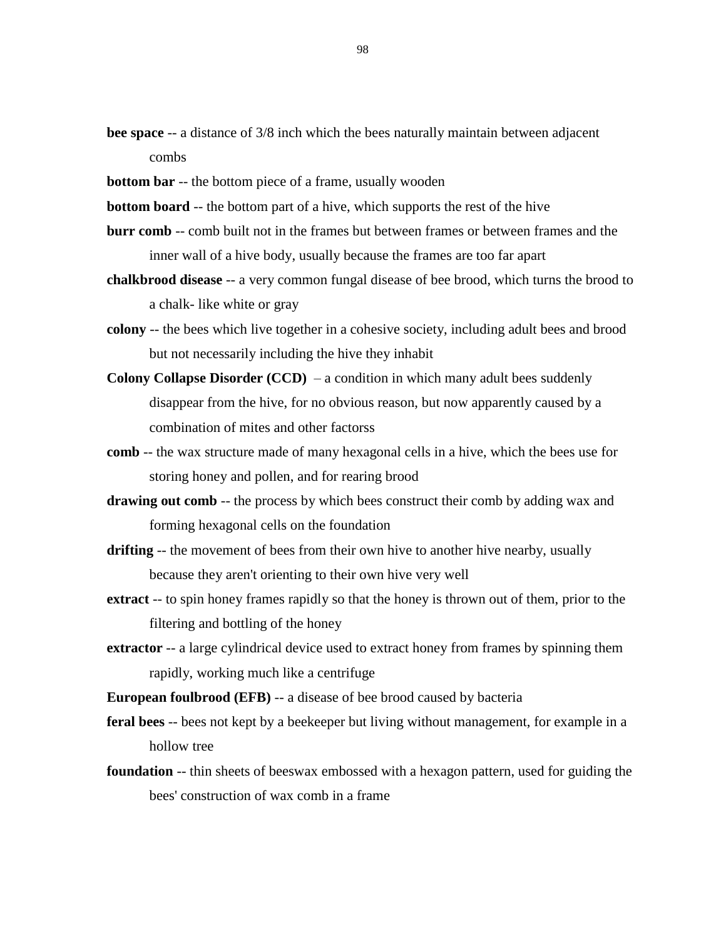- **bee space** -- a distance of  $3/8$  inch which the bees naturally maintain between adjacent combs
- **bottom bar** -- the bottom piece of a frame, usually wooden
- **bottom board** -- the bottom part of a hive, which supports the rest of the hive
- **burr comb** -- comb built not in the frames but between frames or between frames and the inner wall of a hive body, usually because the frames are too far apart
- **chalkbrood disease** -- a very common fungal disease of bee brood, which turns the brood to a chalk- like white or gray
- **colony** -- the bees which live together in a cohesive society, including adult bees and brood but not necessarily including the hive they inhabit
- **Colony Collapse Disorder (CCD)** a condition in which many adult bees suddenly disappear from the hive, for no obvious reason, but now apparently caused by a combination of mites and other factorss
- **comb** -- the wax structure made of many hexagonal cells in a hive, which the bees use for storing honey and pollen, and for rearing brood
- **drawing out comb** -- the process by which bees construct their comb by adding wax and forming hexagonal cells on the foundation
- **drifting** -- the movement of bees from their own hive to another hive nearby, usually because they aren't orienting to their own hive very well
- **extract** -- to spin honey frames rapidly so that the honey is thrown out of them, prior to the filtering and bottling of the honey
- **extractor** -- a large cylindrical device used to extract honey from frames by spinning them rapidly, working much like a centrifuge

**European foulbrood (EFB)** -- a disease of bee brood caused by bacteria

- **feral bees** -- bees not kept by a beekeeper but living without management, for example in a hollow tree
- **foundation** -- thin sheets of beeswax embossed with a hexagon pattern, used for guiding the bees' construction of wax comb in a frame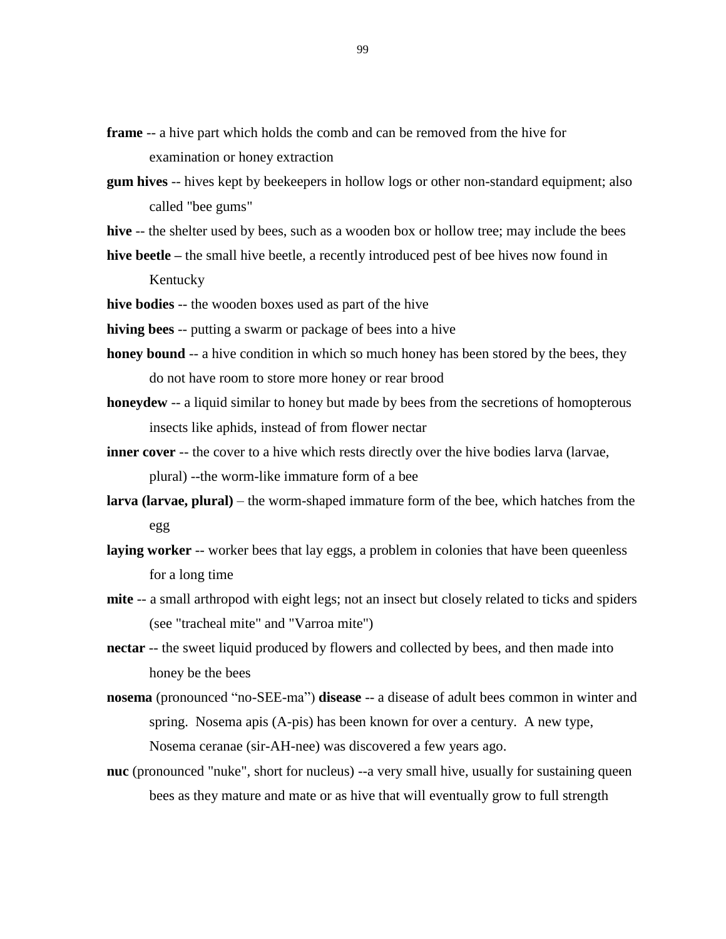**frame** -- a hive part which holds the comb and can be removed from the hive for examination or honey extraction

- **gum hives** -- hives kept by beekeepers in hollow logs or other non-standard equipment; also called "bee gums"
- **hive** -- the shelter used by bees, such as a wooden box or hollow tree; may include the bees

**hive beetle –** the small hive beetle, a recently introduced pest of bee hives now found in Kentucky

**hive bodies** -- the wooden boxes used as part of the hive

**hiving bees** -- putting a swarm or package of bees into a hive

- **honey bound** -- a hive condition in which so much honey has been stored by the bees, they do not have room to store more honey or rear brood
- **honeydew** -- a liquid similar to honey but made by bees from the secretions of homopterous insects like aphids, instead of from flower nectar
- **inner cover** -- the cover to a hive which rests directly over the hive bodies larva (larvae, plural) --the worm-like immature form of a bee
- **larva (larvae, plural)** the worm-shaped immature form of the bee, which hatches from the egg
- laying worker -- worker bees that lay eggs, a problem in colonies that have been queenless for a long time
- **mite** -- a small arthropod with eight legs; not an insect but closely related to ticks and spiders (see "tracheal mite" and "Varroa mite")
- **nectar** -- the sweet liquid produced by flowers and collected by bees, and then made into honey be the bees
- **nosema** (pronounced "no-SEE-ma") **disease** -- a disease of adult bees common in winter and spring. Nosema apis (A-pis) has been known for over a century. A new type, Nosema ceranae (sir-AH-nee) was discovered a few years ago.
- **nuc** (pronounced "nuke", short for nucleus) --a very small hive, usually for sustaining queen bees as they mature and mate or as hive that will eventually grow to full strength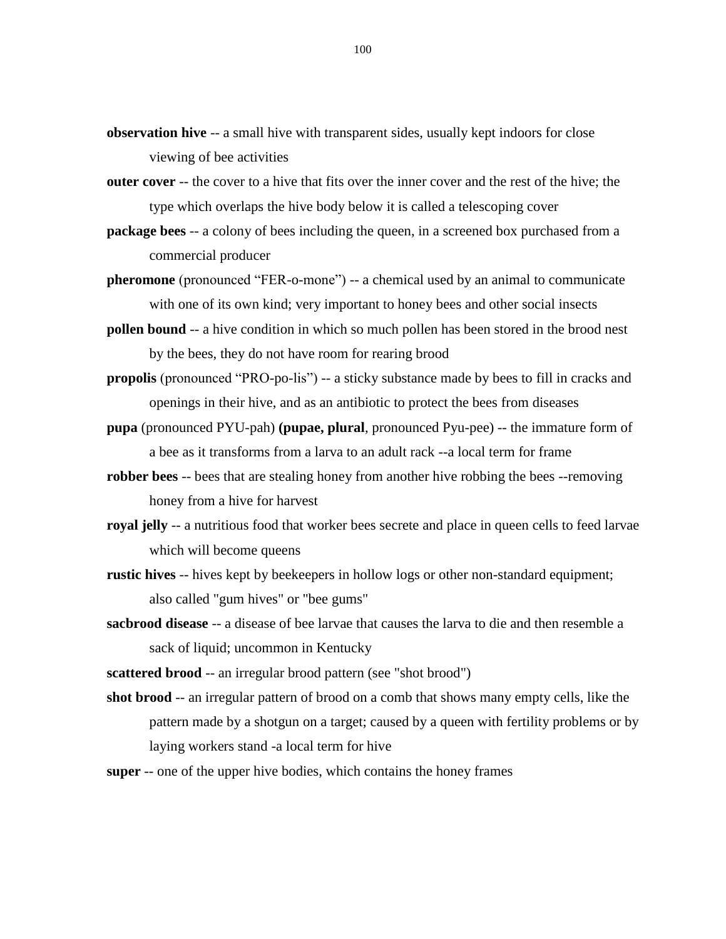- **observation hive** -- a small hive with transparent sides, usually kept indoors for close viewing of bee activities
- **outer cover** -- the cover to a hive that fits over the inner cover and the rest of the hive; the type which overlaps the hive body below it is called a telescoping cover
- **package bees** -- a colony of bees including the queen, in a screened box purchased from a commercial producer
- **pheromone** (pronounced "FER-o-mone") -- a chemical used by an animal to communicate with one of its own kind; very important to honey bees and other social insects
- **pollen bound** -- a hive condition in which so much pollen has been stored in the brood nest by the bees, they do not have room for rearing brood
- **propolis** (pronounced "PRO-po-lis") -- a sticky substance made by bees to fill in cracks and openings in their hive, and as an antibiotic to protect the bees from diseases
- **pupa** (pronounced PYU-pah) **(pupae, plural**, pronounced Pyu-pee) -- the immature form of a bee as it transforms from a larva to an adult rack --a local term for frame
- **robber bees** -- bees that are stealing honey from another hive robbing the bees --removing honey from a hive for harvest
- **royal jelly** -- a nutritious food that worker bees secrete and place in queen cells to feed larvae which will become queens
- **rustic hives** -- hives kept by beekeepers in hollow logs or other non-standard equipment; also called "gum hives" or "bee gums"
- **sacbrood disease** -- a disease of bee larvae that causes the larva to die and then resemble a sack of liquid; uncommon in Kentucky
- **scattered brood** -- an irregular brood pattern (see "shot brood")
- **shot brood** -- an irregular pattern of brood on a comb that shows many empty cells, like the pattern made by a shotgun on a target; caused by a queen with fertility problems or by laying workers stand -a local term for hive
- **super** -- one of the upper hive bodies, which contains the honey frames